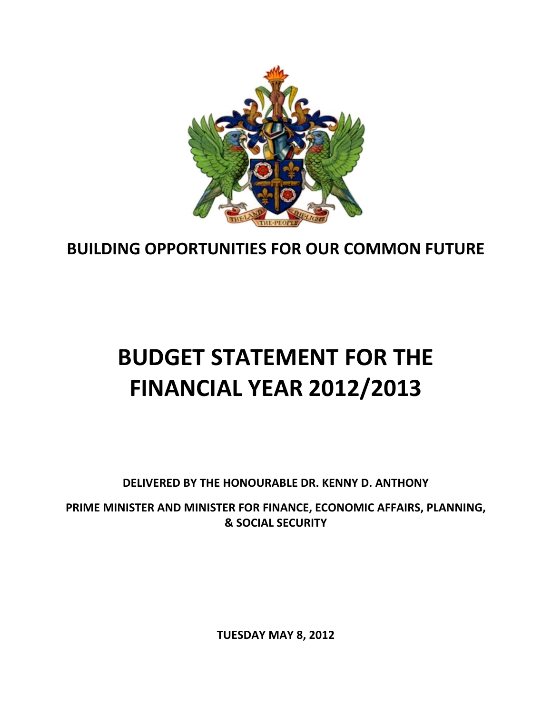

## **BUILDING OPPORTUNITIES FOR OUR COMMON FUTURE**

# **BUDGET STATEMENT FOR THE FINANCIAL YEAR 2012/2013**

**DELIVERED BY THE HONOURABLE DR. KENNY D. ANTHONY**

**PRIME MINISTER AND MINISTER FOR FINANCE, ECONOMIC AFFAIRS, PLANNING, & SOCIAL SECURITY**

**TUESDAY MAY 8, 2012**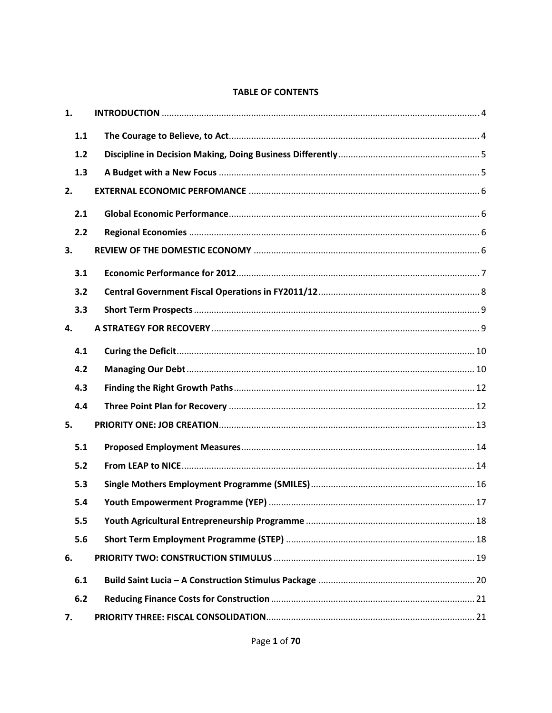#### **TABLE OF CONTENTS**

| 1.  |  |
|-----|--|
| 1.1 |  |
| 1.2 |  |
| 1.3 |  |
| 2.  |  |
| 2.1 |  |
| 2.2 |  |
| 3.  |  |
| 3.1 |  |
| 3.2 |  |
| 3.3 |  |
| 4.  |  |
| 4.1 |  |
| 4.2 |  |
| 4.3 |  |
| 4.4 |  |
| 5.  |  |
| 5.1 |  |
| 5.2 |  |
| 5.3 |  |
| 5.4 |  |
| 5.5 |  |
| 5.6 |  |
| 6.  |  |
| 6.1 |  |
| 6.2 |  |
| 7.  |  |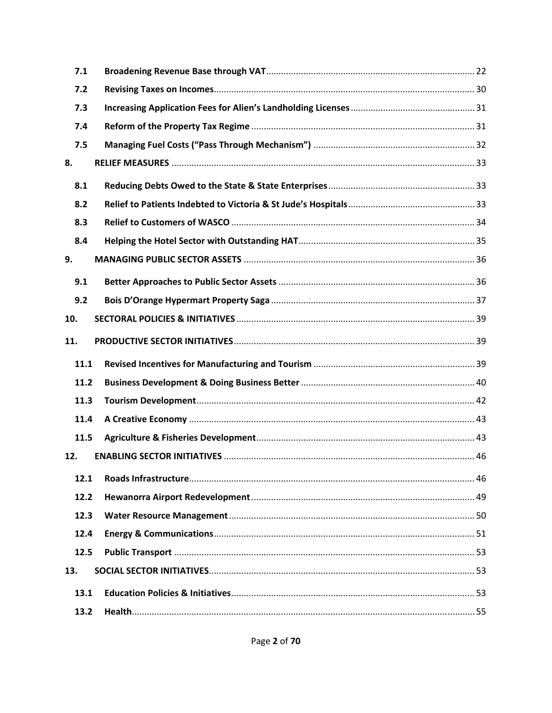| 7.1  |  |
|------|--|
| 7.2  |  |
| 7.3  |  |
| 7.4  |  |
| 7.5  |  |
| 8.   |  |
| 8.1  |  |
| 8.2  |  |
| 8.3  |  |
| 8.4  |  |
| 9.   |  |
| 9.1  |  |
| 9.2  |  |
| 10.  |  |
| 11.  |  |
|      |  |
| 11.1 |  |
| 11.2 |  |
| 11.3 |  |
| 11.4 |  |
| 11.5 |  |
| 12.  |  |
| 12.1 |  |
| 12.2 |  |
| 12.3 |  |
| 12.4 |  |
| 12.5 |  |
| 13.  |  |
| 13.1 |  |
| 13.2 |  |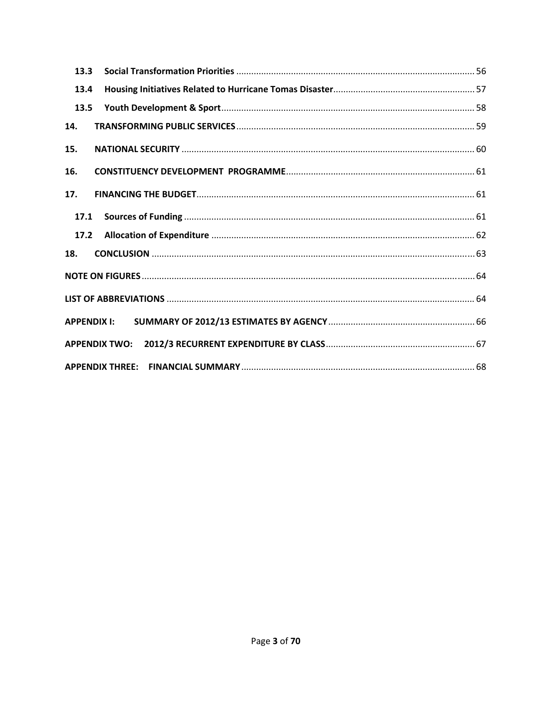| 13.3               |  |
|--------------------|--|
| 13.4               |  |
| 13.5               |  |
| 14.                |  |
| 15.                |  |
| 16.                |  |
| 17.                |  |
| 17.1               |  |
| 17.2               |  |
| 18.                |  |
|                    |  |
|                    |  |
| <b>APPENDIX I:</b> |  |
|                    |  |
|                    |  |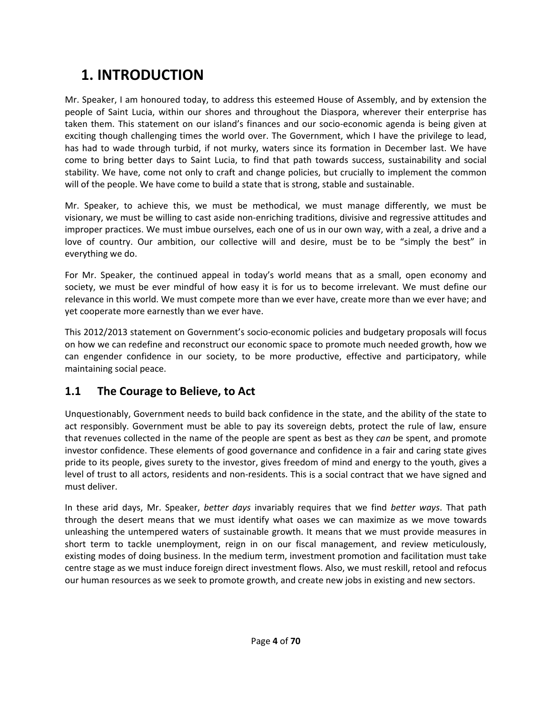## **1. INTRODUCTION**

Mr. Speaker, I am honoured today, to address this esteemed House of Assembly, and by extension the people of Saint Lucia, within our shores and throughout the Diaspora, wherever their enterprise has taken them. This statement on our island's finances and our socio‐economic agenda is being given at exciting though challenging times the world over. The Government, which I have the privilege to lead, has had to wade through turbid, if not murky, waters since its formation in December last. We have come to bring better days to Saint Lucia, to find that path towards success, sustainability and social stability. We have, come not only to craft and change policies, but crucially to implement the common will of the people. We have come to build a state that is strong, stable and sustainable.

Mr. Speaker, to achieve this, we must be methodical, we must manage differently, we must be visionary, we must be willing to cast aside non-enriching traditions, divisive and regressive attitudes and improper practices. We must imbue ourselves, each one of us in our own way, with a zeal, a drive and a love of country. Our ambition, our collective will and desire, must be to be "simply the best" in everything we do.

For Mr. Speaker, the continued appeal in today's world means that as a small, open economy and society, we must be ever mindful of how easy it is for us to become irrelevant. We must define our relevance in this world. We must compete more than we ever have, create more than we ever have; and yet cooperate more earnestly than we ever have.

This 2012/2013 statement on Government's socio‐economic policies and budgetary proposals will focus on how we can redefine and reconstruct our economic space to promote much needed growth, how we can engender confidence in our society, to be more productive, effective and participatory, while maintaining social peace.

## **1.1 The Courage to Believe, to Act**

Unquestionably, Government needs to build back confidence in the state, and the ability of the state to act responsibly. Government must be able to pay its sovereign debts, protect the rule of law, ensure that revenues collected in the name of the people are spent as best as they *can* be spent, and promote investor confidence. These elements of good governance and confidence in a fair and caring state gives pride to its people, gives surety to the investor, gives freedom of mind and energy to the youth, gives a level of trust to all actors, residents and non-residents. This is a social contract that we have signed and must deliver.

In these arid days, Mr. Speaker, *better days* invariably requires that we find *better ways*. That path through the desert means that we must identify what oases we can maximize as we move towards unleashing the untempered waters of sustainable growth. It means that we must provide measures in short term to tackle unemployment, reign in on our fiscal management, and review meticulously, existing modes of doing business. In the medium term, investment promotion and facilitation must take centre stage as we must induce foreign direct investment flows. Also, we must reskill, retool and refocus our human resources as we seek to promote growth, and create new jobs in existing and new sectors.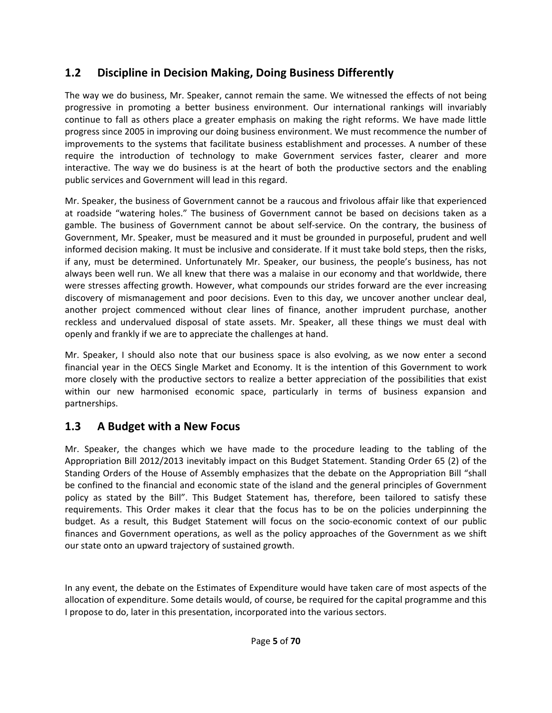## **1.2 Discipline in Decision Making, Doing Business Differently**

The way we do business, Mr. Speaker, cannot remain the same. We witnessed the effects of not being progressive in promoting a better business environment. Our international rankings will invariably continue to fall as others place a greater emphasis on making the right reforms. We have made little progress since 2005 in improving our doing business environment. We must recommence the number of improvements to the systems that facilitate business establishment and processes. A number of these require the introduction of technology to make Government services faster, clearer and more interactive. The way we do business is at the heart of both the productive sectors and the enabling public services and Government will lead in this regard.

Mr. Speaker, the business of Government cannot be a raucous and frivolous affair like that experienced at roadside "watering holes." The business of Government cannot be based on decisions taken as a gamble. The business of Government cannot be about self‐service. On the contrary, the business of Government, Mr. Speaker, must be measured and it must be grounded in purposeful, prudent and well informed decision making. It must be inclusive and considerate. If it must take bold steps, then the risks, if any, must be determined. Unfortunately Mr. Speaker, our business, the people's business, has not always been well run. We all knew that there was a malaise in our economy and that worldwide, there were stresses affecting growth. However, what compounds our strides forward are the ever increasing discovery of mismanagement and poor decisions. Even to this day, we uncover another unclear deal, another project commenced without clear lines of finance, another imprudent purchase, another reckless and undervalued disposal of state assets. Mr. Speaker, all these things we must deal with openly and frankly if we are to appreciate the challenges at hand.

Mr. Speaker, I should also note that our business space is also evolving, as we now enter a second financial year in the OECS Single Market and Economy. It is the intention of this Government to work more closely with the productive sectors to realize a better appreciation of the possibilities that exist within our new harmonised economic space, particularly in terms of business expansion and partnerships.

## **1.3 A Budget with a New Focus**

Mr. Speaker, the changes which we have made to the procedure leading to the tabling of the Appropriation Bill 2012/2013 inevitably impact on this Budget Statement. Standing Order 65 (2) of the Standing Orders of the House of Assembly emphasizes that the debate on the Appropriation Bill "shall be confined to the financial and economic state of the island and the general principles of Government policy as stated by the Bill". This Budget Statement has, therefore, been tailored to satisfy these requirements. This Order makes it clear that the focus has to be on the policies underpinning the budget. As a result, this Budget Statement will focus on the socio‐economic context of our public finances and Government operations, as well as the policy approaches of the Government as we shift our state onto an upward trajectory of sustained growth.

In any event, the debate on the Estimates of Expenditure would have taken care of most aspects of the allocation of expenditure. Some details would, of course, be required for the capital programme and this I propose to do, later in this presentation, incorporated into the various sectors.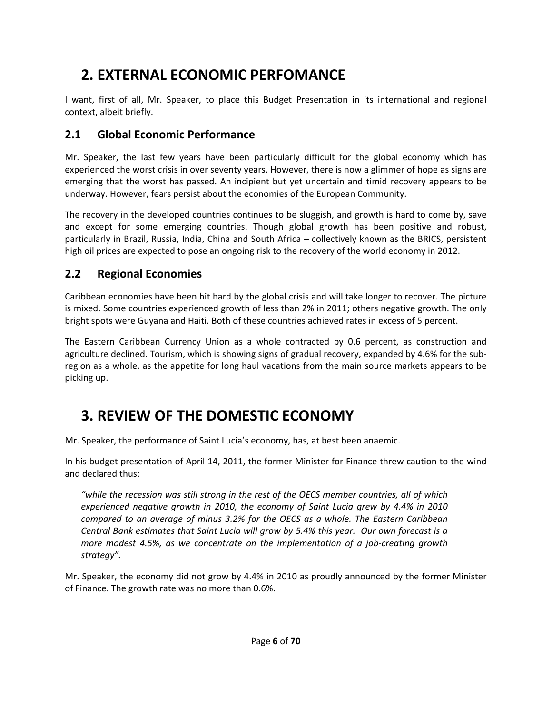## **2. EXTERNAL ECONOMIC PERFOMANCE**

I want, first of all, Mr. Speaker, to place this Budget Presentation in its international and regional context, albeit briefly.

## **2.1 Global Economic Performance**

Mr. Speaker, the last few years have been particularly difficult for the global economy which has experienced the worst crisis in over seventy years. However, there is now a glimmer of hope as signs are emerging that the worst has passed. An incipient but yet uncertain and timid recovery appears to be underway. However, fears persist about the economies of the European Community.

The recovery in the developed countries continues to be sluggish, and growth is hard to come by, save and except for some emerging countries. Though global growth has been positive and robust, particularly in Brazil, Russia, India, China and South Africa – collectively known as the BRICS, persistent high oil prices are expected to pose an ongoing risk to the recovery of the world economy in 2012.

## **2.2 Regional Economies**

Caribbean economies have been hit hard by the global crisis and will take longer to recover. The picture is mixed. Some countries experienced growth of less than 2% in 2011; others negative growth. The only bright spots were Guyana and Haiti. Both of these countries achieved rates in excess of 5 percent.

The Eastern Caribbean Currency Union as a whole contracted by 0.6 percent, as construction and agriculture declined. Tourism, which is showing signs of gradual recovery, expanded by 4.6% for the sub‐ region as a whole, as the appetite for long haul vacations from the main source markets appears to be picking up.

## **3. REVIEW OF THE DOMESTIC ECONOMY**

Mr. Speaker, the performance of Saint Lucia's economy, has, at best been anaemic.

In his budget presentation of April 14, 2011, the former Minister for Finance threw caution to the wind and declared thus:

*"while the recession was still strong in the rest of the OECS member countries, all of which experienced negative growth in 2010, the economy of Saint Lucia grew by 4.4% in 2010 compared to an average of minus 3.2% for the OECS as a whole. The Eastern Caribbean Central Bank estimates that Saint Lucia will grow by 5.4% this year. Our own forecast is a more modest 4.5%, as we concentrate on the implementation of a job‐creating growth strategy".* 

Mr. Speaker, the economy did not grow by 4.4% in 2010 as proudly announced by the former Minister of Finance. The growth rate was no more than 0.6%.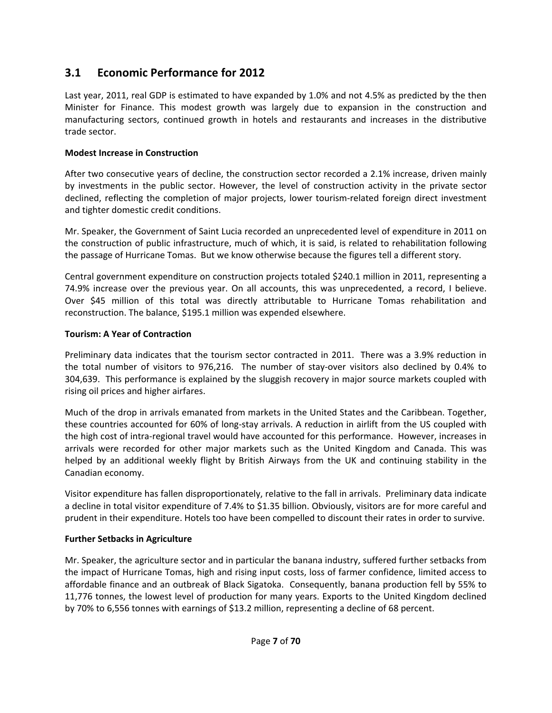## **3.1 Economic Performance for 2012**

Last year, 2011, real GDP is estimated to have expanded by 1.0% and not 4.5% as predicted by the then Minister for Finance. This modest growth was largely due to expansion in the construction and manufacturing sectors, continued growth in hotels and restaurants and increases in the distributive trade sector.

#### **Modest Increase in Construction**

After two consecutive years of decline, the construction sector recorded a 2.1% increase, driven mainly by investments in the public sector. However, the level of construction activity in the private sector declined, reflecting the completion of major projects, lower tourism-related foreign direct investment and tighter domestic credit conditions.

Mr. Speaker, the Government of Saint Lucia recorded an unprecedented level of expenditure in 2011 on the construction of public infrastructure, much of which, it is said, is related to rehabilitation following the passage of Hurricane Tomas. But we know otherwise because the figures tell a different story.

Central government expenditure on construction projects totaled \$240.1 million in 2011, representing a 74.9% increase over the previous year. On all accounts, this was unprecedented, a record, I believe. Over \$45 million of this total was directly attributable to Hurricane Tomas rehabilitation and reconstruction. The balance, \$195.1 million was expended elsewhere.

#### **Tourism: A Year of Contraction**

Preliminary data indicates that the tourism sector contracted in 2011. There was a 3.9% reduction in the total number of visitors to 976,216. The number of stay-over visitors also declined by 0.4% to 304,639. This performance is explained by the sluggish recovery in major source markets coupled with rising oil prices and higher airfares.

Much of the drop in arrivals emanated from markets in the United States and the Caribbean. Together, these countries accounted for 60% of long‐stay arrivals. A reduction in airlift from the US coupled with the high cost of intra‐regional travel would have accounted for this performance. However, increases in arrivals were recorded for other major markets such as the United Kingdom and Canada. This was helped by an additional weekly flight by British Airways from the UK and continuing stability in the Canadian economy.

Visitor expenditure has fallen disproportionately, relative to the fall in arrivals. Preliminary data indicate a decline in total visitor expenditure of 7.4% to \$1.35 billion. Obviously, visitors are for more careful and prudent in their expenditure. Hotels too have been compelled to discount their rates in order to survive.

#### **Further Setbacks in Agriculture**

Mr. Speaker, the agriculture sector and in particular the banana industry, suffered further setbacks from the impact of Hurricane Tomas, high and rising input costs, loss of farmer confidence, limited access to affordable finance and an outbreak of Black Sigatoka. Consequently, banana production fell by 55% to 11,776 tonnes, the lowest level of production for many years. Exports to the United Kingdom declined by 70% to 6,556 tonnes with earnings of \$13.2 million, representing a decline of 68 percent.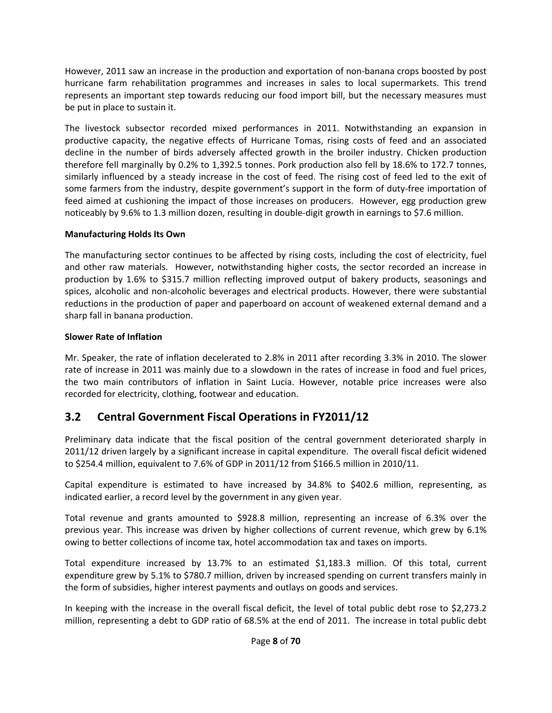However, 2011 saw an increase in the production and exportation of non‐banana crops boosted by post hurricane farm rehabilitation programmes and increases in sales to local supermarkets. This trend represents an important step towards reducing our food import bill, but the necessary measures must be put in place to sustain it.

The livestock subsector recorded mixed performances in 2011. Notwithstanding an expansion in productive capacity, the negative effects of Hurricane Tomas, rising costs of feed and an associated decline in the number of birds adversely affected growth in the broiler industry. Chicken production therefore fell marginally by 0.2% to 1,392.5 tonnes. Pork production also fell by 18.6% to 172.7 tonnes, similarly influenced by a steady increase in the cost of feed. The rising cost of feed led to the exit of some farmers from the industry, despite government's support in the form of duty-free importation of feed aimed at cushioning the impact of those increases on producers. However, egg production grew noticeably by 9.6% to 1.3 million dozen, resulting in double‐digit growth in earnings to \$7.6 million.

#### **Manufacturing Holds Its Own**

The manufacturing sector continues to be affected by rising costs, including the cost of electricity, fuel and other raw materials. However, notwithstanding higher costs, the sector recorded an increase in production by 1.6% to \$315.7 million reflecting improved output of bakery products, seasonings and spices, alcoholic and non-alcoholic beverages and electrical products. However, there were substantial reductions in the production of paper and paperboard on account of weakened external demand and a sharp fall in banana production.

#### **Slower Rate of Inflation**

Mr. Speaker, the rate of inflation decelerated to 2.8% in 2011 after recording 3.3% in 2010. The slower rate of increase in 2011 was mainly due to a slowdown in the rates of increase in food and fuel prices, the two main contributors of inflation in Saint Lucia. However, notable price increases were also recorded for electricity, clothing, footwear and education.

### **3.2 Central Government Fiscal Operations in FY2011/12**

Preliminary data indicate that the fiscal position of the central government deteriorated sharply in 2011/12 driven largely by a significant increase in capital expenditure. The overall fiscal deficit widened to \$254.4 million, equivalent to 7.6% of GDP in 2011/12 from \$166.5 million in 2010/11.

Capital expenditure is estimated to have increased by 34.8% to \$402.6 million, representing, as indicated earlier, a record level by the government in any given year.

Total revenue and grants amounted to \$928.8 million, representing an increase of 6.3% over the previous year. This increase was driven by higher collections of current revenue, which grew by 6.1% owing to better collections of income tax, hotel accommodation tax and taxes on imports.

Total expenditure increased by 13.7% to an estimated \$1,183.3 million. Of this total, current expenditure grew by 5.1% to \$780.7 million, driven by increased spending on current transfers mainly in the form of subsidies, higher interest payments and outlays on goods and services.

In keeping with the increase in the overall fiscal deficit, the level of total public debt rose to \$2,273.2 million, representing a debt to GDP ratio of 68.5% at the end of 2011. The increase in total public debt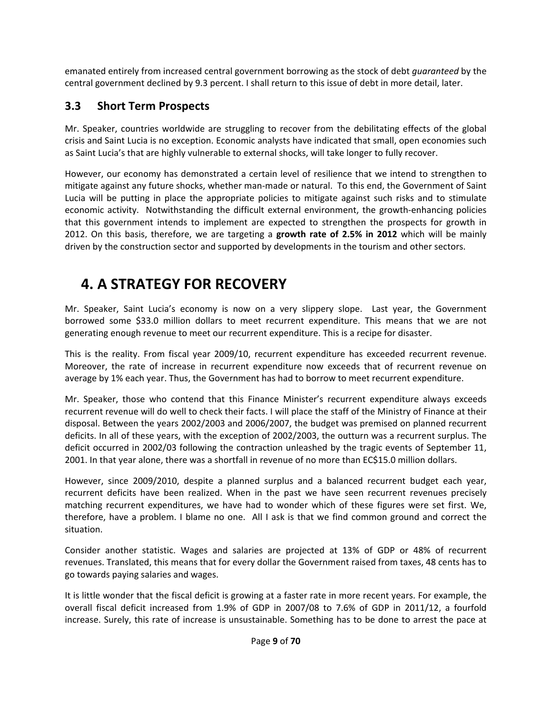emanated entirely from increased central government borrowing as the stock of debt *guaranteed* by the central government declined by 9.3 percent. I shall return to this issue of debt in more detail, later.

### **3.3 Short Term Prospects**

Mr. Speaker, countries worldwide are struggling to recover from the debilitating effects of the global crisis and Saint Lucia is no exception. Economic analysts have indicated that small, open economies such as Saint Lucia's that are highly vulnerable to external shocks, will take longer to fully recover.

However, our economy has demonstrated a certain level of resilience that we intend to strengthen to mitigate against any future shocks, whether man-made or natural. To this end, the Government of Saint Lucia will be putting in place the appropriate policies to mitigate against such risks and to stimulate economic activity. Notwithstanding the difficult external environment, the growth‐enhancing policies that this government intends to implement are expected to strengthen the prospects for growth in 2012. On this basis, therefore, we are targeting a **growth rate of 2.5% in 2012** which will be mainly driven by the construction sector and supported by developments in the tourism and other sectors.

## **4. A STRATEGY FOR RECOVERY**

Mr. Speaker, Saint Lucia's economy is now on a very slippery slope. Last year, the Government borrowed some \$33.0 million dollars to meet recurrent expenditure. This means that we are not generating enough revenue to meet our recurrent expenditure. This is a recipe for disaster.

This is the reality. From fiscal year 2009/10, recurrent expenditure has exceeded recurrent revenue. Moreover, the rate of increase in recurrent expenditure now exceeds that of recurrent revenue on average by 1% each year. Thus, the Government has had to borrow to meet recurrent expenditure.

Mr. Speaker, those who contend that this Finance Minister's recurrent expenditure always exceeds recurrent revenue will do well to check their facts. I will place the staff of the Ministry of Finance at their disposal. Between the years 2002/2003 and 2006/2007, the budget was premised on planned recurrent deficits. In all of these years, with the exception of 2002/2003, the outturn was a recurrent surplus. The deficit occurred in 2002/03 following the contraction unleashed by the tragic events of September 11, 2001. In that year alone, there was a shortfall in revenue of no more than EC\$15.0 million dollars.

However, since 2009/2010, despite a planned surplus and a balanced recurrent budget each year, recurrent deficits have been realized. When in the past we have seen recurrent revenues precisely matching recurrent expenditures, we have had to wonder which of these figures were set first. We, therefore, have a problem. I blame no one. All I ask is that we find common ground and correct the situation.

Consider another statistic. Wages and salaries are projected at 13% of GDP or 48% of recurrent revenues. Translated, this means that for every dollar the Government raised from taxes, 48 cents has to go towards paying salaries and wages.

It is little wonder that the fiscal deficit is growing at a faster rate in more recent years. For example, the overall fiscal deficit increased from 1.9% of GDP in 2007/08 to 7.6% of GDP in 2011/12, a fourfold increase. Surely, this rate of increase is unsustainable. Something has to be done to arrest the pace at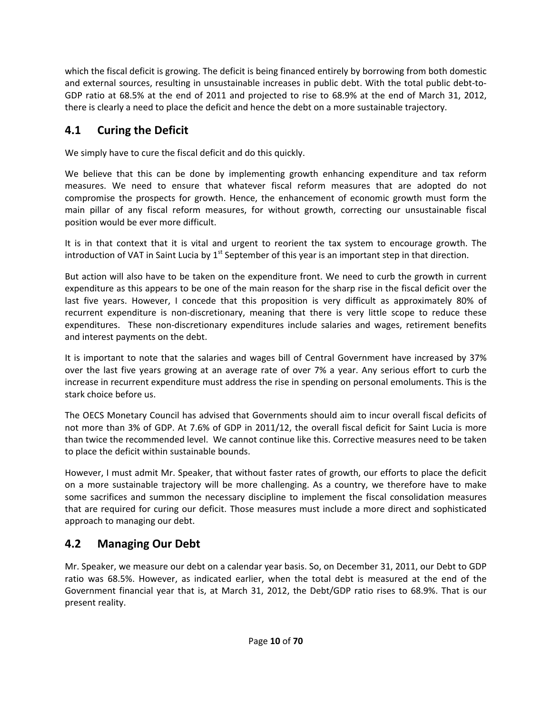which the fiscal deficit is growing. The deficit is being financed entirely by borrowing from both domestic and external sources, resulting in unsustainable increases in public debt. With the total public debt-to-GDP ratio at 68.5% at the end of 2011 and projected to rise to 68.9% at the end of March 31, 2012, there is clearly a need to place the deficit and hence the debt on a more sustainable trajectory.

## **4.1 Curing the Deficit**

We simply have to cure the fiscal deficit and do this quickly.

We believe that this can be done by implementing growth enhancing expenditure and tax reform measures. We need to ensure that whatever fiscal reform measures that are adopted do not compromise the prospects for growth. Hence, the enhancement of economic growth must form the main pillar of any fiscal reform measures, for without growth, correcting our unsustainable fiscal position would be ever more difficult.

It is in that context that it is vital and urgent to reorient the tax system to encourage growth. The introduction of VAT in Saint Lucia by  $1<sup>st</sup>$  September of this year is an important step in that direction.

But action will also have to be taken on the expenditure front. We need to curb the growth in current expenditure as this appears to be one of the main reason for the sharp rise in the fiscal deficit over the last five years. However, I concede that this proposition is very difficult as approximately 80% of recurrent expenditure is non-discretionary, meaning that there is very little scope to reduce these expenditures. These non-discretionary expenditures include salaries and wages, retirement benefits and interest payments on the debt.

It is important to note that the salaries and wages bill of Central Government have increased by 37% over the last five years growing at an average rate of over 7% a year. Any serious effort to curb the increase in recurrent expenditure must address the rise in spending on personal emoluments. This is the stark choice before us.

The OECS Monetary Council has advised that Governments should aim to incur overall fiscal deficits of not more than 3% of GDP. At 7.6% of GDP in 2011/12, the overall fiscal deficit for Saint Lucia is more than twice the recommended level. We cannot continue like this. Corrective measures need to be taken to place the deficit within sustainable bounds.

However, I must admit Mr. Speaker, that without faster rates of growth, our efforts to place the deficit on a more sustainable trajectory will be more challenging. As a country, we therefore have to make some sacrifices and summon the necessary discipline to implement the fiscal consolidation measures that are required for curing our deficit. Those measures must include a more direct and sophisticated approach to managing our debt.

## **4.2 Managing Our Debt**

Mr. Speaker, we measure our debt on a calendar year basis. So, on December 31, 2011, our Debt to GDP ratio was 68.5%. However, as indicated earlier, when the total debt is measured at the end of the Government financial year that is, at March 31, 2012, the Debt/GDP ratio rises to 68.9%. That is our present reality.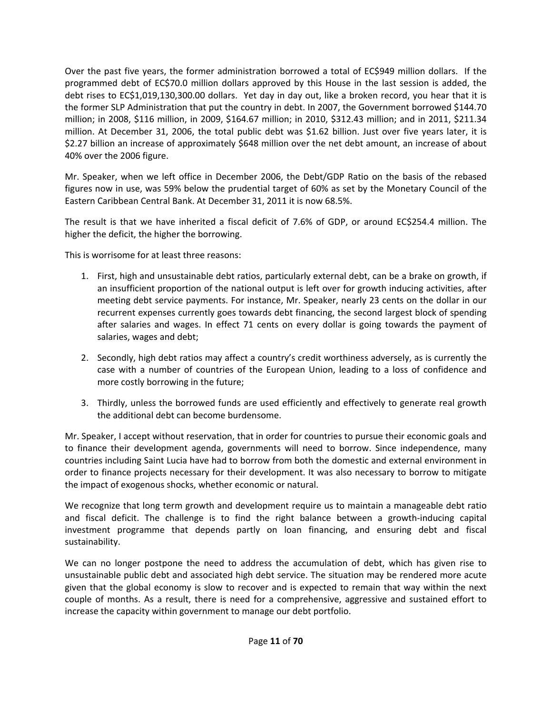Over the past five years, the former administration borrowed a total of EC\$949 million dollars. If the programmed debt of EC\$70.0 million dollars approved by this House in the last session is added, the debt rises to EC\$1,019,130,300.00 dollars. Yet day in day out, like a broken record, you hear that it is the former SLP Administration that put the country in debt. In 2007, the Government borrowed \$144.70 million; in 2008, \$116 million, in 2009, \$164.67 million; in 2010, \$312.43 million; and in 2011, \$211.34 million. At December 31, 2006, the total public debt was \$1.62 billion. Just over five years later, it is \$2.27 billion an increase of approximately \$648 million over the net debt amount, an increase of about 40% over the 2006 figure.

Mr. Speaker, when we left office in December 2006, the Debt/GDP Ratio on the basis of the rebased figures now in use, was 59% below the prudential target of 60% as set by the Monetary Council of the Eastern Caribbean Central Bank. At December 31, 2011 it is now 68.5%.

The result is that we have inherited a fiscal deficit of 7.6% of GDP, or around EC\$254.4 million. The higher the deficit, the higher the borrowing.

This is worrisome for at least three reasons:

- 1. First, high and unsustainable debt ratios, particularly external debt, can be a brake on growth, if an insufficient proportion of the national output is left over for growth inducing activities, after meeting debt service payments. For instance, Mr. Speaker, nearly 23 cents on the dollar in our recurrent expenses currently goes towards debt financing, the second largest block of spending after salaries and wages. In effect 71 cents on every dollar is going towards the payment of salaries, wages and debt;
- 2. Secondly, high debt ratios may affect a country's credit worthiness adversely, as is currently the case with a number of countries of the European Union, leading to a loss of confidence and more costly borrowing in the future;
- 3. Thirdly, unless the borrowed funds are used efficiently and effectively to generate real growth the additional debt can become burdensome.

Mr. Speaker, I accept without reservation, that in order for countries to pursue their economic goals and to finance their development agenda, governments will need to borrow. Since independence, many countries including Saint Lucia have had to borrow from both the domestic and external environment in order to finance projects necessary for their development. It was also necessary to borrow to mitigate the impact of exogenous shocks, whether economic or natural.

We recognize that long term growth and development require us to maintain a manageable debt ratio and fiscal deficit. The challenge is to find the right balance between a growth‐inducing capital investment programme that depends partly on loan financing, and ensuring debt and fiscal sustainability.

We can no longer postpone the need to address the accumulation of debt, which has given rise to unsustainable public debt and associated high debt service. The situation may be rendered more acute given that the global economy is slow to recover and is expected to remain that way within the next couple of months. As a result, there is need for a comprehensive, aggressive and sustained effort to increase the capacity within government to manage our debt portfolio.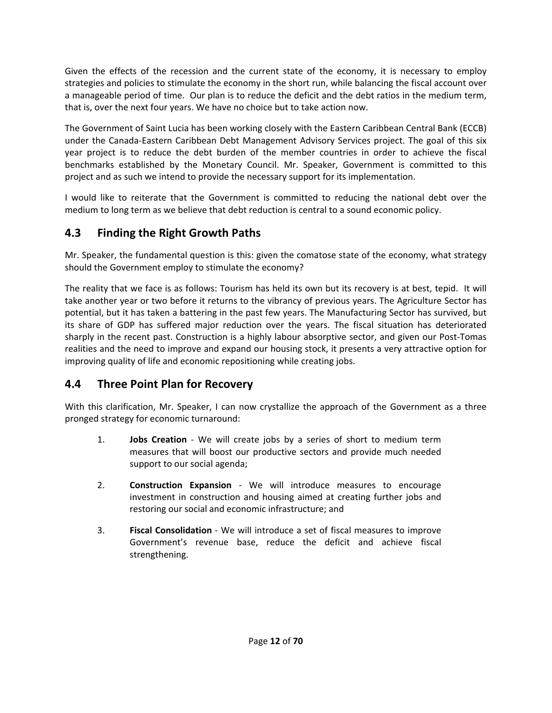Given the effects of the recession and the current state of the economy, it is necessary to employ strategies and policies to stimulate the economy in the short run, while balancing the fiscal account over a manageable period of time. Our plan is to reduce the deficit and the debt ratios in the medium term, that is, over the next four years. We have no choice but to take action now.

The Government of Saint Lucia has been working closely with the Eastern Caribbean Central Bank (ECCB) under the Canada‐Eastern Caribbean Debt Management Advisory Services project. The goal of this six year project is to reduce the debt burden of the member countries in order to achieve the fiscal benchmarks established by the Monetary Council. Mr. Speaker, Government is committed to this project and as such we intend to provide the necessary support for its implementation.

I would like to reiterate that the Government is committed to reducing the national debt over the medium to long term as we believe that debt reduction is central to a sound economic policy.

## **4.3 Finding the Right Growth Paths**

Mr. Speaker, the fundamental question is this: given the comatose state of the economy, what strategy should the Government employ to stimulate the economy?

The reality that we face is as follows: Tourism has held its own but its recovery is at best, tepid. It will take another year or two before it returns to the vibrancy of previous years. The Agriculture Sector has potential, but it has taken a battering in the past few years. The Manufacturing Sector has survived, but its share of GDP has suffered major reduction over the years. The fiscal situation has deteriorated sharply in the recent past. Construction is a highly labour absorptive sector, and given our Post‐Tomas realities and the need to improve and expand our housing stock, it presents a very attractive option for improving quality of life and economic repositioning while creating jobs.

## **4.4 Three Point Plan for Recovery**

With this clarification, Mr. Speaker, I can now crystallize the approach of the Government as a three pronged strategy for economic turnaround:

- 1. **Jobs Creation** ‐ We will create jobs by a series of short to medium term measures that will boost our productive sectors and provide much needed support to our social agenda;
- 2. **Construction Expansion** ‐ We will introduce measures to encourage investment in construction and housing aimed at creating further jobs and restoring our social and economic infrastructure; and
- 3. **Fiscal Consolidation** ‐ We will introduce a set of fiscal measures to improve Government's revenue base, reduce the deficit and achieve fiscal strengthening.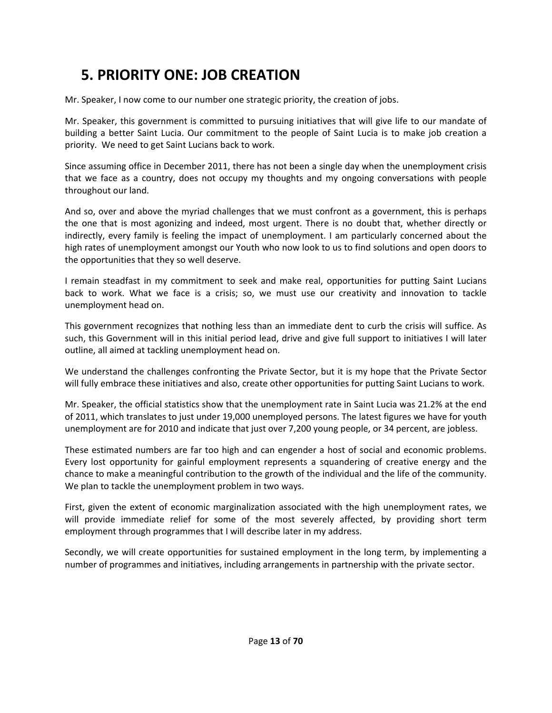## **5. PRIORITY ONE: JOB CREATION**

Mr. Speaker, I now come to our number one strategic priority, the creation of jobs.

Mr. Speaker, this government is committed to pursuing initiatives that will give life to our mandate of building a better Saint Lucia. Our commitment to the people of Saint Lucia is to make job creation a priority. We need to get Saint Lucians back to work.

Since assuming office in December 2011, there has not been a single day when the unemployment crisis that we face as a country, does not occupy my thoughts and my ongoing conversations with people throughout our land.

And so, over and above the myriad challenges that we must confront as a government, this is perhaps the one that is most agonizing and indeed, most urgent. There is no doubt that, whether directly or indirectly, every family is feeling the impact of unemployment. I am particularly concerned about the high rates of unemployment amongst our Youth who now look to us to find solutions and open doors to the opportunities that they so well deserve.

I remain steadfast in my commitment to seek and make real, opportunities for putting Saint Lucians back to work. What we face is a crisis; so, we must use our creativity and innovation to tackle unemployment head on.

This government recognizes that nothing less than an immediate dent to curb the crisis will suffice. As such, this Government will in this initial period lead, drive and give full support to initiatives I will later outline, all aimed at tackling unemployment head on.

We understand the challenges confronting the Private Sector, but it is my hope that the Private Sector will fully embrace these initiatives and also, create other opportunities for putting Saint Lucians to work.

Mr. Speaker, the official statistics show that the unemployment rate in Saint Lucia was 21.2% at the end of 2011, which translates to just under 19,000 unemployed persons. The latest figures we have for youth unemployment are for 2010 and indicate that just over 7,200 young people, or 34 percent, are jobless.

These estimated numbers are far too high and can engender a host of social and economic problems. Every lost opportunity for gainful employment represents a squandering of creative energy and the chance to make a meaningful contribution to the growth of the individual and the life of the community. We plan to tackle the unemployment problem in two ways.

First, given the extent of economic marginalization associated with the high unemployment rates, we will provide immediate relief for some of the most severely affected, by providing short term employment through programmes that I will describe later in my address.

Secondly, we will create opportunities for sustained employment in the long term, by implementing a number of programmes and initiatives, including arrangements in partnership with the private sector.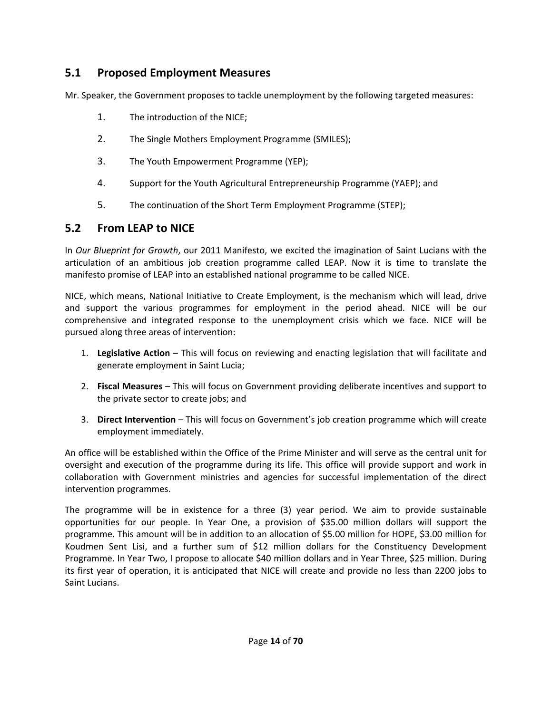## **5.1 Proposed Employment Measures**

Mr. Speaker, the Government proposes to tackle unemployment by the following targeted measures:

- 1. The introduction of the NICE;
- 2. The Single Mothers Employment Programme (SMILES);
- 3. The Youth Empowerment Programme (YEP);
- 4. Support for the Youth Agricultural Entrepreneurship Programme (YAEP); and
- 5. The continuation of the Short Term Employment Programme (STEP);

### **5.2 From LEAP to NICE**

In *Our Blueprint for Growth*, our 2011 Manifesto, we excited the imagination of Saint Lucians with the articulation of an ambitious job creation programme called LEAP. Now it is time to translate the manifesto promise of LEAP into an established national programme to be called NICE.

NICE, which means, National Initiative to Create Employment, is the mechanism which will lead, drive and support the various programmes for employment in the period ahead. NICE will be our comprehensive and integrated response to the unemployment crisis which we face. NICE will be pursued along three areas of intervention:

- 1. **Legislative Action** This will focus on reviewing and enacting legislation that will facilitate and generate employment in Saint Lucia;
- 2. **Fiscal Measures** This will focus on Government providing deliberate incentives and support to the private sector to create jobs; and
- 3. **Direct Intervention** This will focus on Government's job creation programme which will create employment immediately.

An office will be established within the Office of the Prime Minister and will serve as the central unit for oversight and execution of the programme during its life. This office will provide support and work in collaboration with Government ministries and agencies for successful implementation of the direct intervention programmes.

The programme will be in existence for a three (3) year period. We aim to provide sustainable opportunities for our people. In Year One, a provision of \$35.00 million dollars will support the programme. This amount will be in addition to an allocation of \$5.00 million for HOPE, \$3.00 million for Koudmen Sent Lisi, and a further sum of \$12 million dollars for the Constituency Development Programme. In Year Two, I propose to allocate \$40 million dollars and in Year Three, \$25 million. During its first year of operation, it is anticipated that NICE will create and provide no less than 2200 jobs to Saint Lucians.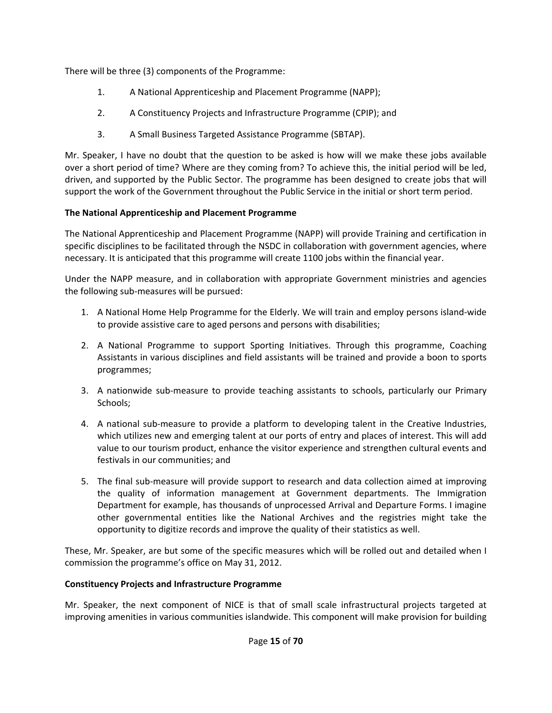There will be three (3) components of the Programme:

- 1. A National Apprenticeship and Placement Programme (NAPP);
- 2. A Constituency Projects and Infrastructure Programme (CPIP); and
- 3. A Small Business Targeted Assistance Programme (SBTAP).

Mr. Speaker, I have no doubt that the question to be asked is how will we make these jobs available over a short period of time? Where are they coming from? To achieve this, the initial period will be led, driven, and supported by the Public Sector. The programme has been designed to create jobs that will support the work of the Government throughout the Public Service in the initial or short term period.

#### **The National Apprenticeship and Placement Programme**

The National Apprenticeship and Placement Programme (NAPP) will provide Training and certification in specific disciplines to be facilitated through the NSDC in collaboration with government agencies, where necessary. It is anticipated that this programme will create 1100 jobs within the financial year.

Under the NAPP measure, and in collaboration with appropriate Government ministries and agencies the following sub‐measures will be pursued:

- 1. A National Home Help Programme for the Elderly. We will train and employ persons island‐wide to provide assistive care to aged persons and persons with disabilities;
- 2. A National Programme to support Sporting Initiatives. Through this programme, Coaching Assistants in various disciplines and field assistants will be trained and provide a boon to sports programmes;
- 3. A nationwide sub-measure to provide teaching assistants to schools, particularly our Primary Schools;
- 4. A national sub-measure to provide a platform to developing talent in the Creative Industries, which utilizes new and emerging talent at our ports of entry and places of interest. This will add value to our tourism product, enhance the visitor experience and strengthen cultural events and festivals in our communities; and
- 5. The final sub-measure will provide support to research and data collection aimed at improving the quality of information management at Government departments. The Immigration Department for example, has thousands of unprocessed Arrival and Departure Forms. I imagine other governmental entities like the National Archives and the registries might take the opportunity to digitize records and improve the quality of their statistics as well.

These, Mr. Speaker, are but some of the specific measures which will be rolled out and detailed when I commission the programme's office on May 31, 2012.

#### **Constituency Projects and Infrastructure Programme**

Mr. Speaker, the next component of NICE is that of small scale infrastructural projects targeted at improving amenities in various communities islandwide. This component will make provision for building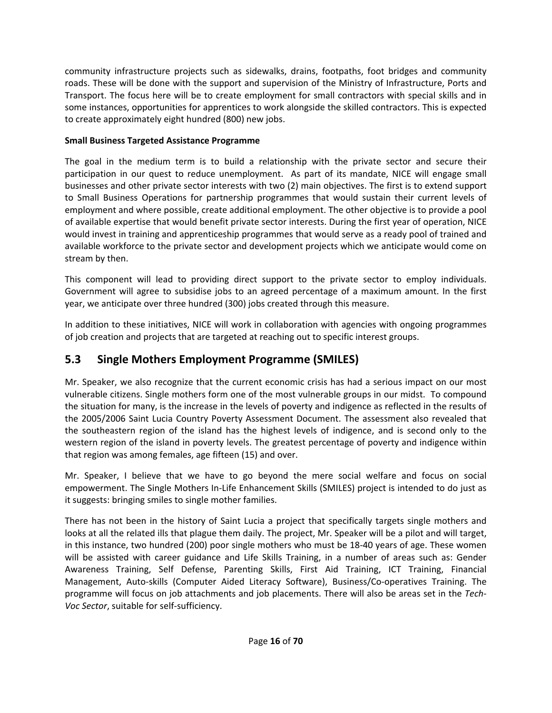community infrastructure projects such as sidewalks, drains, footpaths, foot bridges and community roads. These will be done with the support and supervision of the Ministry of Infrastructure, Ports and Transport. The focus here will be to create employment for small contractors with special skills and in some instances, opportunities for apprentices to work alongside the skilled contractors. This is expected to create approximately eight hundred (800) new jobs.

#### **Small Business Targeted Assistance Programme**

The goal in the medium term is to build a relationship with the private sector and secure their participation in our quest to reduce unemployment. As part of its mandate, NICE will engage small businesses and other private sector interests with two (2) main objectives. The first is to extend support to Small Business Operations for partnership programmes that would sustain their current levels of employment and where possible, create additional employment. The other objective is to provide a pool of available expertise that would benefit private sector interests. During the first year of operation, NICE would invest in training and apprenticeship programmes that would serve as a ready pool of trained and available workforce to the private sector and development projects which we anticipate would come on stream by then.

This component will lead to providing direct support to the private sector to employ individuals. Government will agree to subsidise jobs to an agreed percentage of a maximum amount. In the first year, we anticipate over three hundred (300) jobs created through this measure.

In addition to these initiatives, NICE will work in collaboration with agencies with ongoing programmes of job creation and projects that are targeted at reaching out to specific interest groups.

## **5.3 Single Mothers Employment Programme (SMILES)**

Mr. Speaker, we also recognize that the current economic crisis has had a serious impact on our most vulnerable citizens. Single mothers form one of the most vulnerable groups in our midst. To compound the situation for many, is the increase in the levels of poverty and indigence as reflected in the results of the 2005/2006 Saint Lucia Country Poverty Assessment Document. The assessment also revealed that the southeastern region of the island has the highest levels of indigence, and is second only to the western region of the island in poverty levels. The greatest percentage of poverty and indigence within that region was among females, age fifteen (15) and over.

Mr. Speaker, I believe that we have to go beyond the mere social welfare and focus on social empowerment. The Single Mothers In-Life Enhancement Skills (SMILES) project is intended to do just as it suggests: bringing smiles to single mother families.

There has not been in the history of Saint Lucia a project that specifically targets single mothers and looks at all the related ills that plague them daily. The project, Mr. Speaker will be a pilot and will target, in this instance, two hundred (200) poor single mothers who must be 18‐40 years of age. These women will be assisted with career guidance and Life Skills Training, in a number of areas such as: Gender Awareness Training, Self Defense, Parenting Skills, First Aid Training, ICT Training, Financial Management, Auto‐skills (Computer Aided Literacy Software), Business/Co‐operatives Training. The programme will focus on job attachments and job placements. There will also be areas set in the *Tech‐ Voc Sector*, suitable for self‐sufficiency.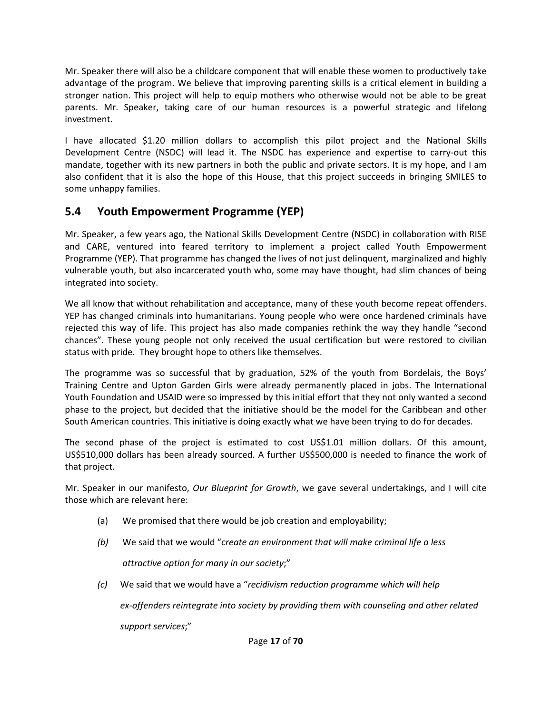Mr. Speaker there will also be a childcare component that will enable these women to productively take advantage of the program. We believe that improving parenting skills is a critical element in building a stronger nation. This project will help to equip mothers who otherwise would not be able to be great parents. Mr. Speaker, taking care of our human resources is a powerful strategic and lifelong investment.

I have allocated \$1.20 million dollars to accomplish this pilot project and the National Skills Development Centre (NSDC) will lead it. The NSDC has experience and expertise to carry-out this mandate, together with its new partners in both the public and private sectors. It is my hope, and I am also confident that it is also the hope of this House, that this project succeeds in bringing SMILES to some unhappy families.

## **5.4 Youth Empowerment Programme (YEP)**

Mr. Speaker, a few years ago, the National Skills Development Centre (NSDC) in collaboration with RISE and CARE, ventured into feared territory to implement a project called Youth Empowerment Programme (YEP). That programme has changed the lives of not just delinquent, marginalized and highly vulnerable youth, but also incarcerated youth who, some may have thought, had slim chances of being integrated into society.

We all know that without rehabilitation and acceptance, many of these youth become repeat offenders. YEP has changed criminals into humanitarians. Young people who were once hardened criminals have rejected this way of life. This project has also made companies rethink the way they handle "second chances". These young people not only received the usual certification but were restored to civilian status with pride. They brought hope to others like themselves.

The programme was so successful that by graduation, 52% of the youth from Bordelais, the Boys' Training Centre and Upton Garden Girls were already permanently placed in jobs. The International Youth Foundation and USAID were so impressed by this initial effort that they not only wanted a second phase to the project, but decided that the initiative should be the model for the Caribbean and other South American countries. This initiative is doing exactly what we have been trying to do for decades.

The second phase of the project is estimated to cost US\$1.01 million dollars. Of this amount, US\$510,000 dollars has been already sourced. A further US\$500,000 is needed to finance the work of that project.

Mr. Speaker in our manifesto, *Our Blueprint for Growth*, we gave several undertakings, and I will cite those which are relevant here:

- (a) We promised that there would be job creation and employability;
- *(b)* We said that we would "*create an environment that will make criminal life a less*

 *attractive option for many in our society*;"

*(c)* We said that we would have a "*recidivism reduction programme which will help* 

 *ex‐offenders reintegrate into society by providing them with counseling and other related*

 *support services*;"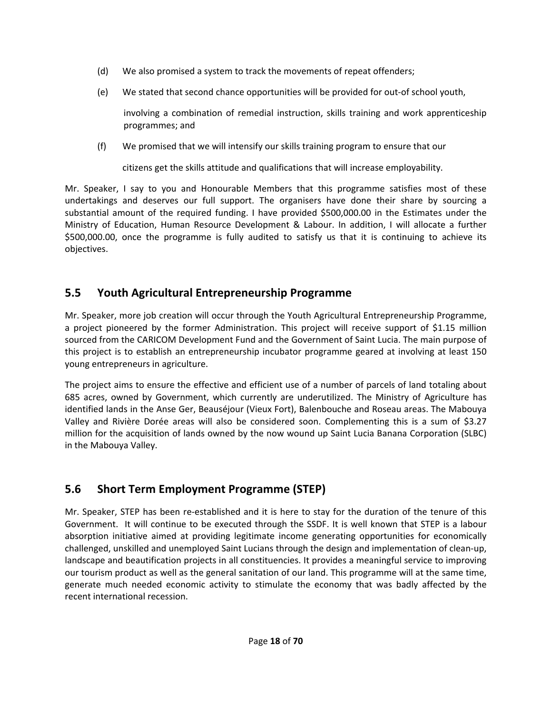- (d) We also promised a system to track the movements of repeat offenders;
- (e) We stated that second chance opportunities will be provided for out‐of school youth,

involving a combination of remedial instruction, skills training and work apprenticeship programmes; and

(f) We promised that we will intensify our skills training program to ensure that our

citizens get the skills attitude and qualifications that will increase employability.

Mr. Speaker, I say to you and Honourable Members that this programme satisfies most of these undertakings and deserves our full support. The organisers have done their share by sourcing a substantial amount of the required funding. I have provided \$500,000.00 in the Estimates under the Ministry of Education, Human Resource Development & Labour. In addition, I will allocate a further \$500,000.00, once the programme is fully audited to satisfy us that it is continuing to achieve its objectives.

## **5.5 Youth Agricultural Entrepreneurship Programme**

Mr. Speaker, more job creation will occur through the Youth Agricultural Entrepreneurship Programme, a project pioneered by the former Administration. This project will receive support of \$1.15 million sourced from the CARICOM Development Fund and the Government of Saint Lucia. The main purpose of this project is to establish an entrepreneurship incubator programme geared at involving at least 150 young entrepreneurs in agriculture.

The project aims to ensure the effective and efficient use of a number of parcels of land totaling about 685 acres, owned by Government, which currently are underutilized. The Ministry of Agriculture has identified lands in the Anse Ger, Beauséjour (Vieux Fort), Balenbouche and Roseau areas. The Mabouya Valley and Rivière Dorée areas will also be considered soon. Complementing this is a sum of \$3.27 million for the acquisition of lands owned by the now wound up Saint Lucia Banana Corporation (SLBC) in the Mabouya Valley.

## **5.6 Short Term Employment Programme (STEP)**

Mr. Speaker, STEP has been re‐established and it is here to stay for the duration of the tenure of this Government. It will continue to be executed through the SSDF. It is well known that STEP is a labour absorption initiative aimed at providing legitimate income generating opportunities for economically challenged, unskilled and unemployed Saint Lucians through the design and implementation of clean‐up, landscape and beautification projects in all constituencies. It provides a meaningful service to improving our tourism product as well as the general sanitation of our land. This programme will at the same time, generate much needed economic activity to stimulate the economy that was badly affected by the recent international recession.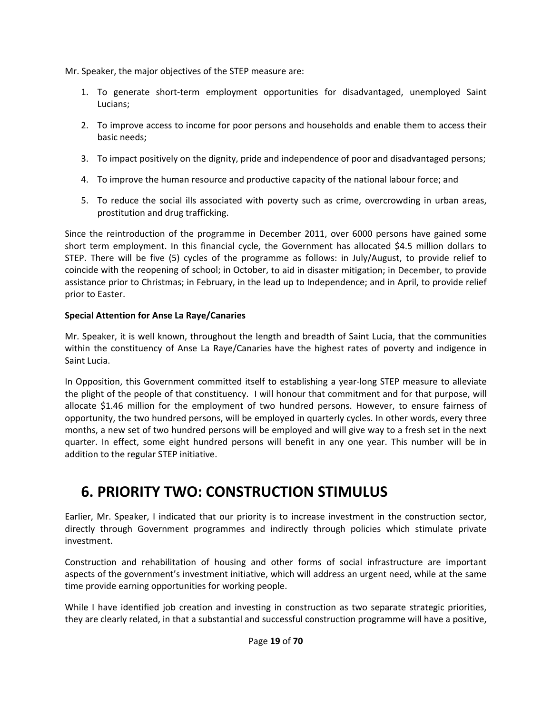Mr. Speaker, the major objectives of the STEP measure are:

- 1. To generate short‐term employment opportunities for disadvantaged, unemployed Saint Lucians;
- 2. To improve access to income for poor persons and households and enable them to access their basic needs;
- 3. To impact positively on the dignity, pride and independence of poor and disadvantaged persons;
- 4. To improve the human resource and productive capacity of the national labour force; and
- 5. To reduce the social ills associated with poverty such as crime, overcrowding in urban areas, prostitution and drug trafficking.

Since the reintroduction of the programme in December 2011, over 6000 persons have gained some short term employment. In this financial cycle, the Government has allocated \$4.5 million dollars to STEP. There will be five (5) cycles of the programme as follows: in July/August, to provide relief to coincide with the reopening of school; in October, to aid in disaster mitigation; in December, to provide assistance prior to Christmas; in February, in the lead up to Independence; and in April, to provide relief prior to Easter.

#### **Special Attention for Anse La Raye/Canaries**

Mr. Speaker, it is well known, throughout the length and breadth of Saint Lucia, that the communities within the constituency of Anse La Raye/Canaries have the highest rates of poverty and indigence in Saint Lucia.

In Opposition, this Government committed itself to establishing a year-long STEP measure to alleviate the plight of the people of that constituency. I will honour that commitment and for that purpose, will allocate \$1.46 million for the employment of two hundred persons. However, to ensure fairness of opportunity, the two hundred persons, will be employed in quarterly cycles. In other words, every three months, a new set of two hundred persons will be employed and will give way to a fresh set in the next quarter. In effect, some eight hundred persons will benefit in any one year. This number will be in addition to the regular STEP initiative.

## **6. PRIORITY TWO: CONSTRUCTION STIMULUS**

Earlier, Mr. Speaker, I indicated that our priority is to increase investment in the construction sector, directly through Government programmes and indirectly through policies which stimulate private investment.

Construction and rehabilitation of housing and other forms of social infrastructure are important aspects of the government's investment initiative, which will address an urgent need, while at the same time provide earning opportunities for working people.

While I have identified job creation and investing in construction as two separate strategic priorities, they are clearly related, in that a substantial and successful construction programme will have a positive,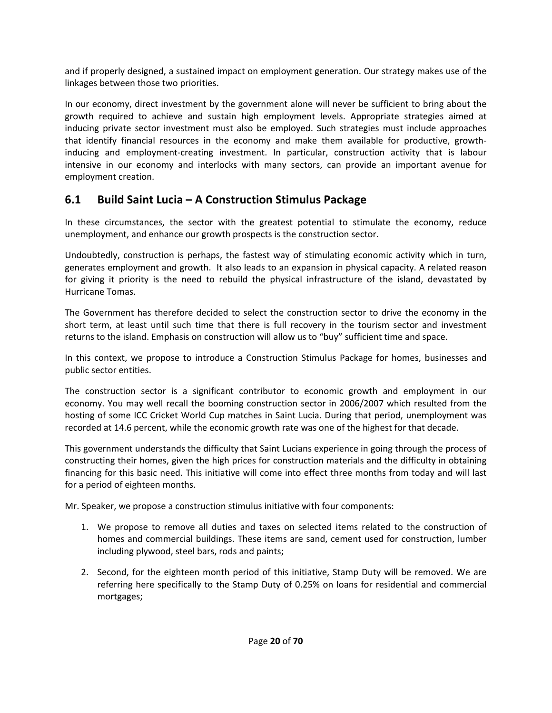and if properly designed, a sustained impact on employment generation. Our strategy makes use of the linkages between those two priorities.

In our economy, direct investment by the government alone will never be sufficient to bring about the growth required to achieve and sustain high employment levels. Appropriate strategies aimed at inducing private sector investment must also be employed. Such strategies must include approaches that identify financial resources in the economy and make them available for productive, growth‐ inducing and employment-creating investment. In particular, construction activity that is labour intensive in our economy and interlocks with many sectors, can provide an important avenue for employment creation.

## **6.1 Build Saint Lucia – A Construction Stimulus Package**

In these circumstances, the sector with the greatest potential to stimulate the economy, reduce unemployment, and enhance our growth prospects is the construction sector.

Undoubtedly, construction is perhaps, the fastest way of stimulating economic activity which in turn, generates employment and growth. It also leads to an expansion in physical capacity. A related reason for giving it priority is the need to rebuild the physical infrastructure of the island, devastated by Hurricane Tomas.

The Government has therefore decided to select the construction sector to drive the economy in the short term, at least until such time that there is full recovery in the tourism sector and investment returns to the island. Emphasis on construction will allow us to "buy" sufficient time and space.

In this context, we propose to introduce a Construction Stimulus Package for homes, businesses and public sector entities.

The construction sector is a significant contributor to economic growth and employment in our economy. You may well recall the booming construction sector in 2006/2007 which resulted from the hosting of some ICC Cricket World Cup matches in Saint Lucia. During that period, unemployment was recorded at 14.6 percent, while the economic growth rate was one of the highest for that decade.

This government understands the difficulty that Saint Lucians experience in going through the process of constructing their homes, given the high prices for construction materials and the difficulty in obtaining financing for this basic need. This initiative will come into effect three months from today and will last for a period of eighteen months.

Mr. Speaker, we propose a construction stimulus initiative with four components:

- 1. We propose to remove all duties and taxes on selected items related to the construction of homes and commercial buildings. These items are sand, cement used for construction, lumber including plywood, steel bars, rods and paints;
- 2. Second, for the eighteen month period of this initiative, Stamp Duty will be removed. We are referring here specifically to the Stamp Duty of 0.25% on loans for residential and commercial mortgages;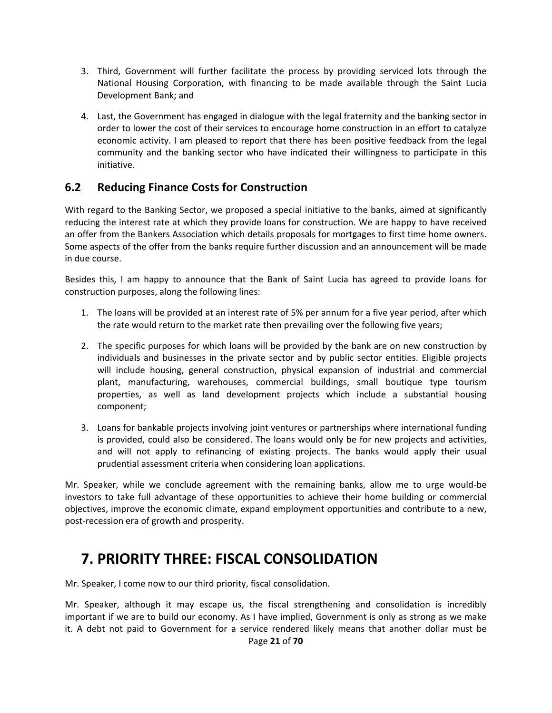- 3. Third, Government will further facilitate the process by providing serviced lots through the National Housing Corporation, with financing to be made available through the Saint Lucia Development Bank; and
- 4. Last, the Government has engaged in dialogue with the legal fraternity and the banking sector in order to lower the cost of their services to encourage home construction in an effort to catalyze economic activity. I am pleased to report that there has been positive feedback from the legal community and the banking sector who have indicated their willingness to participate in this initiative.

### **6.2 Reducing Finance Costs for Construction**

With regard to the Banking Sector, we proposed a special initiative to the banks, aimed at significantly reducing the interest rate at which they provide loans for construction. We are happy to have received an offer from the Bankers Association which details proposals for mortgages to first time home owners. Some aspects of the offer from the banks require further discussion and an announcement will be made in due course.

Besides this, I am happy to announce that the Bank of Saint Lucia has agreed to provide loans for construction purposes, along the following lines:

- 1. The loans will be provided at an interest rate of 5% per annum for a five year period, after which the rate would return to the market rate then prevailing over the following five years;
- 2. The specific purposes for which loans will be provided by the bank are on new construction by individuals and businesses in the private sector and by public sector entities. Eligible projects will include housing, general construction, physical expansion of industrial and commercial plant, manufacturing, warehouses, commercial buildings, small boutique type tourism properties, as well as land development projects which include a substantial housing component;
- 3. Loans for bankable projects involving joint ventures or partnerships where international funding is provided, could also be considered. The loans would only be for new projects and activities, and will not apply to refinancing of existing projects. The banks would apply their usual prudential assessment criteria when considering loan applications.

Mr. Speaker, while we conclude agreement with the remaining banks, allow me to urge would‐be investors to take full advantage of these opportunities to achieve their home building or commercial objectives, improve the economic climate, expand employment opportunities and contribute to a new, post‐recession era of growth and prosperity.

## **7. PRIORITY THREE: FISCAL CONSOLIDATION**

Mr. Speaker, I come now to our third priority, fiscal consolidation.

Page **21** of **70** Mr. Speaker, although it may escape us, the fiscal strengthening and consolidation is incredibly important if we are to build our economy. As I have implied, Government is only as strong as we make it. A debt not paid to Government for a service rendered likely means that another dollar must be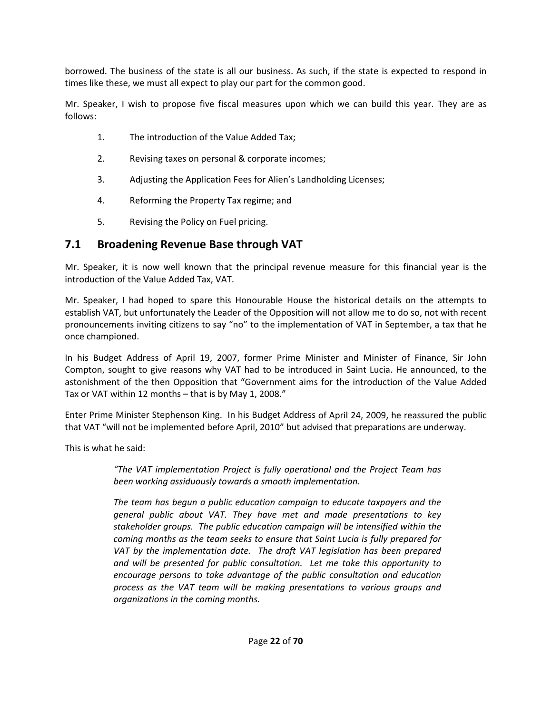borrowed. The business of the state is all our business. As such, if the state is expected to respond in times like these, we must all expect to play our part for the common good.

Mr. Speaker, I wish to propose five fiscal measures upon which we can build this year. They are as follows:

- 1. The introduction of the Value Added Tax;
- 2. Revising taxes on personal & corporate incomes;
- 3. Adjusting the Application Fees for Alien's Landholding Licenses;
- 4. Reforming the Property Tax regime; and
- 5. Revising the Policy on Fuel pricing.

### **7.1 Broadening Revenue Base through VAT**

Mr. Speaker, it is now well known that the principal revenue measure for this financial year is the introduction of the Value Added Tax, VAT.

Mr. Speaker, I had hoped to spare this Honourable House the historical details on the attempts to establish VAT, but unfortunately the Leader of the Opposition will not allow me to do so, not with recent pronouncements inviting citizens to say "no" to the implementation of VAT in September, a tax that he once championed.

In his Budget Address of April 19, 2007, former Prime Minister and Minister of Finance, Sir John Compton, sought to give reasons why VAT had to be introduced in Saint Lucia. He announced, to the astonishment of the then Opposition that "Government aims for the introduction of the Value Added Tax or VAT within 12 months – that is by May 1, 2008."

Enter Prime Minister Stephenson King. In his Budget Address of April 24, 2009, he reassured the public that VAT "will not be implemented before April, 2010" but advised that preparations are underway.

This is what he said:

*"The VAT implementation Project is fully operational and the Project Team has been working assiduously towards a smooth implementation.*

*The team has begun a public education campaign to educate taxpayers and the general public about VAT. They have met and made presentations to key stakeholder groups. The public education campaign will be intensified within the coming months as the team seeks to ensure that Saint Lucia is fully prepared for VAT by the implementation date. The draft VAT legislation has been prepared and will be presented for public consultation. Let me take this opportunity to encourage persons to take advantage of the public consultation and education process as the VAT team will be making presentations to various groups and organizations in the coming months.*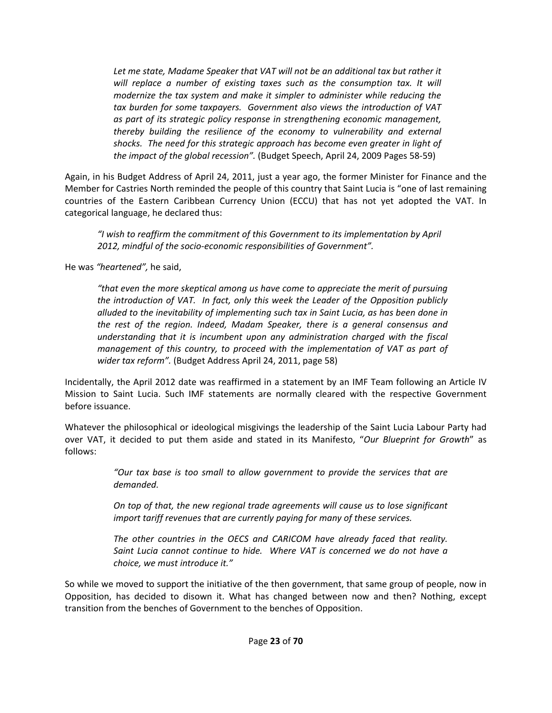*Let me state, Madame Speaker that VAT will not be an additional tax but rather it will replace a number of existing taxes such as the consumption tax. It will modernize the tax system and make it simpler to administer while reducing the tax burden for some taxpayers. Government also views the introduction of VAT as part of its strategic policy response in strengthening economic management, thereby building the resilience of the economy to vulnerability and external shocks. The need for this strategic approach has become even greater in light of the impact of the global recession".* (Budget Speech, April 24, 2009 Pages 58‐59)

Again, in his Budget Address of April 24, 2011, just a year ago, the former Minister for Finance and the Member for Castries North reminded the people of this country that Saint Lucia is "one of last remaining countries of the Eastern Caribbean Currency Union (ECCU) that has not yet adopted the VAT. In categorical language, he declared thus:

*"I wish to reaffirm the commitment of this Government to its implementation by April 2012, mindful of the socio‐economic responsibilities of Government".*

He was *"heartened",* he said,

*"that even the more skeptical among us have come to appreciate the merit of pursuing the introduction of VAT. In fact, only this week the Leader of the Opposition publicly alluded to the inevitability of implementing such tax in Saint Lucia, as has been done in the rest of the region. Indeed, Madam Speaker, there is a general consensus and understanding that it is incumbent upon any administration charged with the fiscal management of this country, to proceed with the implementation of VAT as part of wider tax reform".* (Budget Address April 24, 2011, page 58)

Incidentally, the April 2012 date was reaffirmed in a statement by an IMF Team following an Article IV Mission to Saint Lucia. Such IMF statements are normally cleared with the respective Government before issuance.

Whatever the philosophical or ideological misgivings the leadership of the Saint Lucia Labour Party had over VAT, it decided to put them aside and stated in its Manifesto, "*Our Blueprint for Growth*" as follows:

> *"Our tax base is too small to allow government to provide the services that are demanded.*

> *On top of that, the new regional trade agreements will cause us to lose significant import tariff revenues that are currently paying for many of these services.*

> *The other countries in the OECS and CARICOM have already faced that reality. Saint Lucia cannot continue to hide. Where VAT is concerned we do not have a choice, we must introduce it."*

So while we moved to support the initiative of the then government, that same group of people, now in Opposition, has decided to disown it. What has changed between now and then? Nothing, except transition from the benches of Government to the benches of Opposition.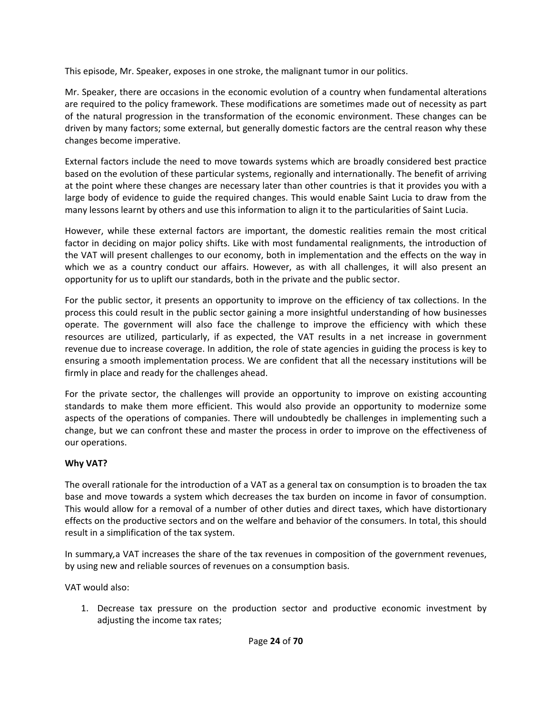This episode, Mr. Speaker, exposes in one stroke, the malignant tumor in our politics.

Mr. Speaker, there are occasions in the economic evolution of a country when fundamental alterations are required to the policy framework. These modifications are sometimes made out of necessity as part of the natural progression in the transformation of the economic environment. These changes can be driven by many factors; some external, but generally domestic factors are the central reason why these changes become imperative.

External factors include the need to move towards systems which are broadly considered best practice based on the evolution of these particular systems, regionally and internationally. The benefit of arriving at the point where these changes are necessary later than other countries is that it provides you with a large body of evidence to guide the required changes. This would enable Saint Lucia to draw from the many lessons learnt by others and use this information to align it to the particularities of Saint Lucia.

However, while these external factors are important, the domestic realities remain the most critical factor in deciding on major policy shifts. Like with most fundamental realignments, the introduction of the VAT will present challenges to our economy, both in implementation and the effects on the way in which we as a country conduct our affairs. However, as with all challenges, it will also present an opportunity for us to uplift our standards, both in the private and the public sector.

For the public sector, it presents an opportunity to improve on the efficiency of tax collections. In the process this could result in the public sector gaining a more insightful understanding of how businesses operate. The government will also face the challenge to improve the efficiency with which these resources are utilized, particularly, if as expected, the VAT results in a net increase in government revenue due to increase coverage. In addition, the role of state agencies in guiding the process is key to ensuring a smooth implementation process. We are confident that all the necessary institutions will be firmly in place and ready for the challenges ahead.

For the private sector, the challenges will provide an opportunity to improve on existing accounting standards to make them more efficient. This would also provide an opportunity to modernize some aspects of the operations of companies. There will undoubtedly be challenges in implementing such a change, but we can confront these and master the process in order to improve on the effectiveness of our operations.

#### **Why VAT?**

The overall rationale for the introduction of a VAT as a general tax on consumption is to broaden the tax base and move towards a system which decreases the tax burden on income in favor of consumption. This would allow for a removal of a number of other duties and direct taxes, which have distortionary effects on the productive sectors and on the welfare and behavior of the consumers. In total, this should result in a simplification of the tax system.

In summary*,*a VAT increases the share of the tax revenues in composition of the government revenues, by using new and reliable sources of revenues on a consumption basis.

VAT would also:

1. Decrease tax pressure on the production sector and productive economic investment by adjusting the income tax rates;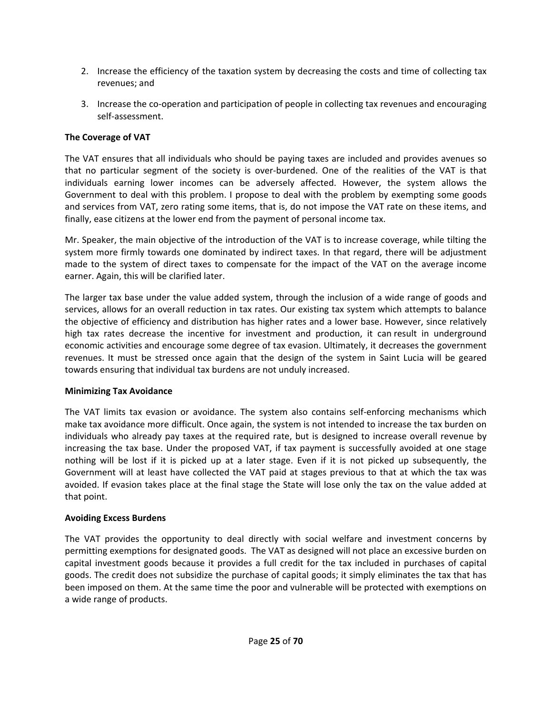- 2. Increase the efficiency of the taxation system by decreasing the costs and time of collecting tax revenues; and
- 3. Increase the co-operation and participation of people in collecting tax revenues and encouraging self‐assessment.

#### **The Coverage of VAT**

The VAT ensures that all individuals who should be paying taxes are included and provides avenues so that no particular segment of the society is over‐burdened. One of the realities of the VAT is that individuals earning lower incomes can be adversely affected. However, the system allows the Government to deal with this problem. I propose to deal with the problem by exempting some goods and services from VAT, zero rating some items, that is, do not impose the VAT rate on these items, and finally, ease citizens at the lower end from the payment of personal income tax.

Mr. Speaker, the main objective of the introduction of the VAT is to increase coverage, while tilting the system more firmly towards one dominated by indirect taxes. In that regard, there will be adjustment made to the system of direct taxes to compensate for the impact of the VAT on the average income earner. Again, this will be clarified later.

The larger tax base under the value added system, through the inclusion of a wide range of goods and services, allows for an overall reduction in tax rates. Our existing tax system which attempts to balance the objective of efficiency and distribution has higher rates and a lower base. However, since relatively high tax rates decrease the incentive for investment and production, it can result in underground economic activities and encourage some degree of tax evasion. Ultimately, it decreases the government revenues. It must be stressed once again that the design of the system in Saint Lucia will be geared towards ensuring that individual tax burdens are not unduly increased.

#### **Minimizing Tax Avoidance**

The VAT limits tax evasion or avoidance. The system also contains self‐enforcing mechanisms which make tax avoidance more difficult. Once again, the system is not intended to increase the tax burden on individuals who already pay taxes at the required rate, but is designed to increase overall revenue by increasing the tax base. Under the proposed VAT, if tax payment is successfully avoided at one stage nothing will be lost if it is picked up at a later stage. Even if it is not picked up subsequently, the Government will at least have collected the VAT paid at stages previous to that at which the tax was avoided. If evasion takes place at the final stage the State will lose only the tax on the value added at that point.

#### **Avoiding Excess Burdens**

The VAT provides the opportunity to deal directly with social welfare and investment concerns by permitting exemptions for designated goods. The VAT as designed will not place an excessive burden on capital investment goods because it provides a full credit for the tax included in purchases of capital goods. The credit does not subsidize the purchase of capital goods; it simply eliminates the tax that has been imposed on them. At the same time the poor and vulnerable will be protected with exemptions on a wide range of products.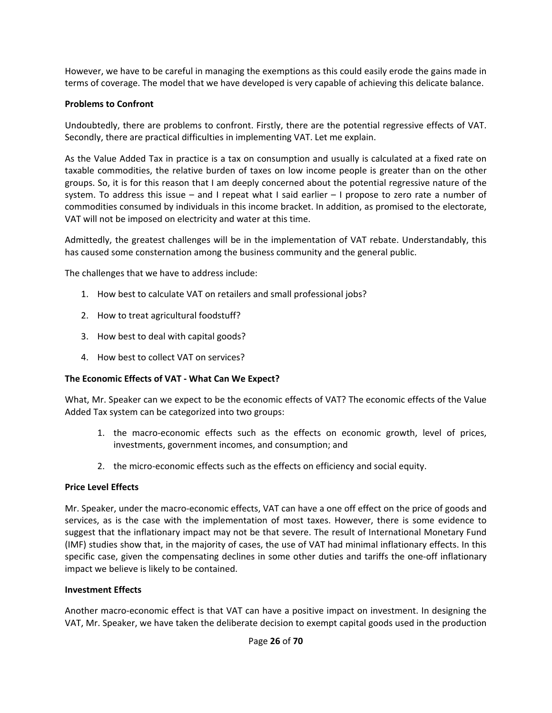However, we have to be careful in managing the exemptions as this could easily erode the gains made in terms of coverage. The model that we have developed is very capable of achieving this delicate balance.

#### **Problems to Confront**

Undoubtedly, there are problems to confront. Firstly, there are the potential regressive effects of VAT. Secondly, there are practical difficulties in implementing VAT. Let me explain.

As the Value Added Tax in practice is a tax on consumption and usually is calculated at a fixed rate on taxable commodities, the relative burden of taxes on low income people is greater than on the other groups. So, it is for this reason that I am deeply concerned about the potential regressive nature of the system. To address this issue – and I repeat what I said earlier  $-1$  propose to zero rate a number of commodities consumed by individuals in this income bracket. In addition, as promised to the electorate, VAT will not be imposed on electricity and water at this time.

Admittedly, the greatest challenges will be in the implementation of VAT rebate. Understandably, this has caused some consternation among the business community and the general public.

The challenges that we have to address include:

- 1. How best to calculate VAT on retailers and small professional jobs?
- 2. How to treat agricultural foodstuff?
- 3. How best to deal with capital goods?
- 4. How best to collect VAT on services?

#### **The Economic Effects of VAT ‐ What Can We Expect?**

What, Mr. Speaker can we expect to be the economic effects of VAT? The economic effects of the Value Added Tax system can be categorized into two groups:

- 1. the macro‐economic effects such as the effects on economic growth, level of prices, investments, government incomes, and consumption; and
- 2. the micro-economic effects such as the effects on efficiency and social equity.

#### **Price Level Effects**

Mr. Speaker, under the macro‐economic effects, VAT can have a one off effect on the price of goods and services, as is the case with the implementation of most taxes. However, there is some evidence to suggest that the inflationary impact may not be that severe. The result of International Monetary Fund (IMF) studies show that, in the majority of cases, the use of VAT had minimal inflationary effects. In this specific case, given the compensating declines in some other duties and tariffs the one-off inflationary impact we believe is likely to be contained.

#### **Investment Effects**

Another macro‐economic effect is that VAT can have a positive impact on investment. In designing the VAT, Mr. Speaker, we have taken the deliberate decision to exempt capital goods used in the production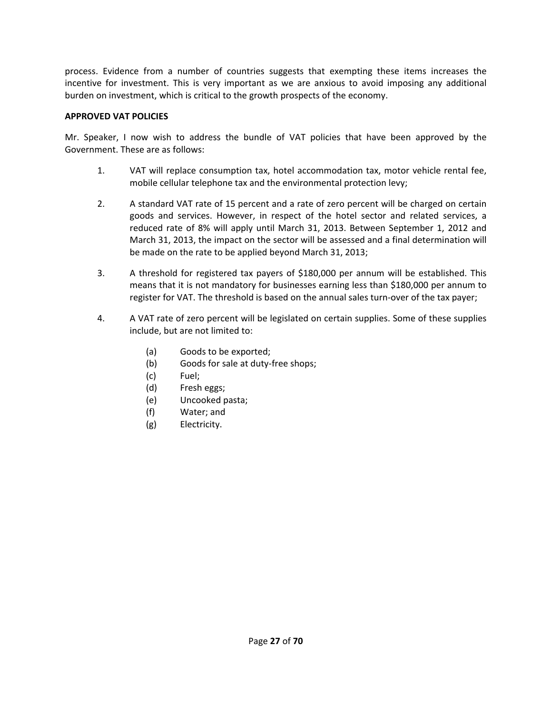process. Evidence from a number of countries suggests that exempting these items increases the incentive for investment. This is very important as we are anxious to avoid imposing any additional burden on investment, which is critical to the growth prospects of the economy.

#### **APPROVED VAT POLICIES**

Mr. Speaker, I now wish to address the bundle of VAT policies that have been approved by the Government. These are as follows:

- 1. VAT will replace consumption tax, hotel accommodation tax, motor vehicle rental fee, mobile cellular telephone tax and the environmental protection levy;
- 2. A standard VAT rate of 15 percent and a rate of zero percent will be charged on certain goods and services. However, in respect of the hotel sector and related services, a reduced rate of 8% will apply until March 31, 2013. Between September 1, 2012 and March 31, 2013, the impact on the sector will be assessed and a final determination will be made on the rate to be applied beyond March 31, 2013;
- 3. A threshold for registered tax payers of \$180,000 per annum will be established. This means that it is not mandatory for businesses earning less than \$180,000 per annum to register for VAT. The threshold is based on the annual sales turn-over of the tax payer;
- 4. A VAT rate of zero percent will be legislated on certain supplies. Some of these supplies include, but are not limited to:
	- (a) Goods to be exported;
	- (b) Goods for sale at duty-free shops;
	- (c) Fuel;
	- (d) Fresh eggs;
	- (e) Uncooked pasta;
	- (f) Water; and
	- (g) Electricity.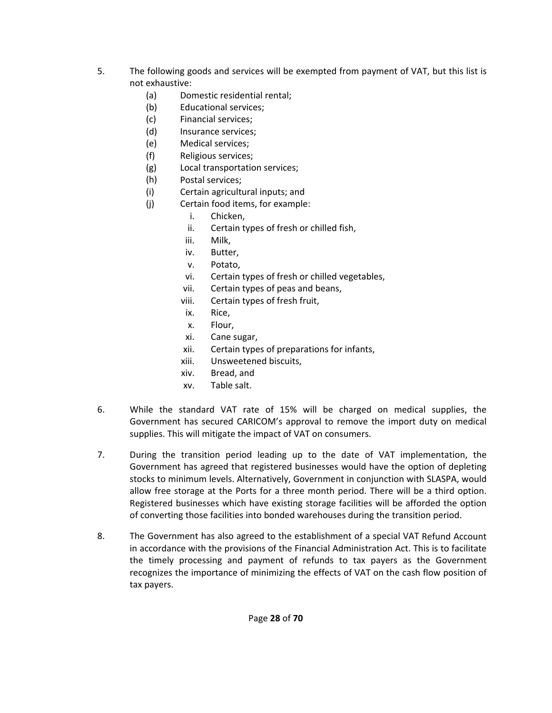- 5. The following goods and services will be exempted from payment of VAT, but this list is not exhaustive:
	- (a) Domestic residential rental;
	- (b) Educational services;
	- (c) Financial services;
	- (d) Insurance services;
	- (e) Medical services;
	- (f) Religious services;
	- (g) Local transportation services;
	- (h) Postal services;
	- (i) Certain agricultural inputs; and
	- (j) Certain food items, for example:
		- i. Chicken,
		- ii. Certain types of fresh or chilled fish,
		- iii. Milk,
		- iv. Butter,
		- v. Potato,
		- vi. Certain types of fresh or chilled vegetables,
		- vii. Certain types of peas and beans,
		- viii. Certain types of fresh fruit,
		- ix. Rice,
		- x. Flour,
		- xi. Cane sugar,
		- xii. Certain types of preparations for infants,
		- xiii. Unsweetened biscuits,
		- xiv. Bread, and
		- xv. Table salt.
- 6. While the standard VAT rate of 15% will be charged on medical supplies, the Government has secured CARICOM's approval to remove the import duty on medical supplies. This will mitigate the impact of VAT on consumers.
- 7. During the transition period leading up to the date of VAT implementation, the Government has agreed that registered businesses would have the option of depleting stocks to minimum levels. Alternatively, Government in conjunction with SLASPA, would allow free storage at the Ports for a three month period. There will be a third option. Registered businesses which have existing storage facilities will be afforded the option of converting those facilities into bonded warehouses during the transition period.
- 8. The Government has also agreed to the establishment of a special VAT Refund Account in accordance with the provisions of the Financial Administration Act. This is to facilitate the timely processing and payment of refunds to tax payers as the Government recognizes the importance of minimizing the effects of VAT on the cash flow position of tax payers.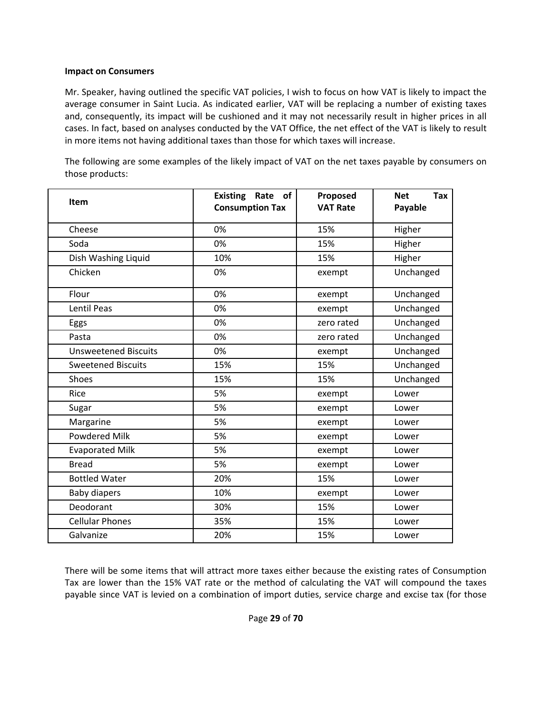#### **Impact on Consumers**

Mr. Speaker, having outlined the specific VAT policies, I wish to focus on how VAT is likely to impact the average consumer in Saint Lucia. As indicated earlier, VAT will be replacing a number of existing taxes and, consequently, its impact will be cushioned and it may not necessarily result in higher prices in all cases. In fact, based on analyses conducted by the VAT Office, the net effect of the VAT is likely to result in more items not having additional taxes than those for which taxes will increase.

The following are some examples of the likely impact of VAT on the net taxes payable by consumers on those products:

| Item                        | <b>Existing</b><br>Rate<br><b>of</b><br><b>Consumption Tax</b> | Proposed<br><b>VAT Rate</b> | Tax<br><b>Net</b><br>Payable |
|-----------------------------|----------------------------------------------------------------|-----------------------------|------------------------------|
| Cheese                      | 0%                                                             | 15%                         | Higher                       |
| Soda                        | 0%                                                             | 15%                         | Higher                       |
| Dish Washing Liquid         | 10%                                                            | 15%                         | Higher                       |
| Chicken                     | 0%                                                             | exempt                      | Unchanged                    |
| Flour                       | 0%                                                             | exempt                      | Unchanged                    |
| <b>Lentil Peas</b>          | 0%                                                             | exempt                      | Unchanged                    |
| Eggs                        | 0%                                                             | zero rated                  | Unchanged                    |
| Pasta                       | 0%                                                             | zero rated                  | Unchanged                    |
| <b>Unsweetened Biscuits</b> | 0%                                                             | exempt                      | Unchanged                    |
| <b>Sweetened Biscuits</b>   | 15%                                                            | 15%                         | Unchanged                    |
| Shoes                       | 15%                                                            | 15%                         | Unchanged                    |
| Rice                        | 5%                                                             | exempt                      | Lower                        |
| Sugar                       | 5%                                                             | exempt                      | Lower                        |
| Margarine                   | 5%                                                             | exempt                      | Lower                        |
| <b>Powdered Milk</b>        | 5%                                                             | exempt                      | Lower                        |
| <b>Evaporated Milk</b>      | 5%                                                             | exempt                      | Lower                        |
| <b>Bread</b>                | 5%                                                             | exempt                      | Lower                        |
| <b>Bottled Water</b>        | 20%                                                            | 15%                         | Lower                        |
| <b>Baby diapers</b>         | 10%                                                            | exempt                      | Lower                        |
| Deodorant                   | 30%                                                            | 15%                         | Lower                        |
| <b>Cellular Phones</b>      | 35%                                                            | 15%                         | Lower                        |
| Galvanize                   | 20%                                                            | 15%                         | Lower                        |

There will be some items that will attract more taxes either because the existing rates of Consumption Tax are lower than the 15% VAT rate or the method of calculating the VAT will compound the taxes payable since VAT is levied on a combination of import duties, service charge and excise tax (for those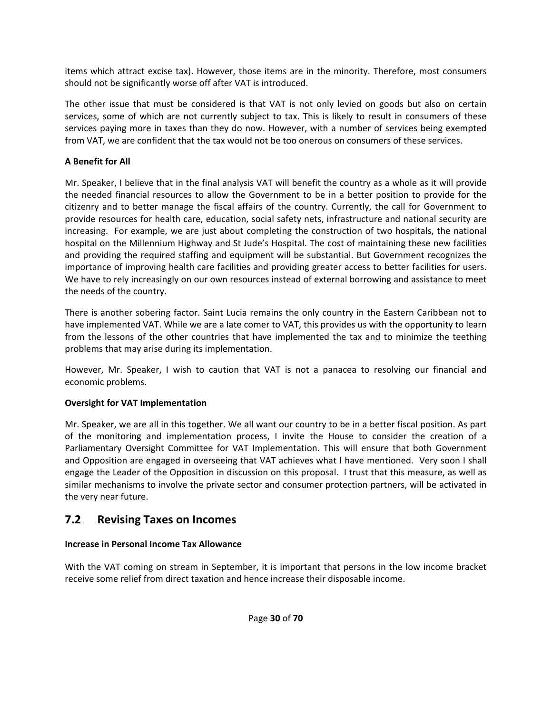items which attract excise tax). However, those items are in the minority. Therefore, most consumers should not be significantly worse off after VAT is introduced.

The other issue that must be considered is that VAT is not only levied on goods but also on certain services, some of which are not currently subject to tax. This is likely to result in consumers of these services paying more in taxes than they do now. However, with a number of services being exempted from VAT, we are confident that the tax would not be too onerous on consumers of these services.

#### **A Benefit for All**

Mr. Speaker, I believe that in the final analysis VAT will benefit the country as a whole as it will provide the needed financial resources to allow the Government to be in a better position to provide for the citizenry and to better manage the fiscal affairs of the country. Currently, the call for Government to provide resources for health care, education, social safety nets, infrastructure and national security are increasing. For example, we are just about completing the construction of two hospitals, the national hospital on the Millennium Highway and St Jude's Hospital. The cost of maintaining these new facilities and providing the required staffing and equipment will be substantial. But Government recognizes the importance of improving health care facilities and providing greater access to better facilities for users. We have to rely increasingly on our own resources instead of external borrowing and assistance to meet the needs of the country.

There is another sobering factor. Saint Lucia remains the only country in the Eastern Caribbean not to have implemented VAT. While we are a late comer to VAT, this provides us with the opportunity to learn from the lessons of the other countries that have implemented the tax and to minimize the teething problems that may arise during its implementation.

However, Mr. Speaker, I wish to caution that VAT is not a panacea to resolving our financial and economic problems.

#### **Oversight for VAT Implementation**

Mr. Speaker, we are all in this together. We all want our country to be in a better fiscal position. As part of the monitoring and implementation process, I invite the House to consider the creation of a Parliamentary Oversight Committee for VAT Implementation. This will ensure that both Government and Opposition are engaged in overseeing that VAT achieves what I have mentioned. Very soon I shall engage the Leader of the Opposition in discussion on this proposal. I trust that this measure, as well as similar mechanisms to involve the private sector and consumer protection partners, will be activated in the very near future.

### **7.2 Revising Taxes on Incomes**

#### **Increase in Personal Income Tax Allowance**

With the VAT coming on stream in September, it is important that persons in the low income bracket receive some relief from direct taxation and hence increase their disposable income.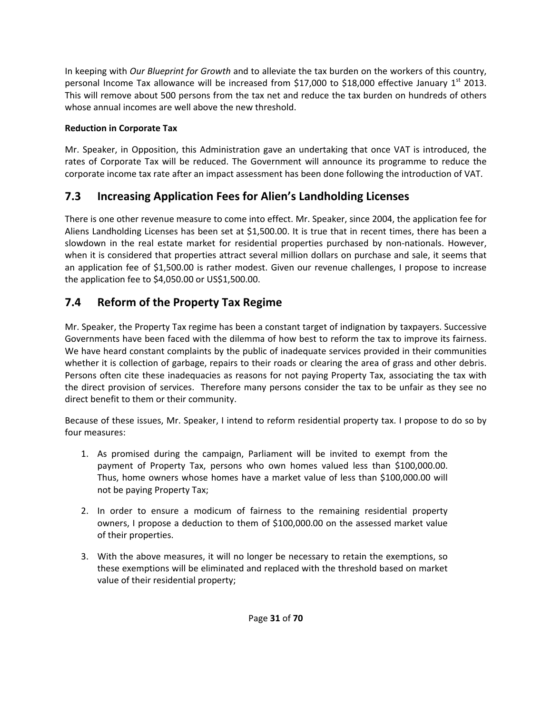In keeping with *Our Blueprint for Growth* and to alleviate the tax burden on the workers of this country, personal Income Tax allowance will be increased from \$17,000 to \$18,000 effective January  $1<sup>st</sup>$  2013. This will remove about 500 persons from the tax net and reduce the tax burden on hundreds of others whose annual incomes are well above the new threshold.

#### **Reduction in Corporate Tax**

Mr. Speaker, in Opposition, this Administration gave an undertaking that once VAT is introduced, the rates of Corporate Tax will be reduced. The Government will announce its programme to reduce the corporate income tax rate after an impact assessment has been done following the introduction of VAT.

## **7.3 Increasing Application Fees for Alien's Landholding Licenses**

There is one other revenue measure to come into effect. Mr. Speaker, since 2004, the application fee for Aliens Landholding Licenses has been set at \$1,500.00. It is true that in recent times, there has been a slowdown in the real estate market for residential properties purchased by non-nationals. However, when it is considered that properties attract several million dollars on purchase and sale, it seems that an application fee of \$1,500.00 is rather modest. Given our revenue challenges, I propose to increase the application fee to \$4,050.00 or US\$1,500.00.

## **7.4 Reform of the Property Tax Regime**

Mr. Speaker, the Property Tax regime has been a constant target of indignation by taxpayers. Successive Governments have been faced with the dilemma of how best to reform the tax to improve its fairness. We have heard constant complaints by the public of inadequate services provided in their communities whether it is collection of garbage, repairs to their roads or clearing the area of grass and other debris. Persons often cite these inadequacies as reasons for not paying Property Tax, associating the tax with the direct provision of services. Therefore many persons consider the tax to be unfair as they see no direct benefit to them or their community.

Because of these issues, Mr. Speaker, I intend to reform residential property tax. I propose to do so by four measures:

- 1. As promised during the campaign, Parliament will be invited to exempt from the payment of Property Tax, persons who own homes valued less than \$100,000.00. Thus, home owners whose homes have a market value of less than \$100,000.00 will not be paying Property Tax;
- 2. In order to ensure a modicum of fairness to the remaining residential property owners, I propose a deduction to them of \$100,000.00 on the assessed market value of their properties.
- 3. With the above measures, it will no longer be necessary to retain the exemptions, so these exemptions will be eliminated and replaced with the threshold based on market value of their residential property;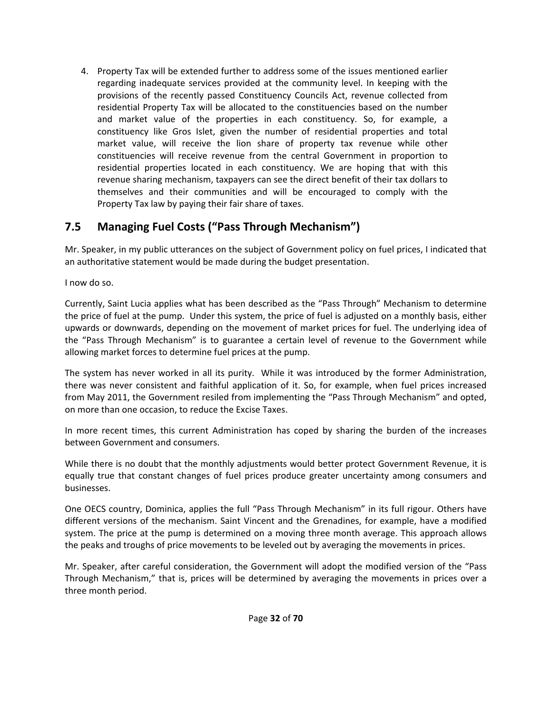4. Property Tax will be extended further to address some of the issues mentioned earlier regarding inadequate services provided at the community level. In keeping with the provisions of the recently passed Constituency Councils Act, revenue collected from residential Property Tax will be allocated to the constituencies based on the number and market value of the properties in each constituency. So, for example, a constituency like Gros Islet, given the number of residential properties and total market value, will receive the lion share of property tax revenue while other constituencies will receive revenue from the central Government in proportion to residential properties located in each constituency. We are hoping that with this revenue sharing mechanism, taxpayers can see the direct benefit of their tax dollars to themselves and their communities and will be encouraged to comply with the Property Tax law by paying their fair share of taxes.

## **7.5 Managing Fuel Costs ("Pass Through Mechanism")**

Mr. Speaker, in my public utterances on the subject of Government policy on fuel prices, I indicated that an authoritative statement would be made during the budget presentation.

I now do so.

Currently, Saint Lucia applies what has been described as the "Pass Through" Mechanism to determine the price of fuel at the pump. Under this system, the price of fuel is adjusted on a monthly basis, either upwards or downwards, depending on the movement of market prices for fuel. The underlying idea of the "Pass Through Mechanism" is to guarantee a certain level of revenue to the Government while allowing market forces to determine fuel prices at the pump.

The system has never worked in all its purity. While it was introduced by the former Administration, there was never consistent and faithful application of it. So, for example, when fuel prices increased from May 2011, the Government resiled from implementing the "Pass Through Mechanism" and opted, on more than one occasion, to reduce the Excise Taxes.

In more recent times, this current Administration has coped by sharing the burden of the increases between Government and consumers.

While there is no doubt that the monthly adjustments would better protect Government Revenue, it is equally true that constant changes of fuel prices produce greater uncertainty among consumers and businesses.

One OECS country, Dominica, applies the full "Pass Through Mechanism" in its full rigour. Others have different versions of the mechanism. Saint Vincent and the Grenadines, for example, have a modified system. The price at the pump is determined on a moving three month average. This approach allows the peaks and troughs of price movements to be leveled out by averaging the movements in prices.

Mr. Speaker, after careful consideration, the Government will adopt the modified version of the "Pass Through Mechanism," that is, prices will be determined by averaging the movements in prices over a three month period.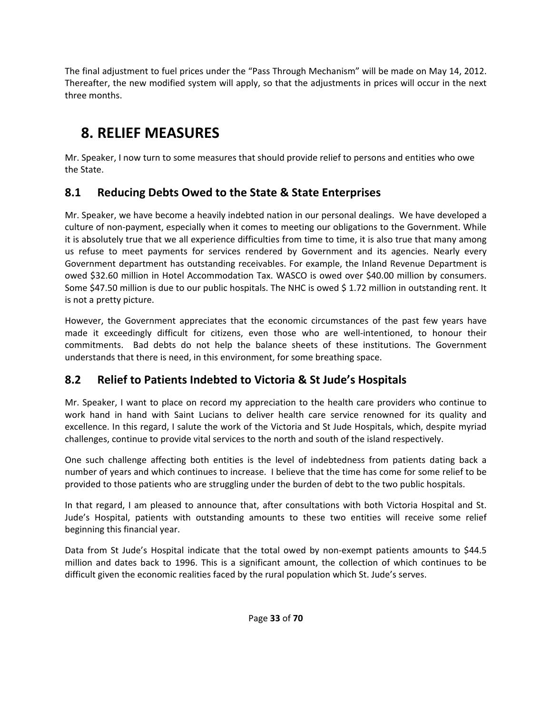The final adjustment to fuel prices under the "Pass Through Mechanism" will be made on May 14, 2012. Thereafter, the new modified system will apply, so that the adjustments in prices will occur in the next three months.

## **8. RELIEF MEASURES**

Mr. Speaker, I now turn to some measures that should provide relief to persons and entities who owe the State.

## **8.1 Reducing Debts Owed to the State & State Enterprises**

Mr. Speaker, we have become a heavily indebted nation in our personal dealings. We have developed a culture of non-payment, especially when it comes to meeting our obligations to the Government. While it is absolutely true that we all experience difficulties from time to time, it is also true that many among us refuse to meet payments for services rendered by Government and its agencies. Nearly every Government department has outstanding receivables. For example, the Inland Revenue Department is owed \$32.60 million in Hotel Accommodation Tax. WASCO is owed over \$40.00 million by consumers. Some \$47.50 million is due to our public hospitals. The NHC is owed \$ 1.72 million in outstanding rent. It is not a pretty picture.

However, the Government appreciates that the economic circumstances of the past few years have made it exceedingly difficult for citizens, even those who are well-intentioned, to honour their commitments. Bad debts do not help the balance sheets of these institutions. The Government understands that there is need, in this environment, for some breathing space.

## **8.2 Relief to Patients Indebted to Victoria & St Jude's Hospitals**

Mr. Speaker, I want to place on record my appreciation to the health care providers who continue to work hand in hand with Saint Lucians to deliver health care service renowned for its quality and excellence. In this regard, I salute the work of the Victoria and St Jude Hospitals, which, despite myriad challenges, continue to provide vital services to the north and south of the island respectively.

One such challenge affecting both entities is the level of indebtedness from patients dating back a number of years and which continues to increase. I believe that the time has come for some relief to be provided to those patients who are struggling under the burden of debt to the two public hospitals.

In that regard, I am pleased to announce that, after consultations with both Victoria Hospital and St. Jude's Hospital, patients with outstanding amounts to these two entities will receive some relief beginning this financial year.

Data from St Jude's Hospital indicate that the total owed by non-exempt patients amounts to \$44.5 million and dates back to 1996. This is a significant amount, the collection of which continues to be difficult given the economic realities faced by the rural population which St. Jude's serves.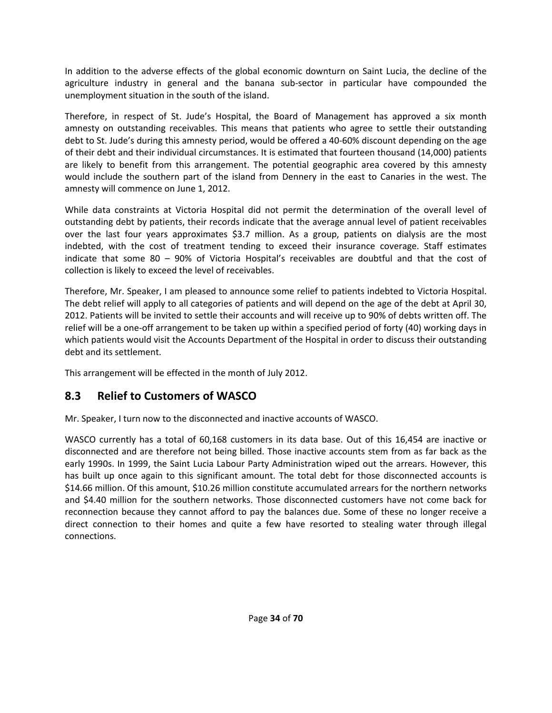In addition to the adverse effects of the global economic downturn on Saint Lucia, the decline of the agriculture industry in general and the banana sub‐sector in particular have compounded the unemployment situation in the south of the island.

Therefore, in respect of St. Jude's Hospital, the Board of Management has approved a six month amnesty on outstanding receivables. This means that patients who agree to settle their outstanding debt to St. Jude's during this amnesty period, would be offered a 40‐60% discount depending on the age of their debt and their individual circumstances. It is estimated that fourteen thousand (14,000) patients are likely to benefit from this arrangement. The potential geographic area covered by this amnesty would include the southern part of the island from Dennery in the east to Canaries in the west. The amnesty will commence on June 1, 2012.

While data constraints at Victoria Hospital did not permit the determination of the overall level of outstanding debt by patients, their records indicate that the average annual level of patient receivables over the last four years approximates \$3.7 million. As a group, patients on dialysis are the most indebted, with the cost of treatment tending to exceed their insurance coverage. Staff estimates indicate that some 80 – 90% of Victoria Hospital's receivables are doubtful and that the cost of collection is likely to exceed the level of receivables.

Therefore, Mr. Speaker, I am pleased to announce some relief to patients indebted to Victoria Hospital. The debt relief will apply to all categories of patients and will depend on the age of the debt at April 30, 2012. Patients will be invited to settle their accounts and will receive up to 90% of debts written off. The relief will be a one‐off arrangement to be taken up within a specified period of forty (40) working days in which patients would visit the Accounts Department of the Hospital in order to discuss their outstanding debt and its settlement.

This arrangement will be effected in the month of July 2012.

## **8.3 Relief to Customers of WASCO**

Mr. Speaker, I turn now to the disconnected and inactive accounts of WASCO.

WASCO currently has a total of 60,168 customers in its data base. Out of this 16,454 are inactive or disconnected and are therefore not being billed. Those inactive accounts stem from as far back as the early 1990s. In 1999, the Saint Lucia Labour Party Administration wiped out the arrears. However, this has built up once again to this significant amount. The total debt for those disconnected accounts is \$14.66 million. Of this amount, \$10.26 million constitute accumulated arrears for the northern networks and \$4.40 million for the southern networks. Those disconnected customers have not come back for reconnection because they cannot afford to pay the balances due. Some of these no longer receive a direct connection to their homes and quite a few have resorted to stealing water through illegal connections.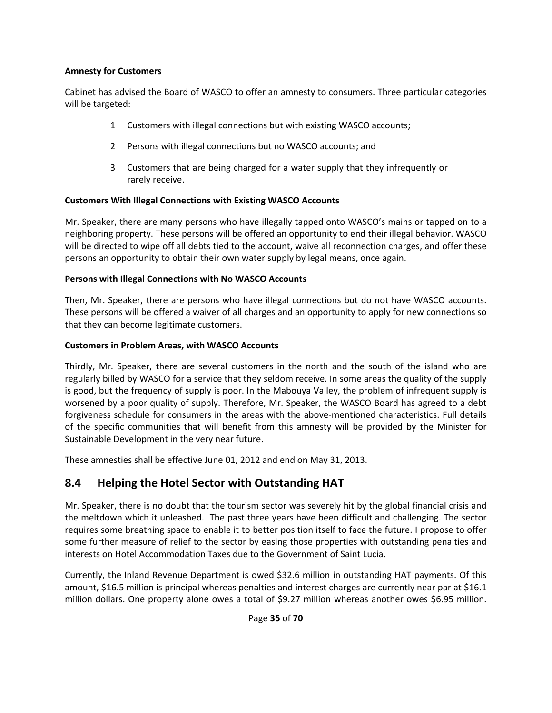#### **Amnesty for Customers**

Cabinet has advised the Board of WASCO to offer an amnesty to consumers. Three particular categories will be targeted:

- 1 Customers with illegal connections but with existing WASCO accounts;
- 2 Persons with illegal connections but no WASCO accounts; and
- 3 Customers that are being charged for a water supply that they infrequently or rarely receive.

#### **Customers With Illegal Connections with Existing WASCO Accounts**

Mr. Speaker, there are many persons who have illegally tapped onto WASCO's mains or tapped on to a neighboring property. These persons will be offered an opportunity to end their illegal behavior. WASCO will be directed to wipe off all debts tied to the account, waive all reconnection charges, and offer these persons an opportunity to obtain their own water supply by legal means, once again.

#### **Persons with Illegal Connections with No WASCO Accounts**

Then, Mr. Speaker, there are persons who have illegal connections but do not have WASCO accounts. These persons will be offered a waiver of all charges and an opportunity to apply for new connections so that they can become legitimate customers.

#### **Customers in Problem Areas, with WASCO Accounts**

Thirdly, Mr. Speaker, there are several customers in the north and the south of the island who are regularly billed by WASCO for a service that they seldom receive. In some areas the quality of the supply is good, but the frequency of supply is poor. In the Mabouya Valley, the problem of infrequent supply is worsened by a poor quality of supply. Therefore, Mr. Speaker, the WASCO Board has agreed to a debt forgiveness schedule for consumers in the areas with the above-mentioned characteristics. Full details of the specific communities that will benefit from this amnesty will be provided by the Minister for Sustainable Development in the very near future.

These amnesties shall be effective June 01, 2012 and end on May 31, 2013.

#### **8.4 Helping the Hotel Sector with Outstanding HAT**

Mr. Speaker, there is no doubt that the tourism sector was severely hit by the global financial crisis and the meltdown which it unleashed. The past three years have been difficult and challenging. The sector requires some breathing space to enable it to better position itself to face the future. I propose to offer some further measure of relief to the sector by easing those properties with outstanding penalties and interests on Hotel Accommodation Taxes due to the Government of Saint Lucia.

Currently, the Inland Revenue Department is owed \$32.6 million in outstanding HAT payments. Of this amount, \$16.5 million is principal whereas penalties and interest charges are currently near par at \$16.1 million dollars. One property alone owes a total of \$9.27 million whereas another owes \$6.95 million.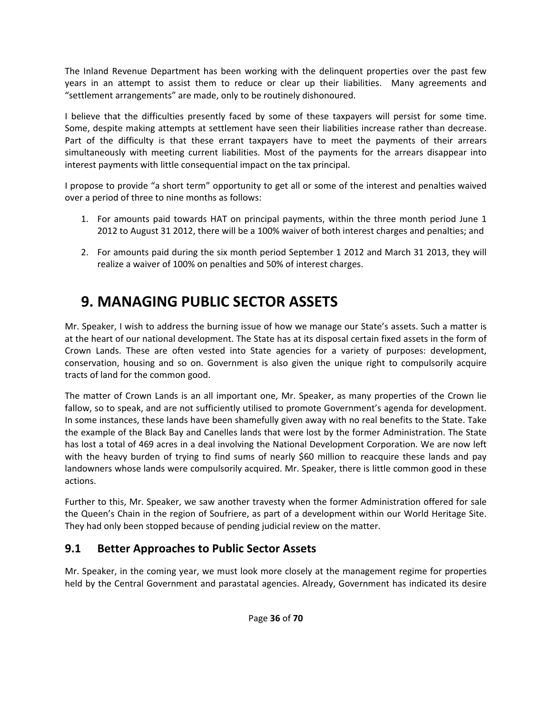The Inland Revenue Department has been working with the delinquent properties over the past few years in an attempt to assist them to reduce or clear up their liabilities. Many agreements and "settlement arrangements" are made, only to be routinely dishonoured.

I believe that the difficulties presently faced by some of these taxpayers will persist for some time. Some, despite making attempts at settlement have seen their liabilities increase rather than decrease. Part of the difficulty is that these errant taxpayers have to meet the payments of their arrears simultaneously with meeting current liabilities. Most of the payments for the arrears disappear into interest payments with little consequential impact on the tax principal.

I propose to provide "a short term" opportunity to get all or some of the interest and penalties waived over a period of three to nine months as follows:

- 1. For amounts paid towards HAT on principal payments, within the three month period June 1 2012 to August 31 2012, there will be a 100% waiver of both interest charges and penalties; and
- 2. For amounts paid during the six month period September 1 2012 and March 31 2013, they will realize a waiver of 100% on penalties and 50% of interest charges.

## **9. MANAGING PUBLIC SECTOR ASSETS**

Mr. Speaker, I wish to address the burning issue of how we manage our State's assets. Such a matter is at the heart of our national development. The State has at its disposal certain fixed assets in the form of Crown Lands. These are often vested into State agencies for a variety of purposes: development, conservation, housing and so on. Government is also given the unique right to compulsorily acquire tracts of land for the common good.

The matter of Crown Lands is an all important one, Mr. Speaker, as many properties of the Crown lie fallow, so to speak, and are not sufficiently utilised to promote Government's agenda for development. In some instances, these lands have been shamefully given away with no real benefits to the State. Take the example of the Black Bay and Canelles lands that were lost by the former Administration. The State has lost a total of 469 acres in a deal involving the National Development Corporation. We are now left with the heavy burden of trying to find sums of nearly \$60 million to reacquire these lands and pay landowners whose lands were compulsorily acquired. Mr. Speaker, there is little common good in these actions.

Further to this, Mr. Speaker, we saw another travesty when the former Administration offered for sale the Queen's Chain in the region of Soufriere, as part of a development within our World Heritage Site. They had only been stopped because of pending judicial review on the matter.

## **9.1 Better Approaches to Public Sector Assets**

Mr. Speaker, in the coming year, we must look more closely at the management regime for properties held by the Central Government and parastatal agencies. Already, Government has indicated its desire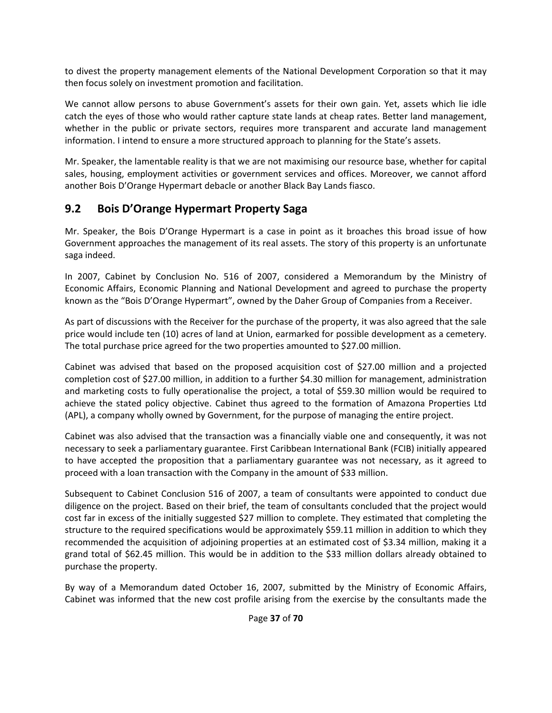to divest the property management elements of the National Development Corporation so that it may then focus solely on investment promotion and facilitation.

We cannot allow persons to abuse Government's assets for their own gain. Yet, assets which lie idle catch the eyes of those who would rather capture state lands at cheap rates. Better land management, whether in the public or private sectors, requires more transparent and accurate land management information. I intend to ensure a more structured approach to planning for the State's assets.

Mr. Speaker, the lamentable reality is that we are not maximising our resource base, whether for capital sales, housing, employment activities or government services and offices. Moreover, we cannot afford another Bois D'Orange Hypermart debacle or another Black Bay Lands fiasco.

### **9.2 Bois D'Orange Hypermart Property Saga**

Mr. Speaker, the Bois D'Orange Hypermart is a case in point as it broaches this broad issue of how Government approaches the management of its real assets. The story of this property is an unfortunate saga indeed.

In 2007, Cabinet by Conclusion No. 516 of 2007, considered a Memorandum by the Ministry of Economic Affairs, Economic Planning and National Development and agreed to purchase the property known as the "Bois D'Orange Hypermart", owned by the Daher Group of Companies from a Receiver.

As part of discussions with the Receiver for the purchase of the property, it was also agreed that the sale price would include ten (10) acres of land at Union, earmarked for possible development as a cemetery. The total purchase price agreed for the two properties amounted to \$27.00 million.

Cabinet was advised that based on the proposed acquisition cost of \$27.00 million and a projected completion cost of \$27.00 million, in addition to a further \$4.30 million for management, administration and marketing costs to fully operationalise the project, a total of \$59.30 million would be required to achieve the stated policy objective. Cabinet thus agreed to the formation of Amazona Properties Ltd (APL), a company wholly owned by Government, for the purpose of managing the entire project.

Cabinet was also advised that the transaction was a financially viable one and consequently, it was not necessary to seek a parliamentary guarantee. First Caribbean International Bank (FCIB) initially appeared to have accepted the proposition that a parliamentary guarantee was not necessary, as it agreed to proceed with a loan transaction with the Company in the amount of \$33 million.

Subsequent to Cabinet Conclusion 516 of 2007, a team of consultants were appointed to conduct due diligence on the project. Based on their brief, the team of consultants concluded that the project would cost far in excess of the initially suggested \$27 million to complete. They estimated that completing the structure to the required specifications would be approximately \$59.11 million in addition to which they recommended the acquisition of adjoining properties at an estimated cost of \$3.34 million, making it a grand total of \$62.45 million. This would be in addition to the \$33 million dollars already obtained to purchase the property.

By way of a Memorandum dated October 16, 2007, submitted by the Ministry of Economic Affairs, Cabinet was informed that the new cost profile arising from the exercise by the consultants made the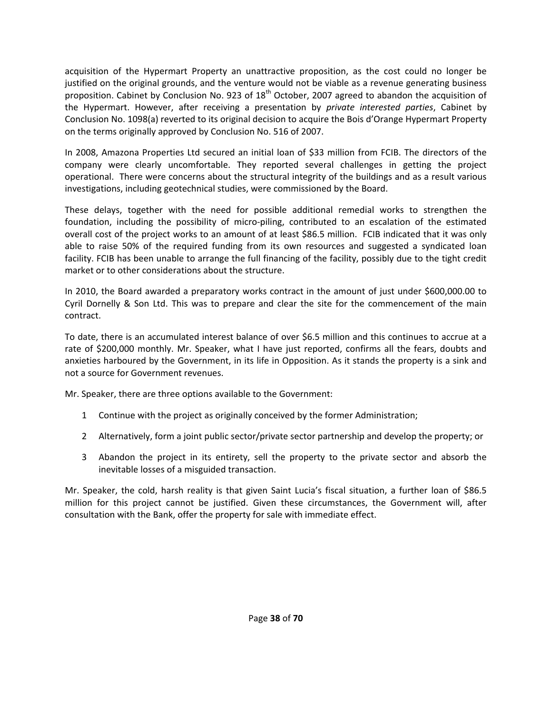acquisition of the Hypermart Property an unattractive proposition, as the cost could no longer be justified on the original grounds, and the venture would not be viable as a revenue generating business proposition. Cabinet by Conclusion No. 923 of  $18<sup>th</sup>$  October, 2007 agreed to abandon the acquisition of the Hypermart. However, after receiving a presentation by *private interested parties*, Cabinet by Conclusion No. 1098(a) reverted to its original decision to acquire the Bois d'Orange Hypermart Property on the terms originally approved by Conclusion No. 516 of 2007.

In 2008, Amazona Properties Ltd secured an initial loan of \$33 million from FCIB. The directors of the company were clearly uncomfortable. They reported several challenges in getting the project operational. There were concerns about the structural integrity of the buildings and as a result various investigations, including geotechnical studies, were commissioned by the Board.

These delays, together with the need for possible additional remedial works to strengthen the foundation, including the possibility of micro-piling, contributed to an escalation of the estimated overall cost of the project works to an amount of at least \$86.5 million. FCIB indicated that it was only able to raise 50% of the required funding from its own resources and suggested a syndicated loan facility. FCIB has been unable to arrange the full financing of the facility, possibly due to the tight credit market or to other considerations about the structure.

In 2010, the Board awarded a preparatory works contract in the amount of just under \$600,000.00 to Cyril Dornelly & Son Ltd. This was to prepare and clear the site for the commencement of the main contract.

To date, there is an accumulated interest balance of over \$6.5 million and this continues to accrue at a rate of \$200,000 monthly. Mr. Speaker, what I have just reported, confirms all the fears, doubts and anxieties harboured by the Government, in its life in Opposition. As it stands the property is a sink and not a source for Government revenues.

Mr. Speaker, there are three options available to the Government:

- 1 Continue with the project as originally conceived by the former Administration;
- 2 Alternatively, form a joint public sector/private sector partnership and develop the property; or
- 3 Abandon the project in its entirety, sell the property to the private sector and absorb the inevitable losses of a misguided transaction.

Mr. Speaker, the cold, harsh reality is that given Saint Lucia's fiscal situation, a further loan of \$86.5 million for this project cannot be justified. Given these circumstances, the Government will, after consultation with the Bank, offer the property for sale with immediate effect.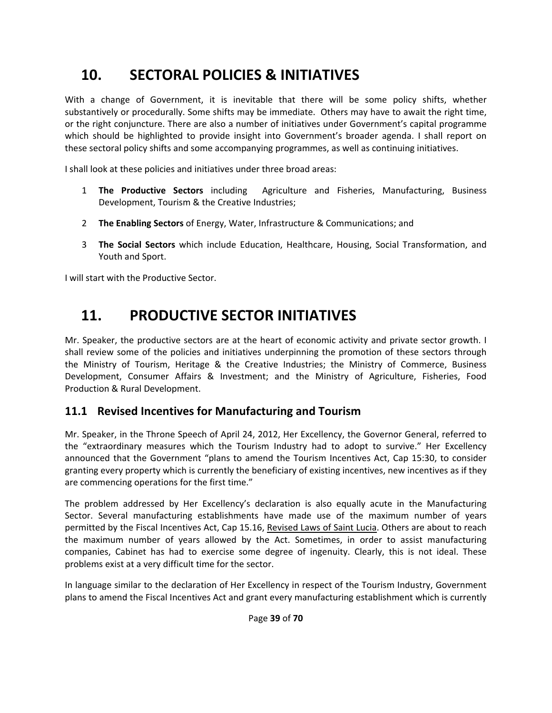## **10. SECTORAL POLICIES & INITIATIVES**

With a change of Government, it is inevitable that there will be some policy shifts, whether substantively or procedurally. Some shifts may be immediate. Others may have to await the right time, or the right conjuncture. There are also a number of initiatives under Government's capital programme which should be highlighted to provide insight into Government's broader agenda. I shall report on these sectoral policy shifts and some accompanying programmes, as well as continuing initiatives.

I shall look at these policies and initiatives under three broad areas:

- 1 **The Productive Sectors** including Agriculture and Fisheries, Manufacturing, Business Development, Tourism & the Creative Industries;
- 2 **The Enabling Sectors** of Energy, Water, Infrastructure & Communications; and
- 3 **The Social Sectors** which include Education, Healthcare, Housing, Social Transformation, and Youth and Sport.

I will start with the Productive Sector.

## **11. PRODUCTIVE SECTOR INITIATIVES**

Mr. Speaker, the productive sectors are at the heart of economic activity and private sector growth. I shall review some of the policies and initiatives underpinning the promotion of these sectors through the Ministry of Tourism, Heritage & the Creative Industries; the Ministry of Commerce, Business Development, Consumer Affairs & Investment; and the Ministry of Agriculture, Fisheries, Food Production & Rural Development.

### **11.1 Revised Incentives for Manufacturing and Tourism**

Mr. Speaker, in the Throne Speech of April 24, 2012, Her Excellency, the Governor General, referred to the "extraordinary measures which the Tourism Industry had to adopt to survive." Her Excellency announced that the Government "plans to amend the Tourism Incentives Act, Cap 15:30, to consider granting every property which is currently the beneficiary of existing incentives, new incentives as if they are commencing operations for the first time."

The problem addressed by Her Excellency's declaration is also equally acute in the Manufacturing Sector. Several manufacturing establishments have made use of the maximum number of years permitted by the Fiscal Incentives Act, Cap 15.16, Revised Laws of Saint Lucia. Others are about to reach the maximum number of years allowed by the Act. Sometimes, in order to assist manufacturing companies, Cabinet has had to exercise some degree of ingenuity. Clearly, this is not ideal. These problems exist at a very difficult time for the sector.

In language similar to the declaration of Her Excellency in respect of the Tourism Industry, Government plans to amend the Fiscal Incentives Act and grant every manufacturing establishment which is currently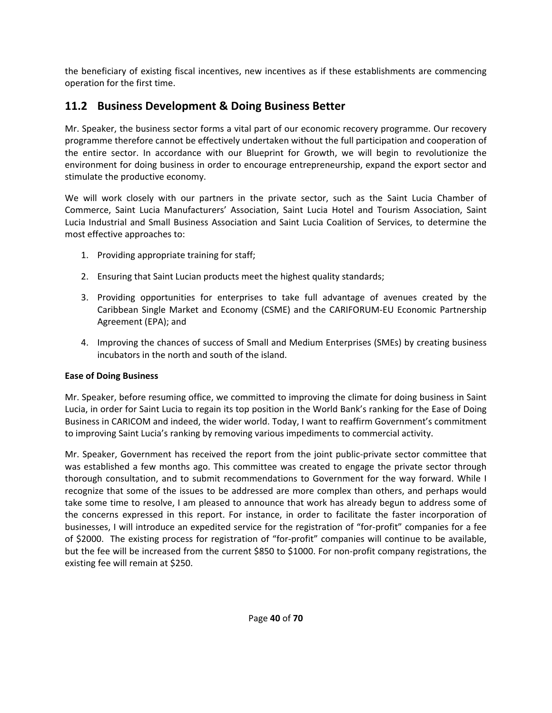the beneficiary of existing fiscal incentives, new incentives as if these establishments are commencing operation for the first time.

## **11.2 Business Development & Doing Business Better**

Mr. Speaker, the business sector forms a vital part of our economic recovery programme. Our recovery programme therefore cannot be effectively undertaken without the full participation and cooperation of the entire sector. In accordance with our Blueprint for Growth, we will begin to revolutionize the environment for doing business in order to encourage entrepreneurship, expand the export sector and stimulate the productive economy.

We will work closely with our partners in the private sector, such as the Saint Lucia Chamber of Commerce, Saint Lucia Manufacturers' Association, Saint Lucia Hotel and Tourism Association, Saint Lucia Industrial and Small Business Association and Saint Lucia Coalition of Services, to determine the most effective approaches to:

- 1. Providing appropriate training for staff;
- 2. Ensuring that Saint Lucian products meet the highest quality standards;
- 3. Providing opportunities for enterprises to take full advantage of avenues created by the Caribbean Single Market and Economy (CSME) and the CARIFORUM‐EU Economic Partnership Agreement (EPA); and
- 4. Improving the chances of success of Small and Medium Enterprises (SMEs) by creating business incubators in the north and south of the island.

#### **Ease of Doing Business**

Mr. Speaker, before resuming office, we committed to improving the climate for doing business in Saint Lucia, in order for Saint Lucia to regain its top position in the World Bank's ranking for the Ease of Doing Business in CARICOM and indeed, the wider world. Today, I want to reaffirm Government's commitment to improving Saint Lucia's ranking by removing various impediments to commercial activity.

Mr. Speaker, Government has received the report from the joint public‐private sector committee that was established a few months ago. This committee was created to engage the private sector through thorough consultation, and to submit recommendations to Government for the way forward. While I recognize that some of the issues to be addressed are more complex than others, and perhaps would take some time to resolve, I am pleased to announce that work has already begun to address some of the concerns expressed in this report. For instance, in order to facilitate the faster incorporation of businesses, I will introduce an expedited service for the registration of "for‐profit" companies for a fee of \$2000. The existing process for registration of "for‐profit" companies will continue to be available, but the fee will be increased from the current \$850 to \$1000. For non‐profit company registrations, the existing fee will remain at \$250.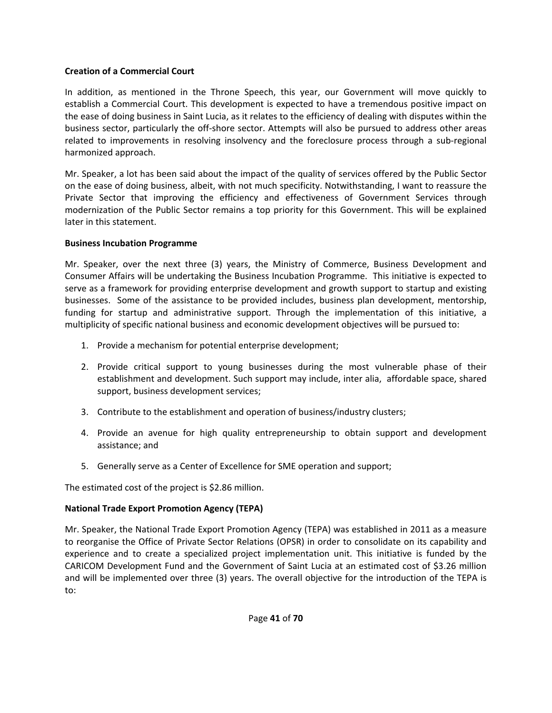#### **Creation of a Commercial Court**

In addition, as mentioned in the Throne Speech, this year, our Government will move quickly to establish a Commercial Court. This development is expected to have a tremendous positive impact on the ease of doing business in Saint Lucia, as it relates to the efficiency of dealing with disputes within the business sector, particularly the off‐shore sector. Attempts will also be pursued to address other areas related to improvements in resolving insolvency and the foreclosure process through a sub-regional harmonized approach.

Mr. Speaker, a lot has been said about the impact of the quality of services offered by the Public Sector on the ease of doing business, albeit, with not much specificity. Notwithstanding, I want to reassure the Private Sector that improving the efficiency and effectiveness of Government Services through modernization of the Public Sector remains a top priority for this Government. This will be explained later in this statement.

#### **Business Incubation Programme**

Mr. Speaker, over the next three (3) years, the Ministry of Commerce, Business Development and Consumer Affairs will be undertaking the Business Incubation Programme. This initiative is expected to serve as a framework for providing enterprise development and growth support to startup and existing businesses. Some of the assistance to be provided includes, business plan development, mentorship, funding for startup and administrative support. Through the implementation of this initiative, a multiplicity of specific national business and economic development objectives will be pursued to:

- 1. Provide a mechanism for potential enterprise development;
- 2. Provide critical support to young businesses during the most vulnerable phase of their establishment and development. Such support may include, inter alia, affordable space, shared support, business development services;
- 3. Contribute to the establishment and operation of business/industry clusters;
- 4. Provide an avenue for high quality entrepreneurship to obtain support and development assistance; and
- 5. Generally serve as a Center of Excellence for SME operation and support;

The estimated cost of the project is \$2.86 million.

#### **National Trade Export Promotion Agency (TEPA)**

Mr. Speaker, the National Trade Export Promotion Agency (TEPA) was established in 2011 as a measure to reorganise the Office of Private Sector Relations (OPSR) in order to consolidate on its capability and experience and to create a specialized project implementation unit. This initiative is funded by the CARICOM Development Fund and the Government of Saint Lucia at an estimated cost of \$3.26 million and will be implemented over three (3) years. The overall objective for the introduction of the TEPA is to: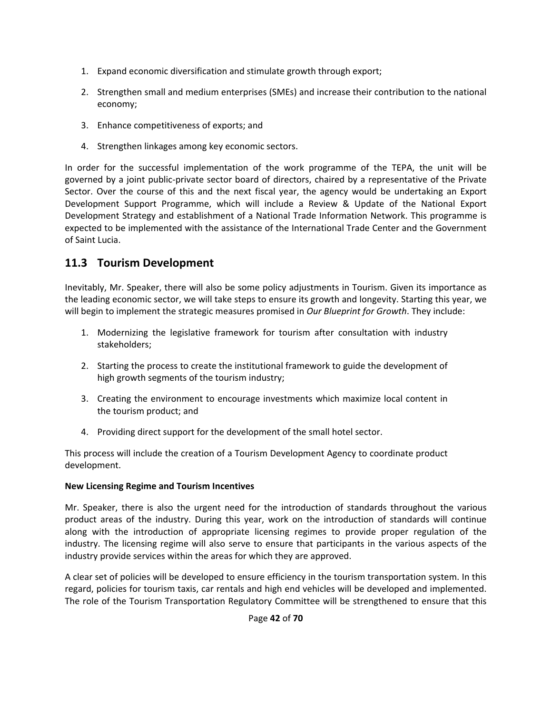- 1. Expand economic diversification and stimulate growth through export;
- 2. Strengthen small and medium enterprises (SMEs) and increase their contribution to the national economy;
- 3. Enhance competitiveness of exports; and
- 4. Strengthen linkages among key economic sectors.

In order for the successful implementation of the work programme of the TEPA, the unit will be governed by a joint public‐private sector board of directors, chaired by a representative of the Private Sector. Over the course of this and the next fiscal year, the agency would be undertaking an Export Development Support Programme, which will include a Review & Update of the National Export Development Strategy and establishment of a National Trade Information Network. This programme is expected to be implemented with the assistance of the International Trade Center and the Government of Saint Lucia.

### **11.3 Tourism Development**

Inevitably, Mr. Speaker, there will also be some policy adjustments in Tourism. Given its importance as the leading economic sector, we will take steps to ensure its growth and longevity. Starting this year, we will begin to implement the strategic measures promised in *Our Blueprint for Growth*. They include:

- 1. Modernizing the legislative framework for tourism after consultation with industry stakeholders;
- 2. Starting the process to create the institutional framework to guide the development of high growth segments of the tourism industry;
- 3. Creating the environment to encourage investments which maximize local content in the tourism product; and
- 4. Providing direct support for the development of the small hotel sector.

This process will include the creation of a Tourism Development Agency to coordinate product development.

#### **New Licensing Regime and Tourism Incentives**

Mr. Speaker, there is also the urgent need for the introduction of standards throughout the various product areas of the industry. During this year, work on the introduction of standards will continue along with the introduction of appropriate licensing regimes to provide proper regulation of the industry. The licensing regime will also serve to ensure that participants in the various aspects of the industry provide services within the areas for which they are approved.

A clear set of policies will be developed to ensure efficiency in the tourism transportation system. In this regard, policies for tourism taxis, car rentals and high end vehicles will be developed and implemented. The role of the Tourism Transportation Regulatory Committee will be strengthened to ensure that this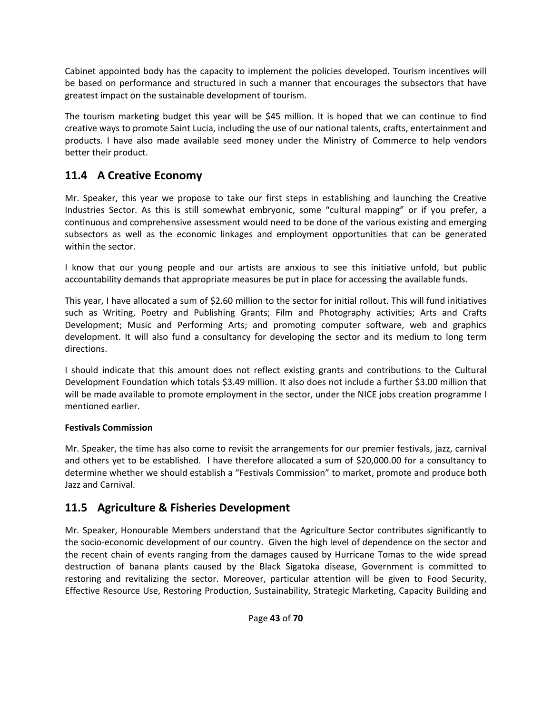Cabinet appointed body has the capacity to implement the policies developed. Tourism incentives will be based on performance and structured in such a manner that encourages the subsectors that have greatest impact on the sustainable development of tourism.

The tourism marketing budget this year will be \$45 million. It is hoped that we can continue to find creative ways to promote Saint Lucia, including the use of our national talents, crafts, entertainment and products. I have also made available seed money under the Ministry of Commerce to help vendors better their product.

## **11.4 A Creative Economy**

Mr. Speaker, this year we propose to take our first steps in establishing and launching the Creative Industries Sector. As this is still somewhat embryonic, some "cultural mapping" or if you prefer, a continuous and comprehensive assessment would need to be done of the various existing and emerging subsectors as well as the economic linkages and employment opportunities that can be generated within the sector.

I know that our young people and our artists are anxious to see this initiative unfold, but public accountability demands that appropriate measures be put in place for accessing the available funds.

This year, I have allocated a sum of \$2.60 million to the sector for initial rollout. This will fund initiatives such as Writing, Poetry and Publishing Grants; Film and Photography activities; Arts and Crafts Development; Music and Performing Arts; and promoting computer software, web and graphics development. It will also fund a consultancy for developing the sector and its medium to long term directions.

I should indicate that this amount does not reflect existing grants and contributions to the Cultural Development Foundation which totals \$3.49 million. It also does not include a further \$3.00 million that will be made available to promote employment in the sector, under the NICE jobs creation programme I mentioned earlier.

#### **Festivals Commission**

Mr. Speaker, the time has also come to revisit the arrangements for our premier festivals, jazz, carnival and others yet to be established. I have therefore allocated a sum of \$20,000.00 for a consultancy to determine whether we should establish a "Festivals Commission" to market, promote and produce both Jazz and Carnival.

### **11.5 Agriculture & Fisheries Development**

Mr. Speaker, Honourable Members understand that the Agriculture Sector contributes significantly to the socio‐economic development of our country. Given the high level of dependence on the sector and the recent chain of events ranging from the damages caused by Hurricane Tomas to the wide spread destruction of banana plants caused by the Black Sigatoka disease, Government is committed to restoring and revitalizing the sector. Moreover, particular attention will be given to Food Security, Effective Resource Use, Restoring Production, Sustainability, Strategic Marketing, Capacity Building and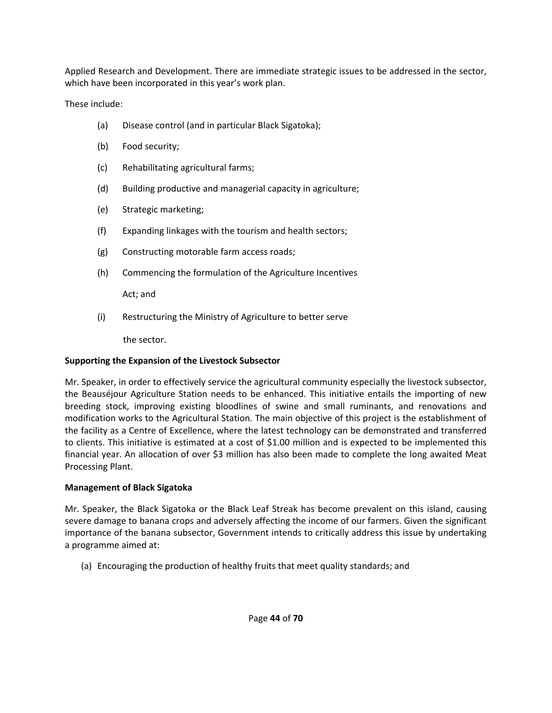Applied Research and Development. There are immediate strategic issues to be addressed in the sector, which have been incorporated in this year's work plan.

These include:

- (a) Disease control (and in particular Black Sigatoka);
- (b) Food security;
- (c) Rehabilitating agricultural farms;
- (d) Building productive and managerial capacity in agriculture;
- (e) Strategic marketing;
- (f) Expanding linkages with the tourism and health sectors;
- (g) Constructing motorable farm access roads;
- (h) Commencing the formulation of the Agriculture Incentives

Act; and

(i) Restructuring the Ministry of Agriculture to better serve

the sector.

#### **Supporting the Expansion of the Livestock Subsector**

Mr. Speaker, in order to effectively service the agricultural community especially the livestock subsector, the Beauséjour Agriculture Station needs to be enhanced. This initiative entails the importing of new breeding stock, improving existing bloodlines of swine and small ruminants, and renovations and modification works to the Agricultural Station. The main objective of this project is the establishment of the facility as a Centre of Excellence, where the latest technology can be demonstrated and transferred to clients. This initiative is estimated at a cost of \$1.00 million and is expected to be implemented this financial year. An allocation of over \$3 million has also been made to complete the long awaited Meat Processing Plant.

#### **Management of Black Sigatoka**

Mr. Speaker, the Black Sigatoka or the Black Leaf Streak has become prevalent on this island, causing severe damage to banana crops and adversely affecting the income of our farmers. Given the significant importance of the banana subsector, Government intends to critically address this issue by undertaking a programme aimed at:

(a) Encouraging the production of healthy fruits that meet quality standards; and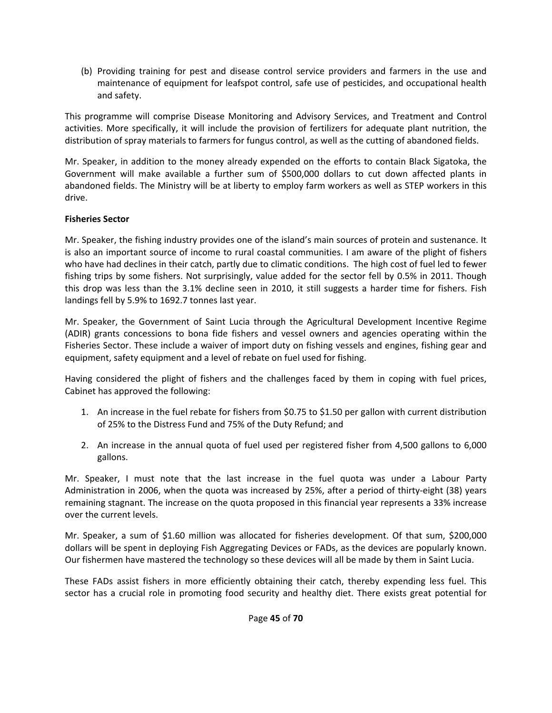(b) Providing training for pest and disease control service providers and farmers in the use and maintenance of equipment for leafspot control, safe use of pesticides, and occupational health and safety.

This programme will comprise Disease Monitoring and Advisory Services, and Treatment and Control activities. More specifically, it will include the provision of fertilizers for adequate plant nutrition, the distribution of spray materials to farmers for fungus control, as well as the cutting of abandoned fields.

Mr. Speaker, in addition to the money already expended on the efforts to contain Black Sigatoka, the Government will make available a further sum of \$500,000 dollars to cut down affected plants in abandoned fields. The Ministry will be at liberty to employ farm workers as well as STEP workers in this drive.

#### **Fisheries Sector**

Mr. Speaker, the fishing industry provides one of the island's main sources of protein and sustenance. It is also an important source of income to rural coastal communities. I am aware of the plight of fishers who have had declines in their catch, partly due to climatic conditions. The high cost of fuel led to fewer fishing trips by some fishers. Not surprisingly, value added for the sector fell by 0.5% in 2011. Though this drop was less than the 3.1% decline seen in 2010, it still suggests a harder time for fishers. Fish landings fell by 5.9% to 1692.7 tonnes last year.

Mr. Speaker, the Government of Saint Lucia through the Agricultural Development Incentive Regime (ADIR) grants concessions to bona fide fishers and vessel owners and agencies operating within the Fisheries Sector. These include a waiver of import duty on fishing vessels and engines, fishing gear and equipment, safety equipment and a level of rebate on fuel used for fishing.

Having considered the plight of fishers and the challenges faced by them in coping with fuel prices, Cabinet has approved the following:

- 1. An increase in the fuel rebate for fishers from \$0.75 to \$1.50 per gallon with current distribution of 25% to the Distress Fund and 75% of the Duty Refund; and
- 2. An increase in the annual quota of fuel used per registered fisher from 4,500 gallons to 6,000 gallons.

Mr. Speaker, I must note that the last increase in the fuel quota was under a Labour Party Administration in 2006, when the quota was increased by 25%, after a period of thirty‐eight (38) years remaining stagnant. The increase on the quota proposed in this financial year represents a 33% increase over the current levels.

Mr. Speaker, a sum of \$1.60 million was allocated for fisheries development. Of that sum, \$200,000 dollars will be spent in deploying Fish Aggregating Devices or FADs, as the devices are popularly known. Our fishermen have mastered the technology so these devices will all be made by them in Saint Lucia.

These FADs assist fishers in more efficiently obtaining their catch, thereby expending less fuel. This sector has a crucial role in promoting food security and healthy diet. There exists great potential for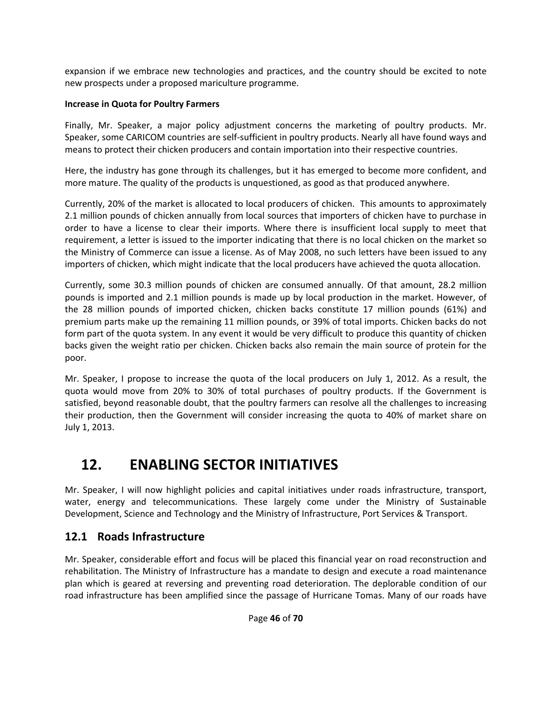expansion if we embrace new technologies and practices, and the country should be excited to note new prospects under a proposed mariculture programme.

#### **Increase in Quota for Poultry Farmers**

Finally, Mr. Speaker, a major policy adjustment concerns the marketing of poultry products. Mr. Speaker, some CARICOM countries are self‐sufficient in poultry products. Nearly all have found ways and means to protect their chicken producers and contain importation into their respective countries.

Here, the industry has gone through its challenges, but it has emerged to become more confident, and more mature. The quality of the products is unquestioned, as good as that produced anywhere.

Currently, 20% of the market is allocated to local producers of chicken. This amounts to approximately 2.1 million pounds of chicken annually from local sources that importers of chicken have to purchase in order to have a license to clear their imports. Where there is insufficient local supply to meet that requirement, a letter is issued to the importer indicating that there is no local chicken on the market so the Ministry of Commerce can issue a license. As of May 2008, no such letters have been issued to any importers of chicken, which might indicate that the local producers have achieved the quota allocation.

Currently, some 30.3 million pounds of chicken are consumed annually. Of that amount, 28.2 million pounds is imported and 2.1 million pounds is made up by local production in the market. However, of the 28 million pounds of imported chicken, chicken backs constitute 17 million pounds (61%) and premium parts make up the remaining 11 million pounds, or 39% of total imports. Chicken backs do not form part of the quota system. In any event it would be very difficult to produce this quantity of chicken backs given the weight ratio per chicken. Chicken backs also remain the main source of protein for the poor.

Mr. Speaker, I propose to increase the quota of the local producers on July 1, 2012. As a result, the quota would move from 20% to 30% of total purchases of poultry products. If the Government is satisfied, beyond reasonable doubt, that the poultry farmers can resolve all the challenges to increasing their production, then the Government will consider increasing the quota to 40% of market share on July 1, 2013.

## **12. ENABLING SECTOR INITIATIVES**

Mr. Speaker, I will now highlight policies and capital initiatives under roads infrastructure, transport, water, energy and telecommunications. These largely come under the Ministry of Sustainable Development, Science and Technology and the Ministry of Infrastructure, Port Services & Transport.

### **12.1 Roads Infrastructure**

Mr. Speaker, considerable effort and focus will be placed this financial year on road reconstruction and rehabilitation. The Ministry of Infrastructure has a mandate to design and execute a road maintenance plan which is geared at reversing and preventing road deterioration. The deplorable condition of our road infrastructure has been amplified since the passage of Hurricane Tomas. Many of our roads have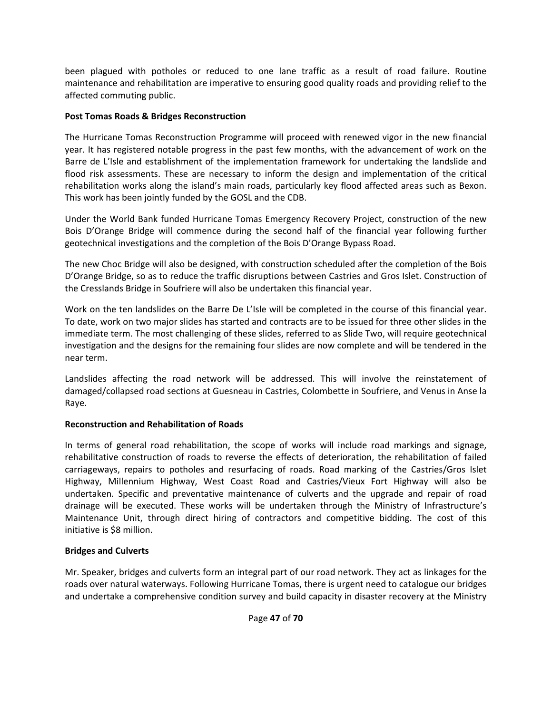been plagued with potholes or reduced to one lane traffic as a result of road failure. Routine maintenance and rehabilitation are imperative to ensuring good quality roads and providing relief to the affected commuting public.

#### **Post Tomas Roads & Bridges Reconstruction**

The Hurricane Tomas Reconstruction Programme will proceed with renewed vigor in the new financial year. It has registered notable progress in the past few months, with the advancement of work on the Barre de L'Isle and establishment of the implementation framework for undertaking the landslide and flood risk assessments. These are necessary to inform the design and implementation of the critical rehabilitation works along the island's main roads, particularly key flood affected areas such as Bexon. This work has been jointly funded by the GOSL and the CDB.

Under the World Bank funded Hurricane Tomas Emergency Recovery Project, construction of the new Bois D'Orange Bridge will commence during the second half of the financial year following further geotechnical investigations and the completion of the Bois D'Orange Bypass Road.

The new Choc Bridge will also be designed, with construction scheduled after the completion of the Bois D'Orange Bridge, so as to reduce the traffic disruptions between Castries and Gros Islet. Construction of the Cresslands Bridge in Soufriere will also be undertaken this financial year.

Work on the ten landslides on the Barre De L'Isle will be completed in the course of this financial year. To date, work on two major slides has started and contracts are to be issued for three other slides in the immediate term. The most challenging of these slides, referred to as Slide Two, will require geotechnical investigation and the designs for the remaining four slides are now complete and will be tendered in the near term.

Landslides affecting the road network will be addressed. This will involve the reinstatement of damaged/collapsed road sections at Guesneau in Castries, Colombette in Soufriere, and Venus in Anse la Raye.

#### **Reconstruction and Rehabilitation of Roads**

In terms of general road rehabilitation, the scope of works will include road markings and signage, rehabilitative construction of roads to reverse the effects of deterioration, the rehabilitation of failed carriageways, repairs to potholes and resurfacing of roads. Road marking of the Castries/Gros Islet Highway, Millennium Highway, West Coast Road and Castries/Vieux Fort Highway will also be undertaken. Specific and preventative maintenance of culverts and the upgrade and repair of road drainage will be executed. These works will be undertaken through the Ministry of Infrastructure's Maintenance Unit, through direct hiring of contractors and competitive bidding. The cost of this initiative is \$8 million.

#### **Bridges and Culverts**

Mr. Speaker, bridges and culverts form an integral part of our road network. They act as linkages for the roads over natural waterways. Following Hurricane Tomas, there is urgent need to catalogue our bridges and undertake a comprehensive condition survey and build capacity in disaster recovery at the Ministry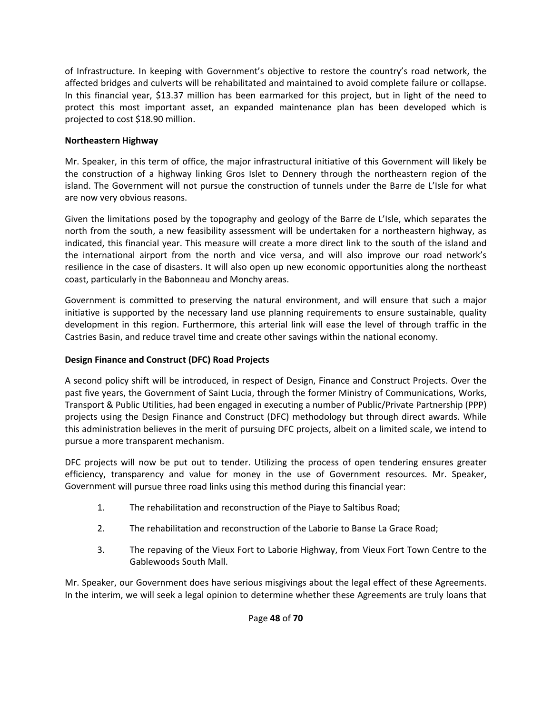of Infrastructure. In keeping with Government's objective to restore the country's road network, the affected bridges and culverts will be rehabilitated and maintained to avoid complete failure or collapse. In this financial year, \$13.37 million has been earmarked for this project, but in light of the need to protect this most important asset, an expanded maintenance plan has been developed which is projected to cost \$18.90 million.

#### **Northeastern Highway**

Mr. Speaker, in this term of office, the major infrastructural initiative of this Government will likely be the construction of a highway linking Gros Islet to Dennery through the northeastern region of the island. The Government will not pursue the construction of tunnels under the Barre de L'Isle for what are now very obvious reasons.

Given the limitations posed by the topography and geology of the Barre de L'Isle, which separates the north from the south, a new feasibility assessment will be undertaken for a northeastern highway, as indicated, this financial year. This measure will create a more direct link to the south of the island and the international airport from the north and vice versa, and will also improve our road network's resilience in the case of disasters. It will also open up new economic opportunities along the northeast coast, particularly in the Babonneau and Monchy areas.

Government is committed to preserving the natural environment, and will ensure that such a major initiative is supported by the necessary land use planning requirements to ensure sustainable, quality development in this region. Furthermore, this arterial link will ease the level of through traffic in the Castries Basin, and reduce travel time and create other savings within the national economy.

#### **Design Finance and Construct (DFC) Road Projects**

A second policy shift will be introduced, in respect of Design, Finance and Construct Projects. Over the past five years, the Government of Saint Lucia, through the former Ministry of Communications, Works, Transport & Public Utilities, had been engaged in executing a number of Public/Private Partnership (PPP) projects using the Design Finance and Construct (DFC) methodology but through direct awards. While this administration believes in the merit of pursuing DFC projects, albeit on a limited scale, we intend to pursue a more transparent mechanism.

DFC projects will now be put out to tender. Utilizing the process of open tendering ensures greater efficiency, transparency and value for money in the use of Government resources. Mr. Speaker, Government will pursue three road links using this method during this financial year:

- 1. The rehabilitation and reconstruction of the Piaye to Saltibus Road;
- 2. The rehabilitation and reconstruction of the Laborie to Banse La Grace Road;
- 3. The repaving of the Vieux Fort to Laborie Highway, from Vieux Fort Town Centre to the Gablewoods South Mall.

Mr. Speaker, our Government does have serious misgivings about the legal effect of these Agreements. In the interim, we will seek a legal opinion to determine whether these Agreements are truly loans that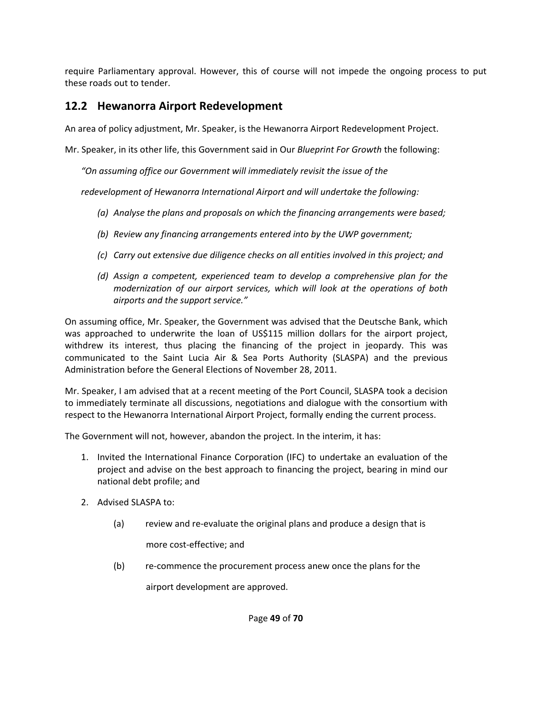require Parliamentary approval. However, this of course will not impede the ongoing process to put these roads out to tender.

### **12.2 Hewanorra Airport Redevelopment**

An area of policy adjustment, Mr. Speaker, is the Hewanorra Airport Redevelopment Project.

Mr. Speaker, in its other life, this Government said in Our *Blueprint For Growth* the following:

*"On assuming office our Government will immediately revisit the issue of the* 

*redevelopment of Hewanorra International Airport and will undertake the following:*

- *(a) Analyse the plans and proposals on which the financing arrangements were based;*
- *(b) Review any financing arrangements entered into by the UWP government;*
- *(c) Carry out extensive due diligence checks on all entities involved in this project; and*
- *(d) Assign a competent, experienced team to develop a comprehensive plan for the modernization of our airport services, which will look at the operations of both airports and the support service."*

On assuming office, Mr. Speaker, the Government was advised that the Deutsche Bank, which was approached to underwrite the loan of US\$115 million dollars for the airport project, withdrew its interest, thus placing the financing of the project in jeopardy. This was communicated to the Saint Lucia Air & Sea Ports Authority (SLASPA) and the previous Administration before the General Elections of November 28, 2011.

Mr. Speaker, I am advised that at a recent meeting of the Port Council, SLASPA took a decision to immediately terminate all discussions, negotiations and dialogue with the consortium with respect to the Hewanorra International Airport Project, formally ending the current process.

The Government will not, however, abandon the project. In the interim, it has:

- 1. Invited the International Finance Corporation (IFC) to undertake an evaluation of the project and advise on the best approach to financing the project, bearing in mind our national debt profile; and
- 2. Advised SLASPA to:
	- (a) review and re‐evaluate the original plans and produce a design that is

more cost‐effective; and

(b) re‐commence the procurement process anew once the plans for the

airport development are approved.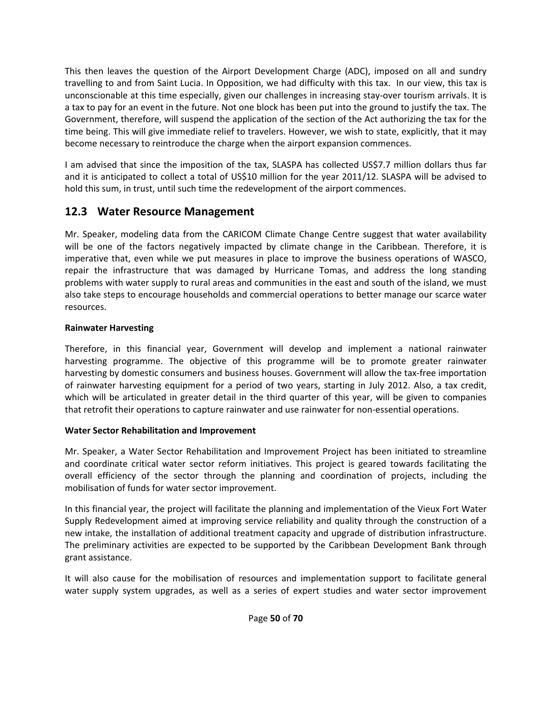This then leaves the question of the Airport Development Charge (ADC), imposed on all and sundry travelling to and from Saint Lucia. In Opposition, we had difficulty with this tax. In our view, this tax is unconscionable at this time especially, given our challenges in increasing stay‐over tourism arrivals. It is a tax to pay for an event in the future. Not one block has been put into the ground to justify the tax. The Government, therefore, will suspend the application of the section of the Act authorizing the tax for the time being. This will give immediate relief to travelers. However, we wish to state, explicitly, that it may become necessary to reintroduce the charge when the airport expansion commences.

I am advised that since the imposition of the tax, SLASPA has collected US\$7.7 million dollars thus far and it is anticipated to collect a total of US\$10 million for the year 2011/12. SLASPA will be advised to hold this sum, in trust, until such time the redevelopment of the airport commences.

### **12.3 Water Resource Management**

Mr. Speaker, modeling data from the CARICOM Climate Change Centre suggest that water availability will be one of the factors negatively impacted by climate change in the Caribbean. Therefore, it is imperative that, even while we put measures in place to improve the business operations of WASCO, repair the infrastructure that was damaged by Hurricane Tomas, and address the long standing problems with water supply to rural areas and communities in the east and south of the island, we must also take steps to encourage households and commercial operations to better manage our scarce water resources.

#### **Rainwater Harvesting**

Therefore, in this financial year, Government will develop and implement a national rainwater harvesting programme. The objective of this programme will be to promote greater rainwater harvesting by domestic consumers and business houses. Government will allow the tax-free importation of rainwater harvesting equipment for a period of two years, starting in July 2012. Also, a tax credit, which will be articulated in greater detail in the third quarter of this year, will be given to companies that retrofit their operations to capture rainwater and use rainwater for non‐essential operations.

#### **Water Sector Rehabilitation and Improvement**

Mr. Speaker, a Water Sector Rehabilitation and Improvement Project has been initiated to streamline and coordinate critical water sector reform initiatives. This project is geared towards facilitating the overall efficiency of the sector through the planning and coordination of projects, including the mobilisation of funds for water sector improvement.

In this financial year, the project will facilitate the planning and implementation of the Vieux Fort Water Supply Redevelopment aimed at improving service reliability and quality through the construction of a new intake, the installation of additional treatment capacity and upgrade of distribution infrastructure. The preliminary activities are expected to be supported by the Caribbean Development Bank through grant assistance.

It will also cause for the mobilisation of resources and implementation support to facilitate general water supply system upgrades, as well as a series of expert studies and water sector improvement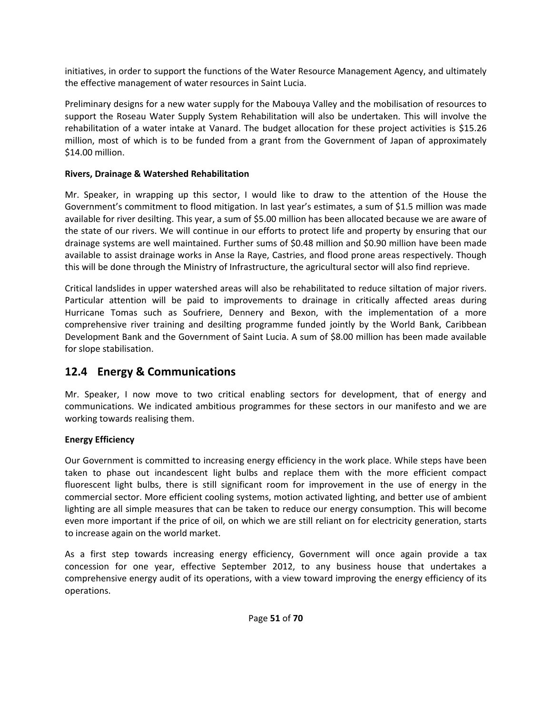initiatives, in order to support the functions of the Water Resource Management Agency, and ultimately the effective management of water resources in Saint Lucia.

Preliminary designs for a new water supply for the Mabouya Valley and the mobilisation of resources to support the Roseau Water Supply System Rehabilitation will also be undertaken. This will involve the rehabilitation of a water intake at Vanard. The budget allocation for these project activities is \$15.26 million, most of which is to be funded from a grant from the Government of Japan of approximately \$14.00 million.

#### **Rivers, Drainage & Watershed Rehabilitation**

Mr. Speaker, in wrapping up this sector, I would like to draw to the attention of the House the Government's commitment to flood mitigation. In last year's estimates, a sum of \$1.5 million was made available for river desilting. This year, a sum of \$5.00 million has been allocated because we are aware of the state of our rivers. We will continue in our efforts to protect life and property by ensuring that our drainage systems are well maintained. Further sums of \$0.48 million and \$0.90 million have been made available to assist drainage works in Anse la Raye, Castries, and flood prone areas respectively. Though this will be done through the Ministry of Infrastructure, the agricultural sector will also find reprieve.

Critical landslides in upper watershed areas will also be rehabilitated to reduce siltation of major rivers. Particular attention will be paid to improvements to drainage in critically affected areas during Hurricane Tomas such as Soufriere, Dennery and Bexon, with the implementation of a more comprehensive river training and desilting programme funded jointly by the World Bank, Caribbean Development Bank and the Government of Saint Lucia. A sum of \$8.00 million has been made available for slope stabilisation.

#### **12.4 Energy & Communications**

Mr. Speaker, I now move to two critical enabling sectors for development, that of energy and communications. We indicated ambitious programmes for these sectors in our manifesto and we are working towards realising them.

#### **Energy Efficiency**

Our Government is committed to increasing energy efficiency in the work place. While steps have been taken to phase out incandescent light bulbs and replace them with the more efficient compact fluorescent light bulbs, there is still significant room for improvement in the use of energy in the commercial sector. More efficient cooling systems, motion activated lighting, and better use of ambient lighting are all simple measures that can be taken to reduce our energy consumption. This will become even more important if the price of oil, on which we are still reliant on for electricity generation, starts to increase again on the world market.

As a first step towards increasing energy efficiency, Government will once again provide a tax concession for one year, effective September 2012, to any business house that undertakes a comprehensive energy audit of its operations, with a view toward improving the energy efficiency of its operations.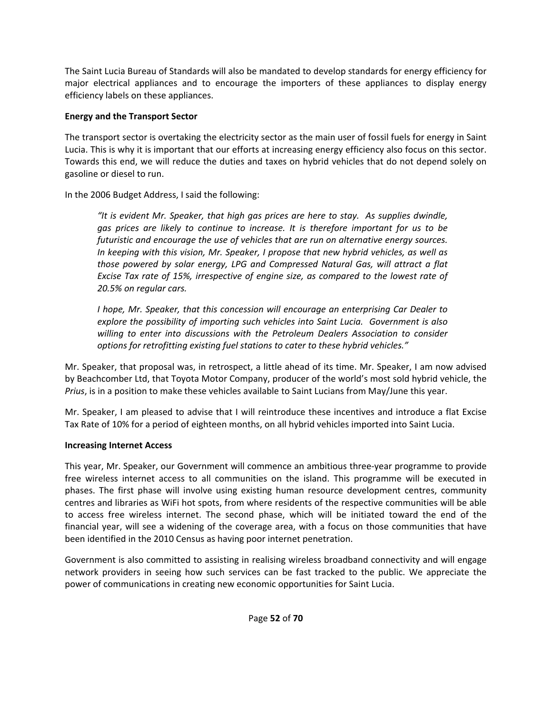The Saint Lucia Bureau of Standards will also be mandated to develop standards for energy efficiency for major electrical appliances and to encourage the importers of these appliances to display energy efficiency labels on these appliances.

#### **Energy and the Transport Sector**

The transport sector is overtaking the electricity sector as the main user of fossil fuels for energy in Saint Lucia. This is why it is important that our efforts at increasing energy efficiency also focus on this sector. Towards this end, we will reduce the duties and taxes on hybrid vehicles that do not depend solely on gasoline or diesel to run.

In the 2006 Budget Address, I said the following:

*"It is evident Mr. Speaker, that high gas prices are here to stay. As supplies dwindle, gas prices are likely to continue to increase. It is therefore important for us to be futuristic and encourage the use of vehicles that are run on alternative energy sources. In keeping with this vision, Mr. Speaker, I propose that new hybrid vehicles, as well as those powered by solar energy, LPG and Compressed Natural Gas, will attract a flat Excise Tax rate of 15%, irrespective of engine size, as compared to the lowest rate of 20.5% on regular cars.*

*I hope, Mr. Speaker, that this concession will encourage an enterprising Car Dealer to explore the possibility of importing such vehicles into Saint Lucia. Government is also willing to enter into discussions with the Petroleum Dealers Association to consider options for retrofitting existing fuel stations to cater to these hybrid vehicles."*

Mr. Speaker, that proposal was, in retrospect, a little ahead of its time. Mr. Speaker, I am now advised by Beachcomber Ltd, that Toyota Motor Company, producer of the world's most sold hybrid vehicle, the *Prius*, is in a position to make these vehicles available to Saint Lucians from May/June this year.

Mr. Speaker, I am pleased to advise that I will reintroduce these incentives and introduce a flat Excise Tax Rate of 10% for a period of eighteen months, on all hybrid vehicles imported into Saint Lucia.

#### **Increasing Internet Access**

This year, Mr. Speaker, our Government will commence an ambitious three‐year programme to provide free wireless internet access to all communities on the island. This programme will be executed in phases. The first phase will involve using existing human resource development centres, community centres and libraries as WiFi hot spots, from where residents of the respective communities will be able to access free wireless internet. The second phase, which will be initiated toward the end of the financial year, will see a widening of the coverage area, with a focus on those communities that have been identified in the 2010 Census as having poor internet penetration.

Government is also committed to assisting in realising wireless broadband connectivity and will engage network providers in seeing how such services can be fast tracked to the public. We appreciate the power of communications in creating new economic opportunities for Saint Lucia.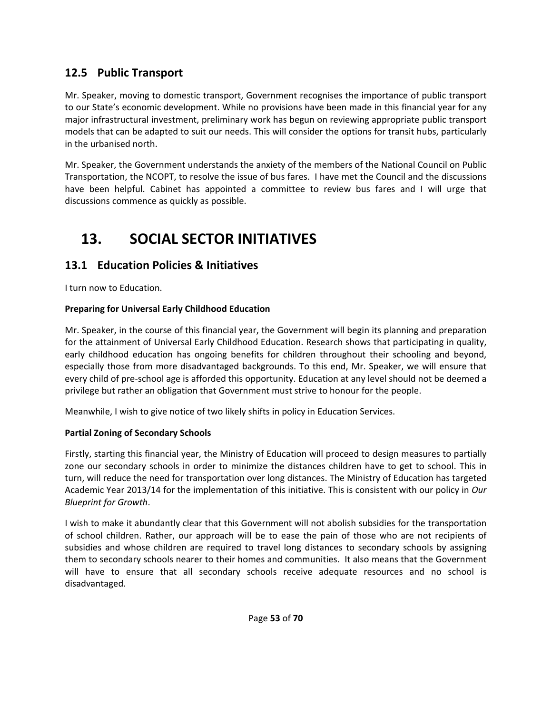### **12.5 Public Transport**

Mr. Speaker, moving to domestic transport, Government recognises the importance of public transport to our State's economic development. While no provisions have been made in this financial year for any major infrastructural investment, preliminary work has begun on reviewing appropriate public transport models that can be adapted to suit our needs. This will consider the options for transit hubs, particularly in the urbanised north.

Mr. Speaker, the Government understands the anxiety of the members of the National Council on Public Transportation, the NCOPT, to resolve the issue of bus fares. I have met the Council and the discussions have been helpful. Cabinet has appointed a committee to review bus fares and I will urge that discussions commence as quickly as possible.

## **13. SOCIAL SECTOR INITIATIVES**

### **13.1 Education Policies & Initiatives**

I turn now to Education.

#### **Preparing for Universal Early Childhood Education**

Mr. Speaker, in the course of this financial year, the Government will begin its planning and preparation for the attainment of Universal Early Childhood Education. Research shows that participating in quality, early childhood education has ongoing benefits for children throughout their schooling and beyond, especially those from more disadvantaged backgrounds. To this end, Mr. Speaker, we will ensure that every child of pre‐school age is afforded this opportunity. Education at any level should not be deemed a privilege but rather an obligation that Government must strive to honour for the people.

Meanwhile, I wish to give notice of two likely shifts in policy in Education Services.

#### **Partial Zoning of Secondary Schools**

Firstly, starting this financial year, the Ministry of Education will proceed to design measures to partially zone our secondary schools in order to minimize the distances children have to get to school. This in turn, will reduce the need for transportation over long distances. The Ministry of Education has targeted Academic Year 2013/14 for the implementation of this initiative. This is consistent with our policy in *Our Blueprint for Growth*.

I wish to make it abundantly clear that this Government will not abolish subsidies for the transportation of school children. Rather, our approach will be to ease the pain of those who are not recipients of subsidies and whose children are required to travel long distances to secondary schools by assigning them to secondary schools nearer to their homes and communities. It also means that the Government will have to ensure that all secondary schools receive adequate resources and no school is disadvantaged.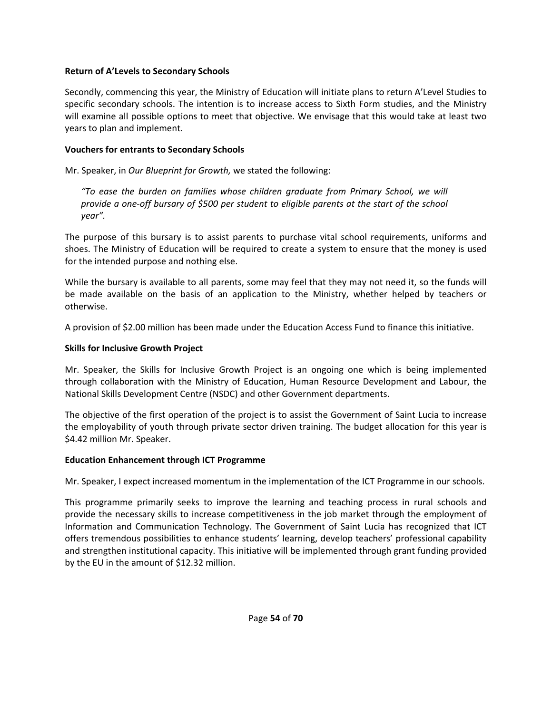#### **Return of A'Levels to Secondary Schools**

Secondly, commencing this year, the Ministry of Education will initiate plans to return A'Level Studies to specific secondary schools. The intention is to increase access to Sixth Form studies, and the Ministry will examine all possible options to meet that objective. We envisage that this would take at least two years to plan and implement.

#### **Vouchers for entrants to Secondary Schools**

Mr. Speaker, in *Our Blueprint for Growth,* we stated the following:

*"To ease the burden on families whose children graduate from Primary School, we will* provide a one-off bursary of \$500 per student to eligible parents at the start of the school *year".*

The purpose of this bursary is to assist parents to purchase vital school requirements, uniforms and shoes. The Ministry of Education will be required to create a system to ensure that the money is used for the intended purpose and nothing else.

While the bursary is available to all parents, some may feel that they may not need it, so the funds will be made available on the basis of an application to the Ministry, whether helped by teachers or otherwise.

A provision of \$2.00 million has been made under the Education Access Fund to finance this initiative.

#### **Skills for Inclusive Growth Project**

Mr. Speaker, the Skills for Inclusive Growth Project is an ongoing one which is being implemented through collaboration with the Ministry of Education, Human Resource Development and Labour, the National Skills Development Centre (NSDC) and other Government departments.

The objective of the first operation of the project is to assist the Government of Saint Lucia to increase the employability of youth through private sector driven training. The budget allocation for this year is \$4.42 million Mr. Speaker.

#### **Education Enhancement through ICT Programme**

Mr. Speaker, I expect increased momentum in the implementation of the ICT Programme in our schools.

This programme primarily seeks to improve the learning and teaching process in rural schools and provide the necessary skills to increase competitiveness in the job market through the employment of Information and Communication Technology. The Government of Saint Lucia has recognized that ICT offers tremendous possibilities to enhance students' learning, develop teachers' professional capability and strengthen institutional capacity. This initiative will be implemented through grant funding provided by the EU in the amount of \$12.32 million.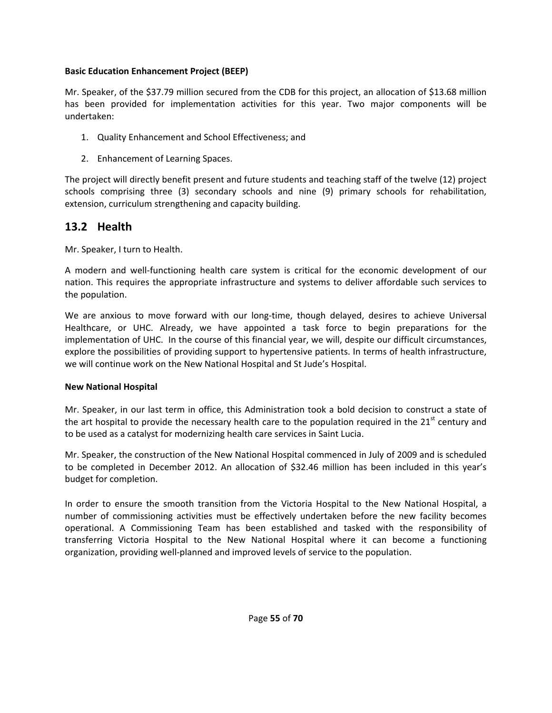#### **Basic Education Enhancement Project (BEEP)**

Mr. Speaker, of the \$37.79 million secured from the CDB for this project, an allocation of \$13.68 million has been provided for implementation activities for this year. Two major components will be undertaken:

- 1. Quality Enhancement and School Effectiveness; and
- 2. Enhancement of Learning Spaces.

The project will directly benefit present and future students and teaching staff of the twelve (12) project schools comprising three (3) secondary schools and nine (9) primary schools for rehabilitation, extension, curriculum strengthening and capacity building.

### **13.2 Health**

Mr. Speaker, I turn to Health.

A modern and well‐functioning health care system is critical for the economic development of our nation. This requires the appropriate infrastructure and systems to deliver affordable such services to the population.

We are anxious to move forward with our long-time, though delayed, desires to achieve Universal Healthcare, or UHC. Already, we have appointed a task force to begin preparations for the implementation of UHC. In the course of this financial year, we will, despite our difficult circumstances, explore the possibilities of providing support to hypertensive patients. In terms of health infrastructure, we will continue work on the New National Hospital and St Jude's Hospital.

#### **New National Hospital**

Mr. Speaker, in our last term in office, this Administration took a bold decision to construct a state of the art hospital to provide the necessary health care to the population required in the  $21^{st}$  century and to be used as a catalyst for modernizing health care services in Saint Lucia.

Mr. Speaker, the construction of the New National Hospital commenced in July of 2009 and is scheduled to be completed in December 2012. An allocation of \$32.46 million has been included in this year's budget for completion.

In order to ensure the smooth transition from the Victoria Hospital to the New National Hospital, a number of commissioning activities must be effectively undertaken before the new facility becomes operational. A Commissioning Team has been established and tasked with the responsibility of transferring Victoria Hospital to the New National Hospital where it can become a functioning organization, providing well‐planned and improved levels of service to the population.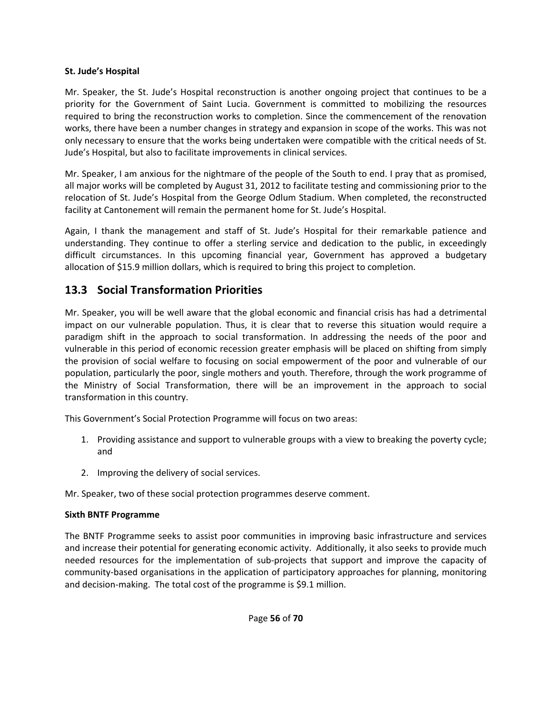#### **St. Jude's Hospital**

Mr. Speaker, the St. Jude's Hospital reconstruction is another ongoing project that continues to be a priority for the Government of Saint Lucia. Government is committed to mobilizing the resources required to bring the reconstruction works to completion. Since the commencement of the renovation works, there have been a number changes in strategy and expansion in scope of the works. This was not only necessary to ensure that the works being undertaken were compatible with the critical needs of St. Jude's Hospital, but also to facilitate improvements in clinical services.

Mr. Speaker, I am anxious for the nightmare of the people of the South to end. I pray that as promised, all major works will be completed by August 31, 2012 to facilitate testing and commissioning prior to the relocation of St. Jude's Hospital from the George Odlum Stadium. When completed, the reconstructed facility at Cantonement will remain the permanent home for St. Jude's Hospital.

Again, I thank the management and staff of St. Jude's Hospital for their remarkable patience and understanding. They continue to offer a sterling service and dedication to the public, in exceedingly difficult circumstances. In this upcoming financial year, Government has approved a budgetary allocation of \$15.9 million dollars, which is required to bring this project to completion.

### **13.3 Social Transformation Priorities**

Mr. Speaker, you will be well aware that the global economic and financial crisis has had a detrimental impact on our vulnerable population. Thus, it is clear that to reverse this situation would require a paradigm shift in the approach to social transformation. In addressing the needs of the poor and vulnerable in this period of economic recession greater emphasis will be placed on shifting from simply the provision of social welfare to focusing on social empowerment of the poor and vulnerable of our population, particularly the poor, single mothers and youth. Therefore, through the work programme of the Ministry of Social Transformation, there will be an improvement in the approach to social transformation in this country.

This Government's Social Protection Programme will focus on two areas:

- 1. Providing assistance and support to vulnerable groups with a view to breaking the poverty cycle; and
- 2. Improving the delivery of social services.

Mr. Speaker, two of these social protection programmes deserve comment.

#### **Sixth BNTF Programme**

The BNTF Programme seeks to assist poor communities in improving basic infrastructure and services and increase their potential for generating economic activity. Additionally, it also seeks to provide much needed resources for the implementation of sub-projects that support and improve the capacity of community-based organisations in the application of participatory approaches for planning, monitoring and decision-making. The total cost of the programme is \$9.1 million.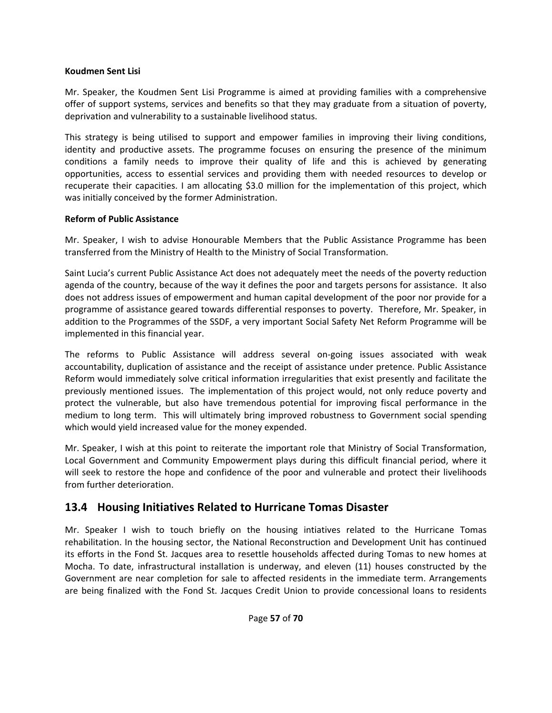#### **Koudmen Sent Lisi**

Mr. Speaker, the Koudmen Sent Lisi Programme is aimed at providing families with a comprehensive offer of support systems, services and benefits so that they may graduate from a situation of poverty, deprivation and vulnerability to a sustainable livelihood status.

This strategy is being utilised to support and empower families in improving their living conditions, identity and productive assets. The programme focuses on ensuring the presence of the minimum conditions a family needs to improve their quality of life and this is achieved by generating opportunities, access to essential services and providing them with needed resources to develop or recuperate their capacities. I am allocating \$3.0 million for the implementation of this project, which was initially conceived by the former Administration.

#### **Reform of Public Assistance**

Mr. Speaker, I wish to advise Honourable Members that the Public Assistance Programme has been transferred from the Ministry of Health to the Ministry of Social Transformation.

Saint Lucia's current Public Assistance Act does not adequately meet the needs of the poverty reduction agenda of the country, because of the way it defines the poor and targets persons for assistance. It also does not address issues of empowerment and human capital development of the poor nor provide for a programme of assistance geared towards differential responses to poverty. Therefore, Mr. Speaker, in addition to the Programmes of the SSDF, a very important Social Safety Net Reform Programme will be implemented in this financial year.

The reforms to Public Assistance will address several on‐going issues associated with weak accountability, duplication of assistance and the receipt of assistance under pretence. Public Assistance Reform would immediately solve critical information irregularities that exist presently and facilitate the previously mentioned issues. The implementation of this project would, not only reduce poverty and protect the vulnerable, but also have tremendous potential for improving fiscal performance in the medium to long term. This will ultimately bring improved robustness to Government social spending which would yield increased value for the money expended.

Mr. Speaker, I wish at this point to reiterate the important role that Ministry of Social Transformation, Local Government and Community Empowerment plays during this difficult financial period, where it will seek to restore the hope and confidence of the poor and vulnerable and protect their livelihoods from further deterioration.

#### **13.4 Housing Initiatives Related to Hurricane Tomas Disaster**

Mr. Speaker I wish to touch briefly on the housing intiatives related to the Hurricane Tomas rehabilitation. In the housing sector, the National Reconstruction and Development Unit has continued its efforts in the Fond St. Jacques area to resettle households affected during Tomas to new homes at Mocha. To date, infrastructural installation is underway, and eleven (11) houses constructed by the Government are near completion for sale to affected residents in the immediate term. Arrangements are being finalized with the Fond St. Jacques Credit Union to provide concessional loans to residents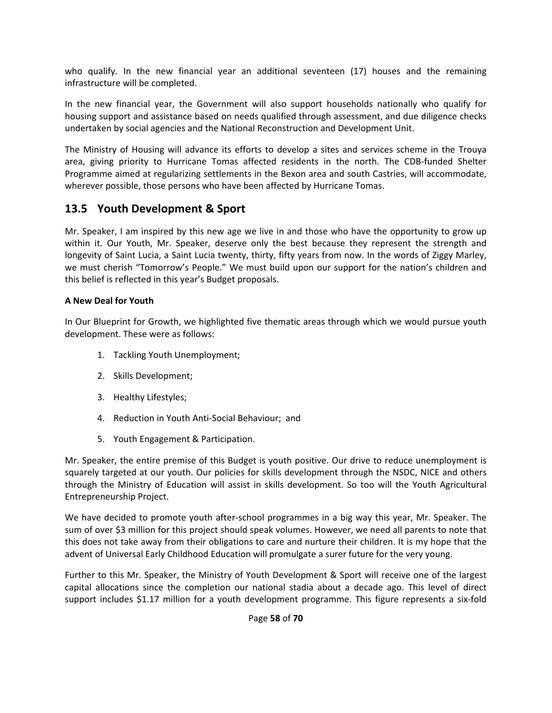who qualify. In the new financial year an additional seventeen (17) houses and the remaining infrastructure will be completed.

In the new financial year, the Government will also support households nationally who qualify for housing support and assistance based on needs qualified through assessment, and due diligence checks undertaken by social agencies and the National Reconstruction and Development Unit.

The Ministry of Housing will advance its efforts to develop a sites and services scheme in the Trouya area, giving priority to Hurricane Tomas affected residents in the north. The CDB-funded Shelter Programme aimed at regularizing settlements in the Bexon area and south Castries, will accommodate, wherever possible, those persons who have been affected by Hurricane Tomas.

#### **13.5 Youth Development & Sport**

Mr. Speaker, I am inspired by this new age we live in and those who have the opportunity to grow up within it. Our Youth, Mr. Speaker, deserve only the best because they represent the strength and longevity of Saint Lucia, a Saint Lucia twenty, thirty, fifty years from now. In the words of Ziggy Marley, we must cherish "Tomorrow's People." We must build upon our support for the nation's children and this belief is reflected in this year's Budget proposals.

#### **A New Deal for Youth**

In Our Blueprint for Growth, we highlighted five thematic areas through which we would pursue youth development. These were as follows:

- 1. Tackling Youth Unemployment;
- 2. Skills Development;
- 3. Healthy Lifestyles;
- 4. Reduction in Youth Anti‐Social Behaviour; and
- 5. Youth Engagement & Participation.

Mr. Speaker, the entire premise of this Budget is youth positive. Our drive to reduce unemployment is squarely targeted at our youth. Our policies for skills development through the NSDC, NICE and others through the Ministry of Education will assist in skills development. So too will the Youth Agricultural Entrepreneurship Project.

We have decided to promote youth after-school programmes in a big way this year, Mr. Speaker. The sum of over \$3 million for this project should speak volumes. However, we need all parents to note that this does not take away from their obligations to care and nurture their children. It is my hope that the advent of Universal Early Childhood Education will promulgate a surer future for the very young.

Further to this Mr. Speaker, the Ministry of Youth Development & Sport will receive one of the largest capital allocations since the completion our national stadia about a decade ago. This level of direct support includes \$1.17 million for a youth development programme. This figure represents a six-fold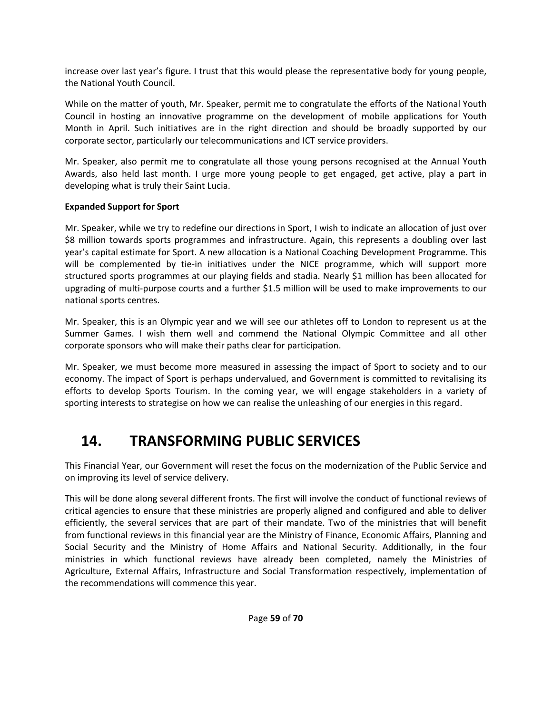increase over last year's figure. I trust that this would please the representative body for young people, the National Youth Council.

While on the matter of youth, Mr. Speaker, permit me to congratulate the efforts of the National Youth Council in hosting an innovative programme on the development of mobile applications for Youth Month in April. Such initiatives are in the right direction and should be broadly supported by our corporate sector, particularly our telecommunications and ICT service providers.

Mr. Speaker, also permit me to congratulate all those young persons recognised at the Annual Youth Awards, also held last month. I urge more young people to get engaged, get active, play a part in developing what is truly their Saint Lucia.

#### **Expanded Support for Sport**

Mr. Speaker, while we try to redefine our directions in Sport, I wish to indicate an allocation of just over \$8 million towards sports programmes and infrastructure. Again, this represents a doubling over last year's capital estimate for Sport. A new allocation is a National Coaching Development Programme. This will be complemented by tie-in initiatives under the NICE programme, which will support more structured sports programmes at our playing fields and stadia. Nearly \$1 million has been allocated for upgrading of multi-purpose courts and a further \$1.5 million will be used to make improvements to our national sports centres.

Mr. Speaker, this is an Olympic year and we will see our athletes off to London to represent us at the Summer Games. I wish them well and commend the National Olympic Committee and all other corporate sponsors who will make their paths clear for participation.

Mr. Speaker, we must become more measured in assessing the impact of Sport to society and to our economy. The impact of Sport is perhaps undervalued, and Government is committed to revitalising its efforts to develop Sports Tourism. In the coming year, we will engage stakeholders in a variety of sporting interests to strategise on how we can realise the unleashing of our energies in this regard.

## **14. TRANSFORMING PUBLIC SERVICES**

This Financial Year, our Government will reset the focus on the modernization of the Public Service and on improving its level of service delivery.

This will be done along several different fronts. The first will involve the conduct of functional reviews of critical agencies to ensure that these ministries are properly aligned and configured and able to deliver efficiently, the several services that are part of their mandate. Two of the ministries that will benefit from functional reviews in this financial year are the Ministry of Finance, Economic Affairs, Planning and Social Security and the Ministry of Home Affairs and National Security. Additionally, in the four ministries in which functional reviews have already been completed, namely the Ministries of Agriculture, External Affairs, Infrastructure and Social Transformation respectively, implementation of the recommendations will commence this year.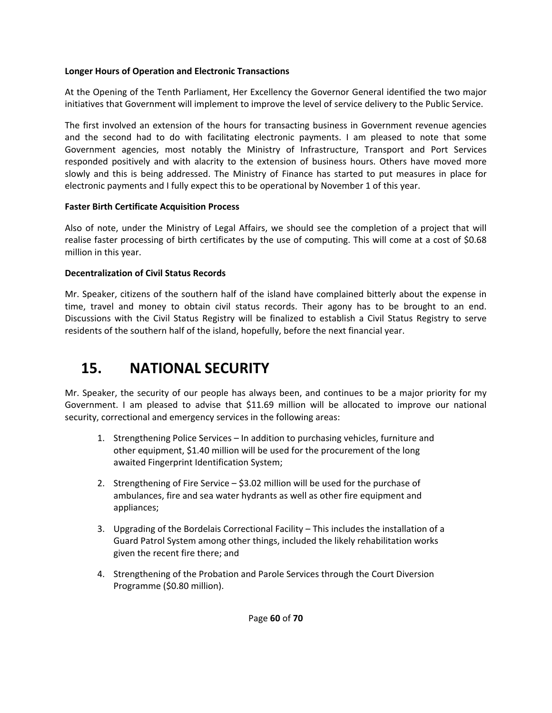#### **Longer Hours of Operation and Electronic Transactions**

At the Opening of the Tenth Parliament, Her Excellency the Governor General identified the two major initiatives that Government will implement to improve the level of service delivery to the Public Service.

The first involved an extension of the hours for transacting business in Government revenue agencies and the second had to do with facilitating electronic payments. I am pleased to note that some Government agencies, most notably the Ministry of Infrastructure, Transport and Port Services responded positively and with alacrity to the extension of business hours. Others have moved more slowly and this is being addressed. The Ministry of Finance has started to put measures in place for electronic payments and I fully expect this to be operational by November 1 of this year.

#### **Faster Birth Certificate Acquisition Process**

Also of note, under the Ministry of Legal Affairs, we should see the completion of a project that will realise faster processing of birth certificates by the use of computing. This will come at a cost of \$0.68 million in this year.

#### **Decentralization of Civil Status Records**

Mr. Speaker, citizens of the southern half of the island have complained bitterly about the expense in time, travel and money to obtain civil status records. Their agony has to be brought to an end. Discussions with the Civil Status Registry will be finalized to establish a Civil Status Registry to serve residents of the southern half of the island, hopefully, before the next financial year.

## **15. NATIONAL SECURITY**

Mr. Speaker, the security of our people has always been, and continues to be a major priority for my Government. I am pleased to advise that \$11.69 million will be allocated to improve our national security, correctional and emergency services in the following areas:

- 1. Strengthening Police Services In addition to purchasing vehicles, furniture and other equipment, \$1.40 million will be used for the procurement of the long awaited Fingerprint Identification System;
- 2. Strengthening of Fire Service \$3.02 million will be used for the purchase of ambulances, fire and sea water hydrants as well as other fire equipment and appliances;
- 3. Upgrading of the Bordelais Correctional Facility This includes the installation of a Guard Patrol System among other things, included the likely rehabilitation works given the recent fire there; and
- 4. Strengthening of the Probation and Parole Services through the Court Diversion Programme (\$0.80 million).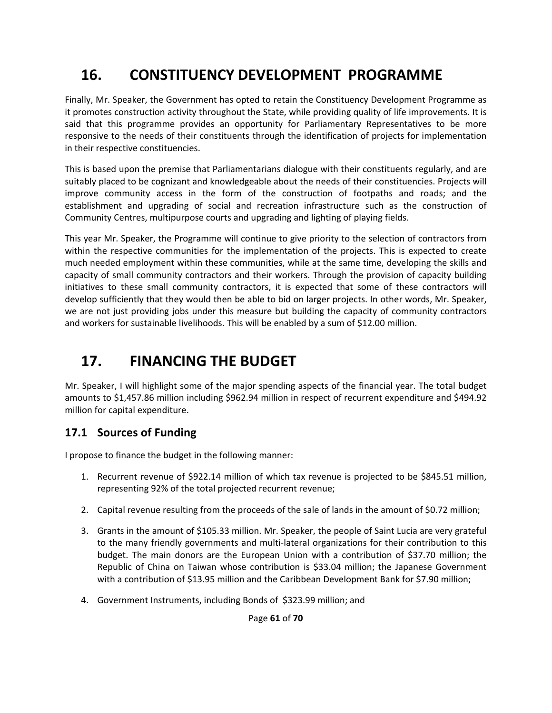## **16. CONSTITUENCY DEVELOPMENT PROGRAMME**

Finally, Mr. Speaker, the Government has opted to retain the Constituency Development Programme as it promotes construction activity throughout the State, while providing quality of life improvements. It is said that this programme provides an opportunity for Parliamentary Representatives to be more responsive to the needs of their constituents through the identification of projects for implementation in their respective constituencies.

This is based upon the premise that Parliamentarians dialogue with their constituents regularly, and are suitably placed to be cognizant and knowledgeable about the needs of their constituencies. Projects will improve community access in the form of the construction of footpaths and roads; and the establishment and upgrading of social and recreation infrastructure such as the construction of Community Centres, multipurpose courts and upgrading and lighting of playing fields.

This year Mr. Speaker, the Programme will continue to give priority to the selection of contractors from within the respective communities for the implementation of the projects. This is expected to create much needed employment within these communities, while at the same time, developing the skills and capacity of small community contractors and their workers. Through the provision of capacity building initiatives to these small community contractors, it is expected that some of these contractors will develop sufficiently that they would then be able to bid on larger projects. In other words, Mr. Speaker, we are not just providing jobs under this measure but building the capacity of community contractors and workers for sustainable livelihoods. This will be enabled by a sum of \$12.00 million.

## **17. FINANCING THE BUDGET**

Mr. Speaker, I will highlight some of the major spending aspects of the financial year. The total budget amounts to \$1,457.86 million including \$962.94 million in respect of recurrent expenditure and \$494.92 million for capital expenditure.

### **17.1 Sources of Funding**

I propose to finance the budget in the following manner:

- 1. Recurrent revenue of \$922.14 million of which tax revenue is projected to be \$845.51 million, representing 92% of the total projected recurrent revenue;
- 2. Capital revenue resulting from the proceeds of the sale of lands in the amount of \$0.72 million;
- 3. Grants in the amount of \$105.33 million. Mr. Speaker, the people of Saint Lucia are very grateful to the many friendly governments and multi‐lateral organizations for their contribution to this budget. The main donors are the European Union with a contribution of \$37.70 million; the Republic of China on Taiwan whose contribution is \$33.04 million; the Japanese Government with a contribution of \$13.95 million and the Caribbean Development Bank for \$7.90 million;
- 4. Government Instruments, including Bonds of \$323.99 million; and

Page **61** of **70**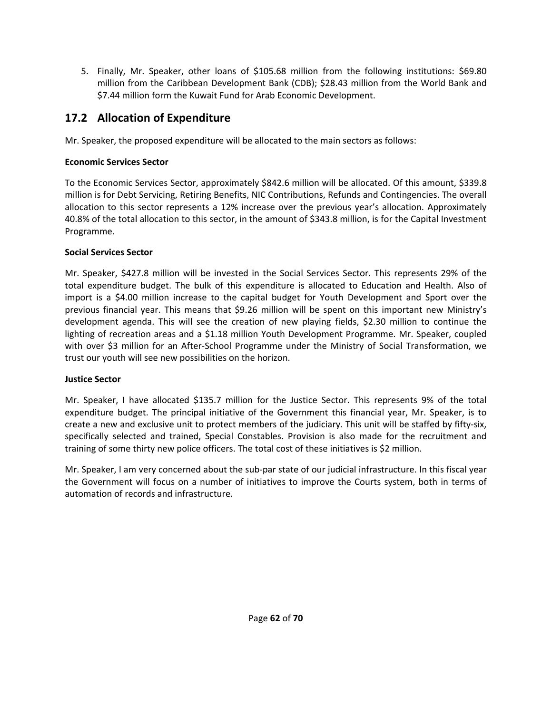5. Finally, Mr. Speaker, other loans of \$105.68 million from the following institutions: \$69.80 million from the Caribbean Development Bank (CDB); \$28.43 million from the World Bank and \$7.44 million form the Kuwait Fund for Arab Economic Development.

### **17.2 Allocation of Expenditure**

Mr. Speaker, the proposed expenditure will be allocated to the main sectors as follows:

#### **Economic Services Sector**

To the Economic Services Sector, approximately \$842.6 million will be allocated. Of this amount, \$339.8 million is for Debt Servicing, Retiring Benefits, NIC Contributions, Refunds and Contingencies. The overall allocation to this sector represents a 12% increase over the previous year's allocation. Approximately 40.8% of the total allocation to this sector, in the amount of \$343.8 million, is for the Capital Investment Programme.

#### **Social Services Sector**

Mr. Speaker, \$427.8 million will be invested in the Social Services Sector. This represents 29% of the total expenditure budget. The bulk of this expenditure is allocated to Education and Health. Also of import is a \$4.00 million increase to the capital budget for Youth Development and Sport over the previous financial year. This means that \$9.26 million will be spent on this important new Ministry's development agenda. This will see the creation of new playing fields, \$2.30 million to continue the lighting of recreation areas and a \$1.18 million Youth Development Programme. Mr. Speaker, coupled with over \$3 million for an After-School Programme under the Ministry of Social Transformation, we trust our youth will see new possibilities on the horizon.

#### **Justice Sector**

Mr. Speaker, I have allocated \$135.7 million for the Justice Sector. This represents 9% of the total expenditure budget. The principal initiative of the Government this financial year, Mr. Speaker, is to create a new and exclusive unit to protect members of the judiciary. This unit will be staffed by fifty‐six, specifically selected and trained, Special Constables. Provision is also made for the recruitment and training of some thirty new police officers. The total cost of these initiatives is \$2 million.

Mr. Speaker, I am very concerned about the sub‐par state of our judicial infrastructure. In this fiscal year the Government will focus on a number of initiatives to improve the Courts system, both in terms of automation of records and infrastructure.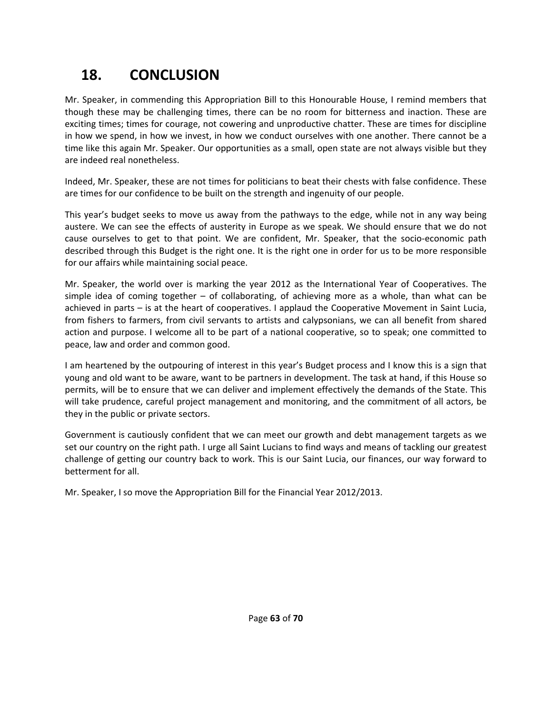## **18. CONCLUSION**

Mr. Speaker, in commending this Appropriation Bill to this Honourable House, I remind members that though these may be challenging times, there can be no room for bitterness and inaction. These are exciting times; times for courage, not cowering and unproductive chatter. These are times for discipline in how we spend, in how we invest, in how we conduct ourselves with one another. There cannot be a time like this again Mr. Speaker. Our opportunities as a small, open state are not always visible but they are indeed real nonetheless.

Indeed, Mr. Speaker, these are not times for politicians to beat their chests with false confidence. These are times for our confidence to be built on the strength and ingenuity of our people.

This year's budget seeks to move us away from the pathways to the edge, while not in any way being austere. We can see the effects of austerity in Europe as we speak. We should ensure that we do not cause ourselves to get to that point. We are confident, Mr. Speaker, that the socio-economic path described through this Budget is the right one. It is the right one in order for us to be more responsible for our affairs while maintaining social peace.

Mr. Speaker, the world over is marking the year 2012 as the International Year of Cooperatives. The simple idea of coming together – of collaborating, of achieving more as a whole, than what can be achieved in parts – is at the heart of cooperatives. I applaud the Cooperative Movement in Saint Lucia, from fishers to farmers, from civil servants to artists and calypsonians, we can all benefit from shared action and purpose. I welcome all to be part of a national cooperative, so to speak; one committed to peace, law and order and common good.

I am heartened by the outpouring of interest in this year's Budget process and I know this is a sign that young and old want to be aware, want to be partners in development. The task at hand, if this House so permits, will be to ensure that we can deliver and implement effectively the demands of the State. This will take prudence, careful project management and monitoring, and the commitment of all actors, be they in the public or private sectors.

Government is cautiously confident that we can meet our growth and debt management targets as we set our country on the right path. I urge all Saint Lucians to find ways and means of tackling our greatest challenge of getting our country back to work. This is our Saint Lucia, our finances, our way forward to betterment for all.

Mr. Speaker, I so move the Appropriation Bill for the Financial Year 2012/2013.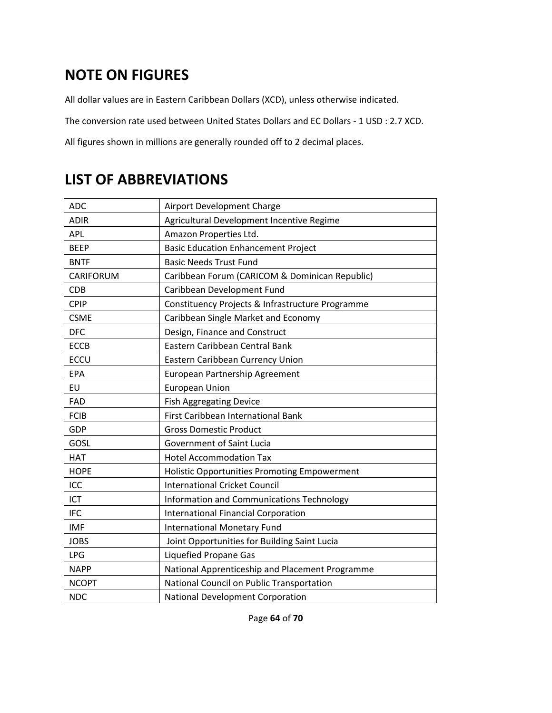## **NOTE ON FIGURES**

All dollar values are in Eastern Caribbean Dollars (XCD), unless otherwise indicated.

The conversion rate used between United States Dollars and EC Dollars ‐ 1 USD : 2.7 XCD.

All figures shown in millions are generally rounded off to 2 decimal places.

## **LIST OF ABBREVIATIONS**

| <b>ADC</b>       | Airport Development Charge                       |
|------------------|--------------------------------------------------|
| <b>ADIR</b>      | Agricultural Development Incentive Regime        |
| <b>APL</b>       | Amazon Properties Ltd.                           |
| <b>BEEP</b>      | <b>Basic Education Enhancement Project</b>       |
| <b>BNTF</b>      | <b>Basic Needs Trust Fund</b>                    |
| <b>CARIFORUM</b> | Caribbean Forum (CARICOM & Dominican Republic)   |
| <b>CDB</b>       | Caribbean Development Fund                       |
| <b>CPIP</b>      | Constituency Projects & Infrastructure Programme |
| <b>CSME</b>      | Caribbean Single Market and Economy              |
| <b>DFC</b>       | Design, Finance and Construct                    |
| <b>ECCB</b>      | Eastern Caribbean Central Bank                   |
| <b>ECCU</b>      | Eastern Caribbean Currency Union                 |
| EPA              | European Partnership Agreement                   |
| <b>EU</b>        | <b>European Union</b>                            |
| FAD              | <b>Fish Aggregating Device</b>                   |
| <b>FCIB</b>      | First Caribbean International Bank               |
| GDP              | <b>Gross Domestic Product</b>                    |
| GOSL             | Government of Saint Lucia                        |
| <b>HAT</b>       | <b>Hotel Accommodation Tax</b>                   |
| <b>HOPE</b>      | Holistic Opportunities Promoting Empowerment     |
| ICC              | <b>International Cricket Council</b>             |
| <b>ICT</b>       | Information and Communications Technology        |
| <b>IFC</b>       | <b>International Financial Corporation</b>       |
| <b>IMF</b>       | <b>International Monetary Fund</b>               |
| <b>JOBS</b>      | Joint Opportunities for Building Saint Lucia     |
| <b>LPG</b>       | <b>Liquefied Propane Gas</b>                     |
| <b>NAPP</b>      | National Apprenticeship and Placement Programme  |
| <b>NCOPT</b>     | National Council on Public Transportation        |
| <b>NDC</b>       | National Development Corporation                 |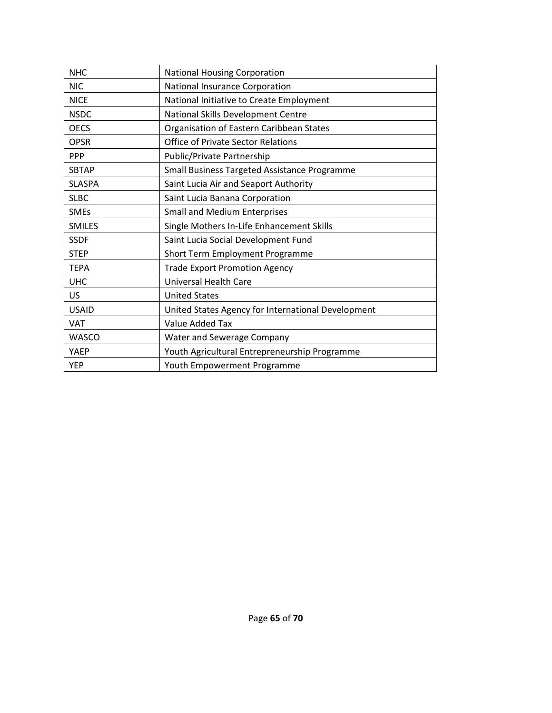| <b>NHC</b>    | <b>National Housing Corporation</b>                |
|---------------|----------------------------------------------------|
| <b>NIC</b>    | National Insurance Corporation                     |
| <b>NICE</b>   | National Initiative to Create Employment           |
| <b>NSDC</b>   | National Skills Development Centre                 |
| <b>OECS</b>   | Organisation of Eastern Caribbean States           |
| <b>OPSR</b>   | <b>Office of Private Sector Relations</b>          |
| <b>PPP</b>    | Public/Private Partnership                         |
| <b>SBTAP</b>  | Small Business Targeted Assistance Programme       |
| <b>SLASPA</b> | Saint Lucia Air and Seaport Authority              |
| <b>SLBC</b>   | Saint Lucia Banana Corporation                     |
| <b>SMEs</b>   | <b>Small and Medium Enterprises</b>                |
| <b>SMILES</b> | Single Mothers In-Life Enhancement Skills          |
| <b>SSDF</b>   | Saint Lucia Social Development Fund                |
| <b>STEP</b>   | Short Term Employment Programme                    |
| <b>TEPA</b>   | <b>Trade Export Promotion Agency</b>               |
| <b>UHC</b>    | <b>Universal Health Care</b>                       |
| US            | <b>United States</b>                               |
| <b>USAID</b>  | United States Agency for International Development |
| <b>VAT</b>    | <b>Value Added Tax</b>                             |
| <b>WASCO</b>  | Water and Sewerage Company                         |
| <b>YAEP</b>   | Youth Agricultural Entrepreneurship Programme      |
| <b>YEP</b>    | Youth Empowerment Programme                        |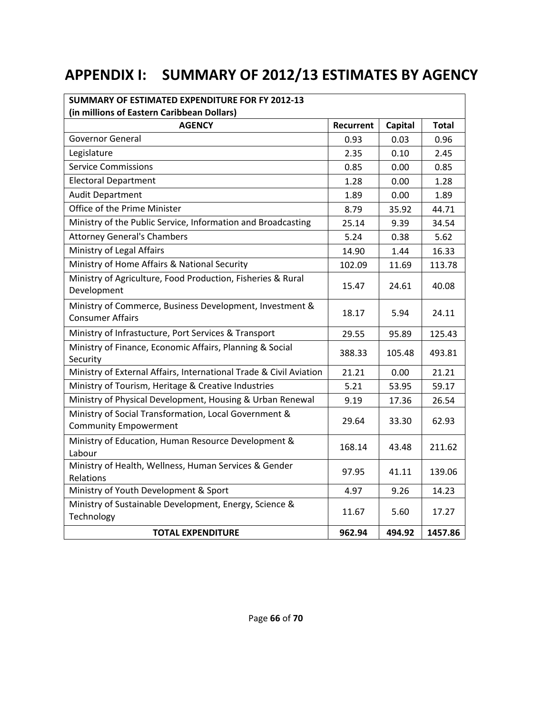## **APPENDIX I: SUMMARY OF 2012/13 ESTIMATES BY AGENCY**

| SUMMARY OF ESTIMATED EXPENDITURE FOR FY 2012-13<br>(in millions of Eastern Caribbean Dollars) |           |         |              |
|-----------------------------------------------------------------------------------------------|-----------|---------|--------------|
| <b>AGENCY</b>                                                                                 | Recurrent | Capital | <b>Total</b> |
| <b>Governor General</b>                                                                       | 0.93      | 0.03    | 0.96         |
| Legislature                                                                                   | 2.35      | 0.10    | 2.45         |
| <b>Service Commissions</b>                                                                    | 0.85      | 0.00    | 0.85         |
| <b>Electoral Department</b>                                                                   | 1.28      | 0.00    | 1.28         |
| <b>Audit Department</b>                                                                       | 1.89      | 0.00    | 1.89         |
| Office of the Prime Minister                                                                  | 8.79      | 35.92   | 44.71        |
| Ministry of the Public Service, Information and Broadcasting                                  | 25.14     | 9.39    | 34.54        |
| <b>Attorney General's Chambers</b>                                                            | 5.24      | 0.38    | 5.62         |
| Ministry of Legal Affairs                                                                     | 14.90     | 1.44    | 16.33        |
| Ministry of Home Affairs & National Security                                                  | 102.09    | 11.69   | 113.78       |
| Ministry of Agriculture, Food Production, Fisheries & Rural<br>Development                    | 15.47     | 24.61   | 40.08        |
| Ministry of Commerce, Business Development, Investment &<br><b>Consumer Affairs</b>           | 18.17     | 5.94    | 24.11        |
| Ministry of Infrastucture, Port Services & Transport                                          | 29.55     | 95.89   | 125.43       |
| Ministry of Finance, Economic Affairs, Planning & Social<br>Security                          | 388.33    | 105.48  | 493.81       |
| Ministry of External Affairs, International Trade & Civil Aviation                            | 21.21     | 0.00    | 21.21        |
| Ministry of Tourism, Heritage & Creative Industries                                           | 5.21      | 53.95   | 59.17        |
| Ministry of Physical Development, Housing & Urban Renewal                                     | 9.19      | 17.36   | 26.54        |
| Ministry of Social Transformation, Local Government &<br><b>Community Empowerment</b>         | 29.64     | 33.30   | 62.93        |
| Ministry of Education, Human Resource Development &<br>Labour                                 | 168.14    | 43.48   | 211.62       |
| Ministry of Health, Wellness, Human Services & Gender<br>Relations                            | 97.95     | 41.11   | 139.06       |
| Ministry of Youth Development & Sport                                                         | 4.97      | 9.26    | 14.23        |
| Ministry of Sustainable Development, Energy, Science &<br>Technology                          | 11.67     | 5.60    | 17.27        |
| <b>TOTAL EXPENDITURE</b>                                                                      | 962.94    | 494.92  | 1457.86      |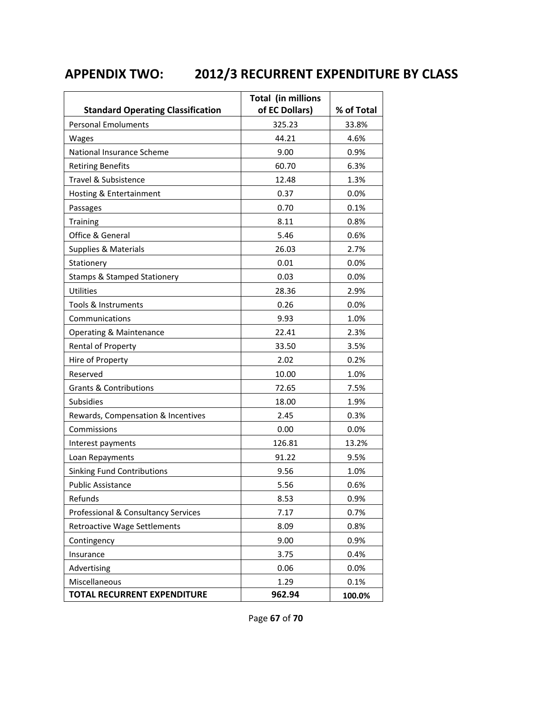## **APPENDIX TWO: 2012/3 RECURRENT EXPENDITURE BY CLASS**

| <b>Standard Operating Classification</b> | <b>Total (in millions</b><br>of EC Dollars) | % of Total |
|------------------------------------------|---------------------------------------------|------------|
| <b>Personal Emoluments</b>               | 325.23                                      | 33.8%      |
| Wages                                    | 44.21                                       | 4.6%       |
| National Insurance Scheme                | 9.00                                        | 0.9%       |
| <b>Retiring Benefits</b>                 | 60.70                                       | 6.3%       |
| Travel & Subsistence                     | 12.48                                       | 1.3%       |
| Hosting & Entertainment                  | 0.37                                        | 0.0%       |
| Passages                                 | 0.70                                        | 0.1%       |
| <b>Training</b>                          | 8.11                                        | 0.8%       |
| Office & General                         | 5.46                                        | 0.6%       |
| Supplies & Materials                     | 26.03                                       | 2.7%       |
| Stationery                               | 0.01                                        | 0.0%       |
| <b>Stamps &amp; Stamped Stationery</b>   | 0.03                                        | 0.0%       |
| <b>Utilities</b>                         | 28.36                                       | 2.9%       |
| Tools & Instruments                      | 0.26                                        | 0.0%       |
| Communications                           | 9.93                                        | 1.0%       |
| Operating & Maintenance                  | 22.41                                       | 2.3%       |
| Rental of Property                       | 33.50                                       | 3.5%       |
| Hire of Property                         | 2.02                                        | 0.2%       |
| Reserved                                 | 10.00                                       | 1.0%       |
| <b>Grants &amp; Contributions</b>        | 72.65                                       | 7.5%       |
| Subsidies                                | 18.00                                       | 1.9%       |
| Rewards, Compensation & Incentives       | 2.45                                        | 0.3%       |
| Commissions                              | 0.00                                        | 0.0%       |
| Interest payments                        | 126.81                                      | 13.2%      |
| Loan Repayments                          | 91.22                                       | 9.5%       |
| <b>Sinking Fund Contributions</b>        | 9.56                                        | 1.0%       |
| <b>Public Assistance</b>                 | 5.56                                        | 0.6%       |
| Refunds                                  | 8.53                                        | 0.9%       |
| Professional & Consultancy Services      | 7.17                                        | 0.7%       |
| <b>Retroactive Wage Settlements</b>      | 8.09                                        | 0.8%       |
| Contingency                              | 9.00                                        | 0.9%       |
| Insurance                                | 3.75                                        | 0.4%       |
| Advertising                              | 0.06                                        | 0.0%       |
| Miscellaneous                            | 1.29                                        | 0.1%       |
| <b>TOTAL RECURRENT EXPENDITURE</b>       | 962.94                                      | 100.0%     |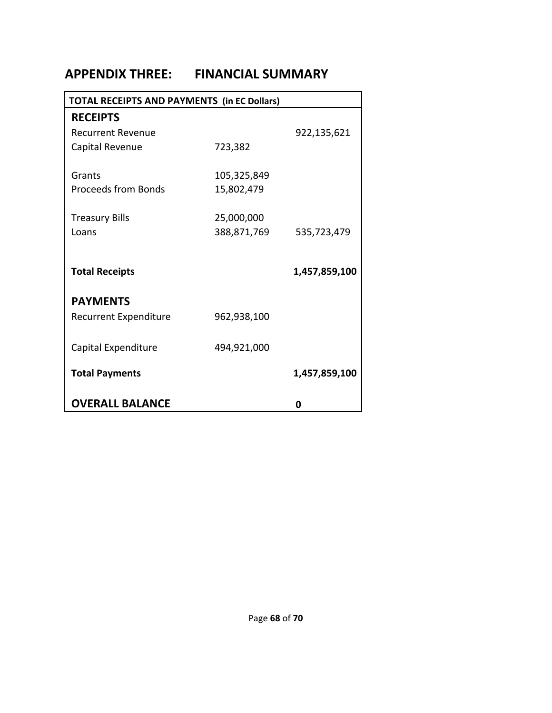## **APPENDIX THREE: FINANCIAL SUMMARY**

| <b>TOTAL RECEIPTS AND PAYMENTS (in EC Dollars)</b> |             |               |  |  |
|----------------------------------------------------|-------------|---------------|--|--|
| <b>RECEIPTS</b>                                    |             |               |  |  |
| <b>Recurrent Revenue</b>                           |             | 922,135,621   |  |  |
| Capital Revenue                                    | 723,382     |               |  |  |
|                                                    |             |               |  |  |
| Grants                                             | 105,325,849 |               |  |  |
| <b>Proceeds from Bonds</b>                         | 15,802,479  |               |  |  |
| <b>Treasury Bills</b>                              | 25,000,000  |               |  |  |
| Loans                                              | 388,871,769 | 535,723,479   |  |  |
|                                                    |             |               |  |  |
|                                                    |             |               |  |  |
| <b>Total Receipts</b>                              |             | 1,457,859,100 |  |  |
| <b>PAYMENTS</b>                                    |             |               |  |  |
| Recurrent Expenditure                              | 962,938,100 |               |  |  |
|                                                    |             |               |  |  |
| Capital Expenditure                                | 494,921,000 |               |  |  |
|                                                    |             |               |  |  |
| <b>Total Payments</b>                              |             | 1,457,859,100 |  |  |
| <b>OVERALL BALANCE</b>                             |             | 0             |  |  |